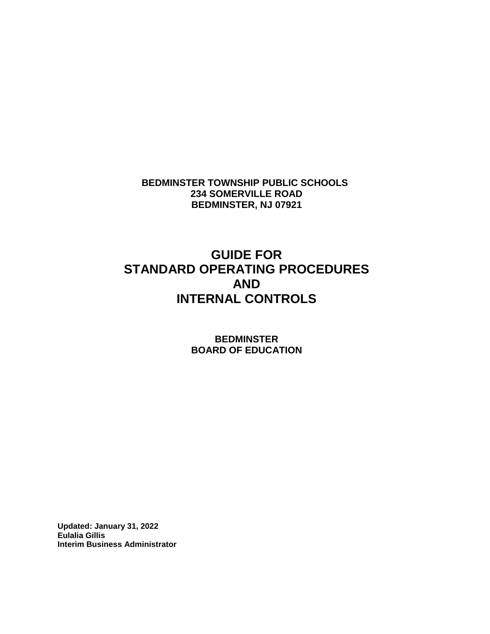**BEDMINSTER TOWNSHIP PUBLIC SCHOOLS 234 SOMERVILLE ROAD BEDMINSTER, NJ 07921**

## **GUIDE FOR STANDARD OPERATING PROCEDURES AND INTERNAL CONTROLS**

**BEDMINSTER BOARD OF EDUCATION**

**Updated: January 31, 2022 Eulalia Gillis Interim Business Administrator**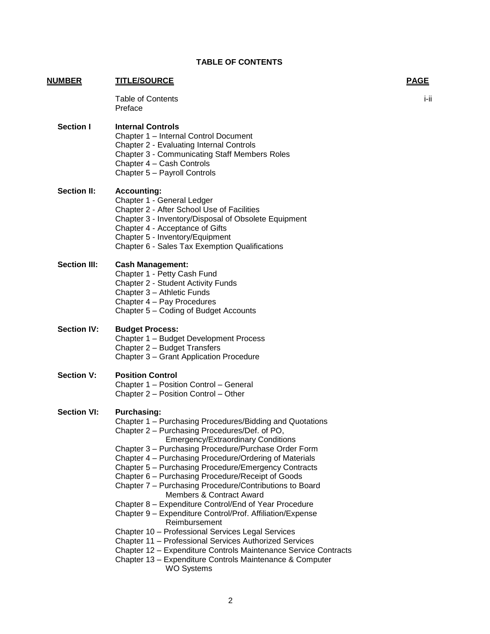Emergency/Extraordinary Conditions

#### Members & Contract Award Chapter 8 – Expenditure Control/End of Year Procedure

Chapter 7 – Purchasing Procedure/Contributions to Board

Chapter 3 – Purchasing Procedure/Purchase Order Form Chapter 4 – Purchasing Procedure/Ordering of Materials Chapter 5 – Purchasing Procedure/Emergency Contracts

- Chapter 9 Expenditure Control/Prof. Affiliation/Expense Reimbursement
- Chapter 10 Professional Services Legal Services
- Chapter 11 Professional Services Authorized Services
- Chapter 12 Expenditure Controls Maintenance Service Contracts
- Chapter 13 Expenditure Controls Maintenance & Computer WO Systems

# Chapter 2 – Purchasing Procedures/Def. of PO,

- Chapter 1 Purchasing Procedures/Bidding and Quotations
- **Section VI: Purchasing:**
- Chapter 2 Position Control Other
- 
- Chapter 1 Position Control General

Chapter 2 – Budget Transfers

**Section V: Position Control**

Chapter 3 – Grant Application Procedure

# **Section IV: Budget Process:**

Chapter 4 – Pay Procedures Chapter 5 – Coding of Budget Accounts Chapter 1 – Budget Development Process

Chapter 1 – Internal Control Document Chapter 2 - Evaluating Internal Controls

Chapter 2 - After School Use of Facilities

Chapter 3 - Communicating Staff Members Roles

Chapter 3 - Inventory/Disposal of Obsolete Equipment

**Section III: Cash Management:** Chapter 1 - Petty Cash Fund

Chapter 3 – Athletic Funds

Chapter 2 - Student Activity Funds

Chapter 4 - Acceptance of Gifts

- 
- Chapter 6 Sales Tax Exemption Qualifications

Chapter 4 – Cash Controls Chapter 5 – Payroll Controls

Chapter 1 - General Ledger

# Chapter 5 - Inventory/Equipment

Preface

**Section I Internal Controls**

**Section II: Accounting:**

## **TABLE OF CONTENTS**

Table of Contents in the contents of the content of the content of the content of the content of the content of the content of the content of the content of the content of the content of the content of the content of the c

2

**NUMBER TITLE/SOURCE PAGE**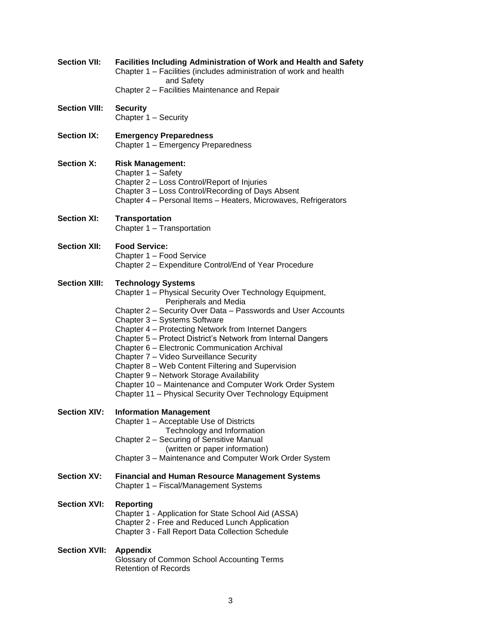| <b>Section VII:</b>  | Facilities Including Administration of Work and Health and Safety<br>Chapter 1 – Facilities (includes administration of work and health<br>and Safety                                                                                                                                                                                                                                                                                                                                                                                                                                                                                                      |
|----------------------|------------------------------------------------------------------------------------------------------------------------------------------------------------------------------------------------------------------------------------------------------------------------------------------------------------------------------------------------------------------------------------------------------------------------------------------------------------------------------------------------------------------------------------------------------------------------------------------------------------------------------------------------------------|
|                      | Chapter 2 - Facilities Maintenance and Repair                                                                                                                                                                                                                                                                                                                                                                                                                                                                                                                                                                                                              |
| <b>Section VIII:</b> | <b>Security</b><br>Chapter 1 - Security                                                                                                                                                                                                                                                                                                                                                                                                                                                                                                                                                                                                                    |
| <b>Section IX:</b>   | <b>Emergency Preparedness</b><br>Chapter 1 - Emergency Preparedness                                                                                                                                                                                                                                                                                                                                                                                                                                                                                                                                                                                        |
| <b>Section X:</b>    | <b>Risk Management:</b><br>Chapter 1 - Safety<br>Chapter 2 - Loss Control/Report of Injuries<br>Chapter 3 - Loss Control/Recording of Days Absent<br>Chapter 4 - Personal Items - Heaters, Microwaves, Refrigerators                                                                                                                                                                                                                                                                                                                                                                                                                                       |
| <b>Section XI:</b>   | <b>Transportation</b><br>Chapter 1 - Transportation                                                                                                                                                                                                                                                                                                                                                                                                                                                                                                                                                                                                        |
| <b>Section XII:</b>  | <b>Food Service:</b><br>Chapter 1 - Food Service<br>Chapter 2 - Expenditure Control/End of Year Procedure                                                                                                                                                                                                                                                                                                                                                                                                                                                                                                                                                  |
| <b>Section XIII:</b> | <b>Technology Systems</b><br>Chapter 1 - Physical Security Over Technology Equipment,<br>Peripherals and Media<br>Chapter 2 - Security Over Data - Passwords and User Accounts<br>Chapter 3 - Systems Software<br>Chapter 4 - Protecting Network from Internet Dangers<br>Chapter 5 - Protect District's Network from Internal Dangers<br>Chapter 6 - Electronic Communication Archival<br>Chapter 7 - Video Surveillance Security<br>Chapter 8 – Web Content Filtering and Supervision<br>Chapter 9 - Network Storage Availability<br>Chapter 10 - Maintenance and Computer Work Order System<br>Chapter 11 - Physical Security Over Technology Equipment |
| <b>Section XIV:</b>  | <b>Information Management</b><br>Chapter 1 - Acceptable Use of Districts<br>Technology and Information<br>Chapter 2 – Securing of Sensitive Manual<br>(written or paper information)<br>Chapter 3 - Maintenance and Computer Work Order System                                                                                                                                                                                                                                                                                                                                                                                                             |
| <b>Section XV:</b>   | <b>Financial and Human Resource Management Systems</b><br>Chapter 1 - Fiscal/Management Systems                                                                                                                                                                                                                                                                                                                                                                                                                                                                                                                                                            |
| <b>Section XVI:</b>  | <b>Reporting</b><br>Chapter 1 - Application for State School Aid (ASSA)<br>Chapter 2 - Free and Reduced Lunch Application<br>Chapter 3 - Fall Report Data Collection Schedule                                                                                                                                                                                                                                                                                                                                                                                                                                                                              |
| <b>Section XVII:</b> | <b>Appendix</b><br>Glossary of Common School Accounting Terms<br><b>Retention of Records</b>                                                                                                                                                                                                                                                                                                                                                                                                                                                                                                                                                               |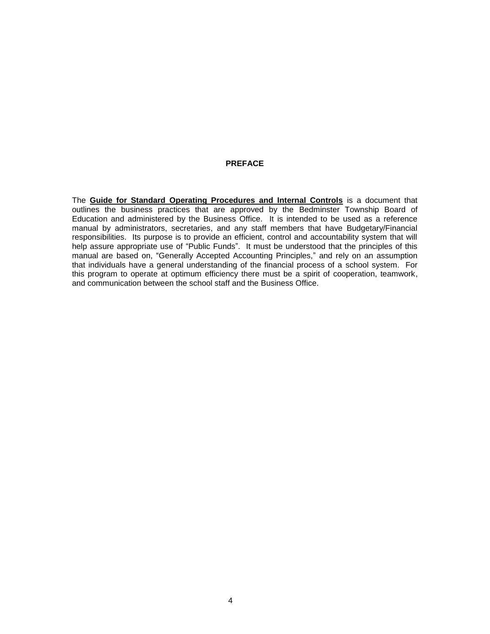#### **PREFACE**

The **Guide for Standard Operating Procedures and Internal Controls** is a document that outlines the business practices that are approved by the Bedminster Township Board of Education and administered by the Business Office. It is intended to be used as a reference manual by administrators, secretaries, and any staff members that have Budgetary/Financial responsibilities. Its purpose is to provide an efficient, control and accountability system that will help assure appropriate use of "Public Funds". It must be understood that the principles of this manual are based on, "Generally Accepted Accounting Principles," and rely on an assumption that individuals have a general understanding of the financial process of a school system. For this program to operate at optimum efficiency there must be a spirit of cooperation, teamwork, and communication between the school staff and the Business Office.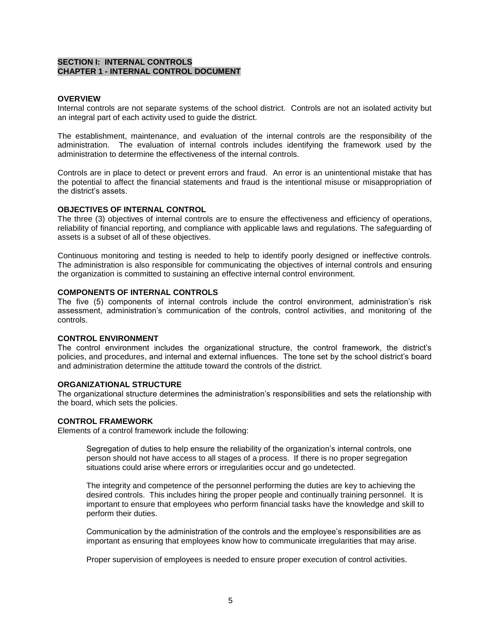#### **SECTION I: INTERNAL CONTROLS CHAPTER 1 - INTERNAL CONTROL DOCUMENT**

#### **OVERVIEW**

Internal controls are not separate systems of the school district. Controls are not an isolated activity but an integral part of each activity used to guide the district.

The establishment, maintenance, and evaluation of the internal controls are the responsibility of the administration. The evaluation of internal controls includes identifying the framework used by the administration to determine the effectiveness of the internal controls.

Controls are in place to detect or prevent errors and fraud. An error is an unintentional mistake that has the potential to affect the financial statements and fraud is the intentional misuse or misappropriation of the district's assets.

#### **OBJECTIVES OF INTERNAL CONTROL**

The three (3) objectives of internal controls are to ensure the effectiveness and efficiency of operations, reliability of financial reporting, and compliance with applicable laws and regulations. The safeguarding of assets is a subset of all of these objectives.

Continuous monitoring and testing is needed to help to identify poorly designed or ineffective controls. The administration is also responsible for communicating the objectives of internal controls and ensuring the organization is committed to sustaining an effective internal control environment.

#### **COMPONENTS OF INTERNAL CONTROLS**

The five (5) components of internal controls include the control environment, administration's risk assessment, administration's communication of the controls, control activities, and monitoring of the controls.

#### **CONTROL ENVIRONMENT**

The control environment includes the organizational structure, the control framework, the district's policies, and procedures, and internal and external influences. The tone set by the school district's board and administration determine the attitude toward the controls of the district.

#### **ORGANIZATIONAL STRUCTURE**

The organizational structure determines the administration's responsibilities and sets the relationship with the board, which sets the policies.

#### **CONTROL FRAMEWORK**

Elements of a control framework include the following:

Segregation of duties to help ensure the reliability of the organization's internal controls, one person should not have access to all stages of a process. If there is no proper segregation situations could arise where errors or irregularities occur and go undetected.

The integrity and competence of the personnel performing the duties are key to achieving the desired controls. This includes hiring the proper people and continually training personnel. It is important to ensure that employees who perform financial tasks have the knowledge and skill to perform their duties.

Communication by the administration of the controls and the employee's responsibilities are as important as ensuring that employees know how to communicate irregularities that may arise.

Proper supervision of employees is needed to ensure proper execution of control activities.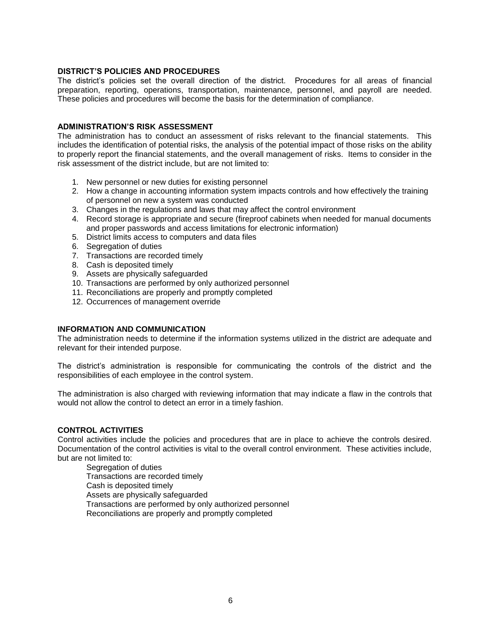#### **DISTRICT'S POLICIES AND PROCEDURES**

The district's policies set the overall direction of the district. Procedures for all areas of financial preparation, reporting, operations, transportation, maintenance, personnel, and payroll are needed. These policies and procedures will become the basis for the determination of compliance.

#### **ADMINISTRATION'S RISK ASSESSMENT**

The administration has to conduct an assessment of risks relevant to the financial statements. This includes the identification of potential risks, the analysis of the potential impact of those risks on the ability to properly report the financial statements, and the overall management of risks. Items to consider in the risk assessment of the district include, but are not limited to:

- 1. New personnel or new duties for existing personnel
- 2. How a change in accounting information system impacts controls and how effectively the training of personnel on new a system was conducted
- 3. Changes in the regulations and laws that may affect the control environment
- 4. Record storage is appropriate and secure (fireproof cabinets when needed for manual documents and proper passwords and access limitations for electronic information)
- 5. District limits access to computers and data files
- 6. Segregation of duties
- 7. Transactions are recorded timely
- 8. Cash is deposited timely
- 9. Assets are physically safeguarded
- 10. Transactions are performed by only authorized personnel
- 11. Reconciliations are properly and promptly completed
- 12. Occurrences of management override

#### **INFORMATION AND COMMUNICATION**

The administration needs to determine if the information systems utilized in the district are adequate and relevant for their intended purpose.

The district's administration is responsible for communicating the controls of the district and the responsibilities of each employee in the control system.

The administration is also charged with reviewing information that may indicate a flaw in the controls that would not allow the control to detect an error in a timely fashion.

#### **CONTROL ACTIVITIES**

Control activities include the policies and procedures that are in place to achieve the controls desired. Documentation of the control activities is vital to the overall control environment. These activities include, but are not limited to:

Segregation of duties Transactions are recorded timely Cash is deposited timely Assets are physically safeguarded Transactions are performed by only authorized personnel Reconciliations are properly and promptly completed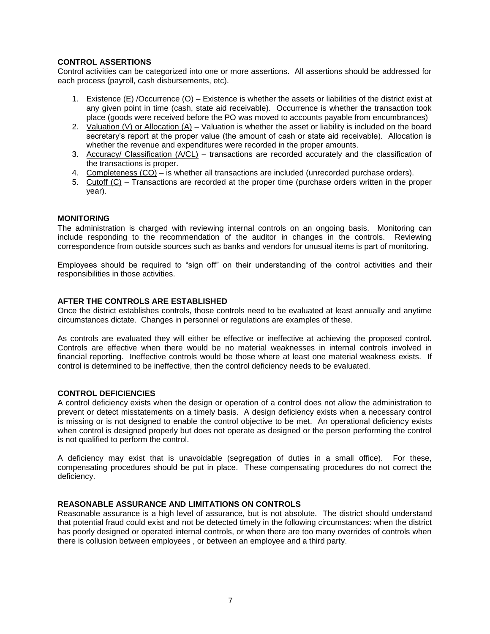#### **CONTROL ASSERTIONS**

Control activities can be categorized into one or more assertions. All assertions should be addressed for each process (payroll, cash disbursements, etc).

- 1. Existence (E) /Occurrence (O) Existence is whether the assets or liabilities of the district exist at any given point in time (cash, state aid receivable). Occurrence is whether the transaction took place (goods were received before the PO was moved to accounts payable from encumbrances)
- 2. Valuation (V) or Allocation  $(A)$  Valuation is whether the asset or liability is included on the board secretary's report at the proper value (the amount of cash or state aid receivable). Allocation is whether the revenue and expenditures were recorded in the proper amounts.
- 3. Accuracy/ Classification (A/CL) transactions are recorded accurately and the classification of the transactions is proper.
- 4. Completeness (CO) is whether all transactions are included (unrecorded purchase orders).
- 5. Cutoff (C) Transactions are recorded at the proper time (purchase orders written in the proper year).

#### **MONITORING**

The administration is charged with reviewing internal controls on an ongoing basis. Monitoring can include responding to the recommendation of the auditor in changes in the controls. Reviewing correspondence from outside sources such as banks and vendors for unusual items is part of monitoring.

Employees should be required to "sign off" on their understanding of the control activities and their responsibilities in those activities.

#### **AFTER THE CONTROLS ARE ESTABLISHED**

Once the district establishes controls, those controls need to be evaluated at least annually and anytime circumstances dictate. Changes in personnel or regulations are examples of these.

As controls are evaluated they will either be effective or ineffective at achieving the proposed control. Controls are effective when there would be no material weaknesses in internal controls involved in financial reporting. Ineffective controls would be those where at least one material weakness exists. If control is determined to be ineffective, then the control deficiency needs to be evaluated.

#### **CONTROL DEFICIENCIES**

A control deficiency exists when the design or operation of a control does not allow the administration to prevent or detect misstatements on a timely basis. A design deficiency exists when a necessary control is missing or is not designed to enable the control objective to be met. An operational deficiency exists when control is designed properly but does not operate as designed or the person performing the control is not qualified to perform the control.

A deficiency may exist that is unavoidable (segregation of duties in a small office). For these, compensating procedures should be put in place. These compensating procedures do not correct the deficiency.

#### **REASONABLE ASSURANCE AND LIMITATIONS ON CONTROLS**

Reasonable assurance is a high level of assurance, but is not absolute. The district should understand that potential fraud could exist and not be detected timely in the following circumstances: when the district has poorly designed or operated internal controls, or when there are too many overrides of controls when there is collusion between employees , or between an employee and a third party.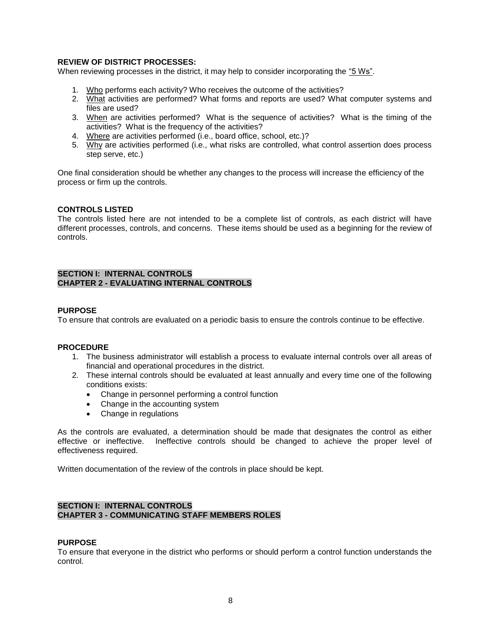#### **REVIEW OF DISTRICT PROCESSES:**

When reviewing processes in the district, it may help to consider incorporating the "5 Ws".

- 1. Who performs each activity? Who receives the outcome of the activities?
- 2. What activities are performed? What forms and reports are used? What computer systems and files are used?
- 3. When are activities performed? What is the sequence of activities? What is the timing of the activities? What is the frequency of the activities?
- 4. Where are activities performed (i.e., board office, school, etc.)?
- 5. Why are activities performed (i.e., what risks are controlled, what control assertion does process step serve, etc.)

One final consideration should be whether any changes to the process will increase the efficiency of the process or firm up the controls.

#### **CONTROLS LISTED**

The controls listed here are not intended to be a complete list of controls, as each district will have different processes, controls, and concerns. These items should be used as a beginning for the review of controls.

#### **SECTION I: INTERNAL CONTROLS CHAPTER 2 - EVALUATING INTERNAL CONTROLS**

#### **PURPOSE**

To ensure that controls are evaluated on a periodic basis to ensure the controls continue to be effective.

#### **PROCEDURE**

- 1. The business administrator will establish a process to evaluate internal controls over all areas of financial and operational procedures in the district.
- 2. These internal controls should be evaluated at least annually and every time one of the following conditions exists:
	- Change in personnel performing a control function
	- Change in the accounting system
	- Change in regulations

As the controls are evaluated, a determination should be made that designates the control as either effective or ineffective. Ineffective controls should be changed to achieve the proper level of effectiveness required.

Written documentation of the review of the controls in place should be kept.

#### **SECTION I: INTERNAL CONTROLS CHAPTER 3 - COMMUNICATING STAFF MEMBERS ROLES**

#### **PURPOSE**

To ensure that everyone in the district who performs or should perform a control function understands the control.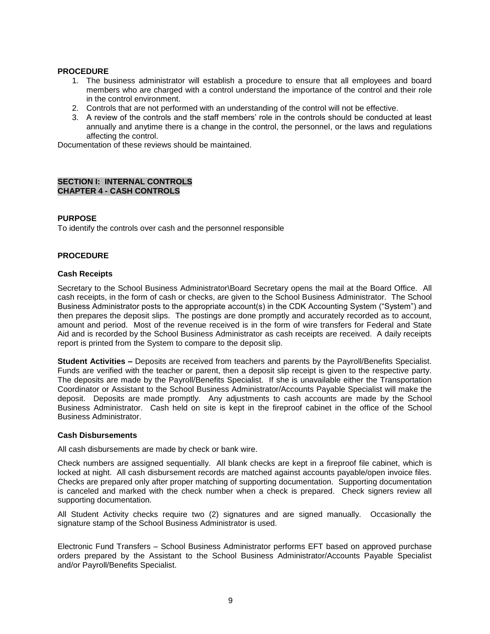#### **PROCEDURE**

- 1. The business administrator will establish a procedure to ensure that all employees and board members who are charged with a control understand the importance of the control and their role in the control environment.
- 2. Controls that are not performed with an understanding of the control will not be effective.
- 3. A review of the controls and the staff members' role in the controls should be conducted at least annually and anytime there is a change in the control, the personnel, or the laws and regulations affecting the control.

Documentation of these reviews should be maintained.

#### **SECTION I: INTERNAL CONTROLS CHAPTER 4 - CASH CONTROLS**

#### **PURPOSE**

To identify the controls over cash and the personnel responsible

#### **PROCEDURE**

#### **Cash Receipts**

Secretary to the School Business Administrator\Board Secretary opens the mail at the Board Office. All cash receipts, in the form of cash or checks, are given to the School Business Administrator. The School Business Administrator posts to the appropriate account(s) in the CDK Accounting System ("System") and then prepares the deposit slips. The postings are done promptly and accurately recorded as to account, amount and period. Most of the revenue received is in the form of wire transfers for Federal and State Aid and is recorded by the School Business Administrator as cash receipts are received. A daily receipts report is printed from the System to compare to the deposit slip.

**Student Activities –** Deposits are received from teachers and parents by the Payroll/Benefits Specialist. Funds are verified with the teacher or parent, then a deposit slip receipt is given to the respective party. The deposits are made by the Payroll/Benefits Specialist. If she is unavailable either the Transportation Coordinator or Assistant to the School Business Administrator/Accounts Payable Specialist will make the deposit. Deposits are made promptly. Any adjustments to cash accounts are made by the School Business Administrator. Cash held on site is kept in the fireproof cabinet in the office of the School Business Administrator.

#### **Cash Disbursements**

All cash disbursements are made by check or bank wire.

Check numbers are assigned sequentially. All blank checks are kept in a fireproof file cabinet, which is locked at night. All cash disbursement records are matched against accounts payable/open invoice files. Checks are prepared only after proper matching of supporting documentation. Supporting documentation is canceled and marked with the check number when a check is prepared. Check signers review all supporting documentation.

All Student Activity checks require two (2) signatures and are signed manually. Occasionally the signature stamp of the School Business Administrator is used.

Electronic Fund Transfers – School Business Administrator performs EFT based on approved purchase orders prepared by the Assistant to the School Business Administrator/Accounts Payable Specialist and/or Payroll/Benefits Specialist.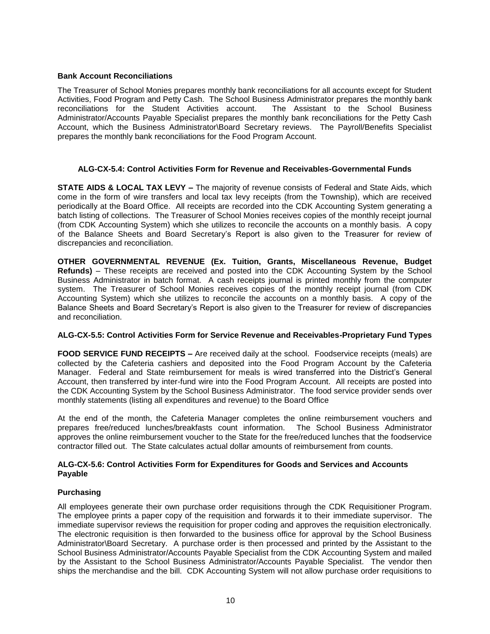#### **Bank Account Reconciliations**

The Treasurer of School Monies prepares monthly bank reconciliations for all accounts except for Student Activities, Food Program and Petty Cash. The School Business Administrator prepares the monthly bank reconciliations for the Student Activities account. The Assistant to the School Business Administrator/Accounts Payable Specialist prepares the monthly bank reconciliations for the Petty Cash Account, which the Business Administrator\Board Secretary reviews. The Payroll/Benefits Specialist prepares the monthly bank reconciliations for the Food Program Account.

#### **ALG-CX-5.4: Control Activities Form for Revenue and Receivables-Governmental Funds**

**STATE AIDS & LOCAL TAX LEVY –** The majority of revenue consists of Federal and State Aids, which come in the form of wire transfers and local tax levy receipts (from the Township), which are received periodically at the Board Office. All receipts are recorded into the CDK Accounting System generating a batch listing of collections. The Treasurer of School Monies receives copies of the monthly receipt journal (from CDK Accounting System) which she utilizes to reconcile the accounts on a monthly basis. A copy of the Balance Sheets and Board Secretary's Report is also given to the Treasurer for review of discrepancies and reconciliation.

**OTHER GOVERNMENTAL REVENUE (Ex. Tuition, Grants, Miscellaneous Revenue, Budget Refunds)** – These receipts are received and posted into the CDK Accounting System by the School Business Administrator in batch format. A cash receipts journal is printed monthly from the computer system. The Treasurer of School Monies receives copies of the monthly receipt journal (from CDK Accounting System) which she utilizes to reconcile the accounts on a monthly basis. A copy of the Balance Sheets and Board Secretary's Report is also given to the Treasurer for review of discrepancies and reconciliation.

#### **ALG-CX-5.5: Control Activities Form for Service Revenue and Receivables-Proprietary Fund Types**

**FOOD SERVICE FUND RECEIPTS –** Are received daily at the school. Foodservice receipts (meals) are collected by the Cafeteria cashiers and deposited into the Food Program Account by the Cafeteria Manager. Federal and State reimbursement for meals is wired transferred into the District's General Account, then transferred by inter-fund wire into the Food Program Account. All receipts are posted into the CDK Accounting System by the School Business Administrator. The food service provider sends over monthly statements (listing all expenditures and revenue) to the Board Office

At the end of the month, the Cafeteria Manager completes the online reimbursement vouchers and prepares free/reduced lunches/breakfasts count information. The School Business Administrator approves the online reimbursement voucher to the State for the free/reduced lunches that the foodservice contractor filled out. The State calculates actual dollar amounts of reimbursement from counts.

#### **ALG-CX-5.6: Control Activities Form for Expenditures for Goods and Services and Accounts Payable**

#### **Purchasing**

All employees generate their own purchase order requisitions through the CDK Requisitioner Program. The employee prints a paper copy of the requisition and forwards it to their immediate supervisor. The immediate supervisor reviews the requisition for proper coding and approves the requisition electronically. The electronic requisition is then forwarded to the business office for approval by the School Business Administrator\Board Secretary. A purchase order is then processed and printed by the Assistant to the School Business Administrator/Accounts Payable Specialist from the CDK Accounting System and mailed by the Assistant to the School Business Administrator/Accounts Payable Specialist. The vendor then ships the merchandise and the bill. CDK Accounting System will not allow purchase order requisitions to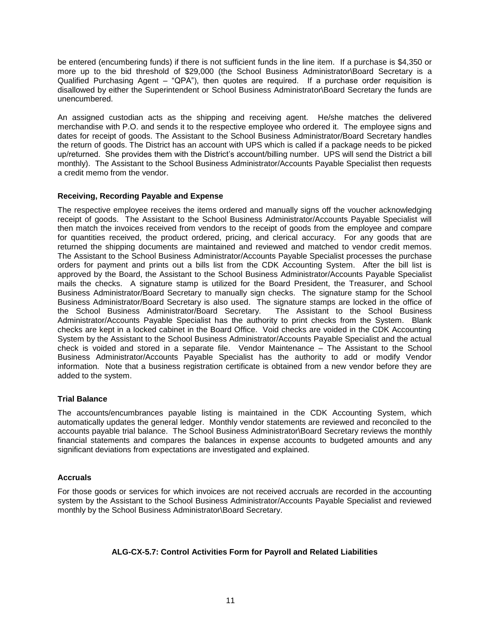be entered (encumbering funds) if there is not sufficient funds in the line item. If a purchase is \$4,350 or more up to the bid threshold of \$29,000 (the School Business Administrator\Board Secretary is a Qualified Purchasing Agent – "QPA"), then quotes are required. If a purchase order requisition is disallowed by either the Superintendent or School Business Administrator\Board Secretary the funds are unencumbered.

An assigned custodian acts as the shipping and receiving agent. He/she matches the delivered merchandise with P.O. and sends it to the respective employee who ordered it. The employee signs and dates for receipt of goods. The Assistant to the School Business Administrator/Board Secretary handles the return of goods. The District has an account with UPS which is called if a package needs to be picked up/returned. She provides them with the District's account/billing number. UPS will send the District a bill monthly). The Assistant to the School Business Administrator/Accounts Payable Specialist then requests a credit memo from the vendor.

#### **Receiving, Recording Payable and Expense**

The respective employee receives the items ordered and manually signs off the voucher acknowledging receipt of goods. The Assistant to the School Business Administrator/Accounts Payable Specialist will then match the invoices received from vendors to the receipt of goods from the employee and compare for quantities received, the product ordered, pricing, and clerical accuracy. For any goods that are returned the shipping documents are maintained and reviewed and matched to vendor credit memos. The Assistant to the School Business Administrator/Accounts Payable Specialist processes the purchase orders for payment and prints out a bills list from the CDK Accounting System. After the bill list is approved by the Board, the Assistant to the School Business Administrator/Accounts Payable Specialist mails the checks. A signature stamp is utilized for the Board President, the Treasurer, and School Business Administrator/Board Secretary to manually sign checks. The signature stamp for the School Business Administrator/Board Secretary is also used. The signature stamps are locked in the office of the School Business Administrator/Board Secretary. The Assistant to the School Business Administrator/Accounts Payable Specialist has the authority to print checks from the System. Blank checks are kept in a locked cabinet in the Board Office. Void checks are voided in the CDK Accounting System by the Assistant to the School Business Administrator/Accounts Payable Specialist and the actual check is voided and stored in a separate file. Vendor Maintenance – The Assistant to the School Business Administrator/Accounts Payable Specialist has the authority to add or modify Vendor information. Note that a business registration certificate is obtained from a new vendor before they are added to the system.

#### **Trial Balance**

The accounts/encumbrances payable listing is maintained in the CDK Accounting System, which automatically updates the general ledger. Monthly vendor statements are reviewed and reconciled to the accounts payable trial balance. The School Business Administrator\Board Secretary reviews the monthly financial statements and compares the balances in expense accounts to budgeted amounts and any significant deviations from expectations are investigated and explained.

#### **Accruals**

For those goods or services for which invoices are not received accruals are recorded in the accounting system by the Assistant to the School Business Administrator/Accounts Payable Specialist and reviewed monthly by the School Business Administrator\Board Secretary.

### **ALG-CX-5.7: Control Activities Form for Payroll and Related Liabilities**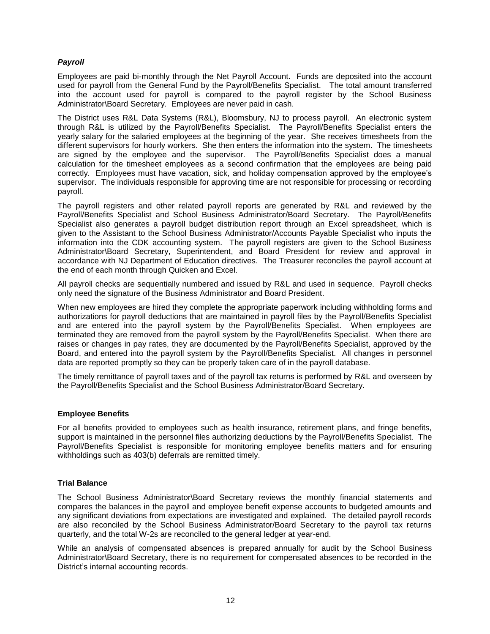#### *Payroll*

Employees are paid bi-monthly through the Net Payroll Account. Funds are deposited into the account used for payroll from the General Fund by the Payroll/Benefits Specialist. The total amount transferred into the account used for payroll is compared to the payroll register by the School Business Administrator\Board Secretary. Employees are never paid in cash.

The District uses R&L Data Systems (R&L), Bloomsbury, NJ to process payroll. An electronic system through R&L is utilized by the Payroll/Benefits Specialist. The Payroll/Benefits Specialist enters the yearly salary for the salaried employees at the beginning of the year. She receives timesheets from the different supervisors for hourly workers. She then enters the information into the system. The timesheets are signed by the employee and the supervisor. The Payroll/Benefits Specialist does a manual calculation for the timesheet employees as a second confirmation that the employees are being paid correctly. Employees must have vacation, sick, and holiday compensation approved by the employee's supervisor. The individuals responsible for approving time are not responsible for processing or recording payroll.

The payroll registers and other related payroll reports are generated by R&L and reviewed by the Payroll/Benefits Specialist and School Business Administrator/Board Secretary. The Payroll/Benefits Specialist also generates a payroll budget distribution report through an Excel spreadsheet, which is given to the Assistant to the School Business Administrator/Accounts Payable Specialist who inputs the information into the CDK accounting system. The payroll registers are given to the School Business Administrator\Board Secretary, Superintendent, and Board President for review and approval in accordance with NJ Department of Education directives. The Treasurer reconciles the payroll account at the end of each month through Quicken and Excel.

All payroll checks are sequentially numbered and issued by R&L and used in sequence. Payroll checks only need the signature of the Business Administrator and Board President.

When new employees are hired they complete the appropriate paperwork including withholding forms and authorizations for payroll deductions that are maintained in payroll files by the Payroll/Benefits Specialist and are entered into the payroll system by the Payroll/Benefits Specialist. When employees are terminated they are removed from the payroll system by the Payroll/Benefits Specialist. When there are raises or changes in pay rates, they are documented by the Payroll/Benefits Specialist, approved by the Board, and entered into the payroll system by the Payroll/Benefits Specialist. All changes in personnel data are reported promptly so they can be properly taken care of in the payroll database.

The timely remittance of payroll taxes and of the payroll tax returns is performed by R&L and overseen by the Payroll/Benefits Specialist and the School Business Administrator/Board Secretary.

#### **Employee Benefits**

For all benefits provided to employees such as health insurance, retirement plans, and fringe benefits, support is maintained in the personnel files authorizing deductions by the Payroll/Benefits Specialist. The Payroll/Benefits Specialist is responsible for monitoring employee benefits matters and for ensuring withholdings such as 403(b) deferrals are remitted timely.

#### **Trial Balance**

The School Business Administrator\Board Secretary reviews the monthly financial statements and compares the balances in the payroll and employee benefit expense accounts to budgeted amounts and any significant deviations from expectations are investigated and explained. The detailed payroll records are also reconciled by the School Business Administrator/Board Secretary to the payroll tax returns quarterly, and the total W-2s are reconciled to the general ledger at year-end.

While an analysis of compensated absences is prepared annually for audit by the School Business Administrator\Board Secretary, there is no requirement for compensated absences to be recorded in the District's internal accounting records.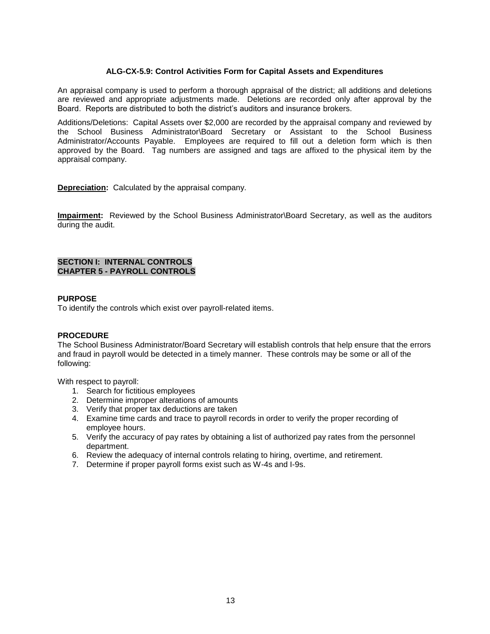#### **ALG-CX-5.9: Control Activities Form for Capital Assets and Expenditures**

An appraisal company is used to perform a thorough appraisal of the district; all additions and deletions are reviewed and appropriate adjustments made. Deletions are recorded only after approval by the Board. Reports are distributed to both the district's auditors and insurance brokers.

Additions/Deletions: Capital Assets over \$2,000 are recorded by the appraisal company and reviewed by the School Business Administrator\Board Secretary or Assistant to the School Business Administrator/Accounts Payable. Employees are required to fill out a deletion form which is then approved by the Board. Tag numbers are assigned and tags are affixed to the physical item by the appraisal company.

**Depreciation:** Calculated by the appraisal company.

**Impairment:** Reviewed by the School Business Administrator\Board Secretary, as well as the auditors during the audit.

#### **SECTION I: INTERNAL CONTROLS CHAPTER 5 - PAYROLL CONTROLS**

#### **PURPOSE**

To identify the controls which exist over payroll-related items.

#### **PROCEDURE**

The School Business Administrator/Board Secretary will establish controls that help ensure that the errors and fraud in payroll would be detected in a timely manner. These controls may be some or all of the following:

With respect to payroll:

- 1. Search for fictitious employees
- 2. Determine improper alterations of amounts
- 3. Verify that proper tax deductions are taken
- 4. Examine time cards and trace to payroll records in order to verify the proper recording of employee hours.
- 5. Verify the accuracy of pay rates by obtaining a list of authorized pay rates from the personnel department.
- 6. Review the adequacy of internal controls relating to hiring, overtime, and retirement.
- 7. Determine if proper payroll forms exist such as W-4s and I-9s.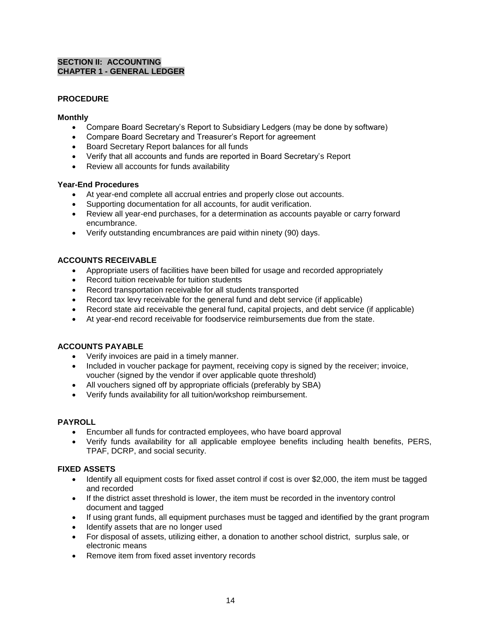#### **SECTION II: ACCOUNTING CHAPTER 1 - GENERAL LEDGER**

#### **PROCEDURE**

#### **Monthly**

- Compare Board Secretary's Report to Subsidiary Ledgers (may be done by software)
- Compare Board Secretary and Treasurer's Report for agreement
- Board Secretary Report balances for all funds
- Verify that all accounts and funds are reported in Board Secretary's Report
- Review all accounts for funds availability

#### **Year-End Procedures**

- At year-end complete all accrual entries and properly close out accounts.
- Supporting documentation for all accounts, for audit verification.
- Review all year-end purchases, for a determination as accounts payable or carry forward encumbrance.
- Verify outstanding encumbrances are paid within ninety (90) days.

#### **ACCOUNTS RECEIVABLE**

- Appropriate users of facilities have been billed for usage and recorded appropriately
- Record tuition receivable for tuition students
- Record transportation receivable for all students transported
- Record tax levy receivable for the general fund and debt service (if applicable)
- Record state aid receivable the general fund, capital projects, and debt service (if applicable)
- At year-end record receivable for foodservice reimbursements due from the state.

#### **ACCOUNTS PAYABLE**

- Verify invoices are paid in a timely manner.
- Included in voucher package for payment, receiving copy is signed by the receiver; invoice, voucher (signed by the vendor if over applicable quote threshold)
- All vouchers signed off by appropriate officials (preferably by SBA)
- Verify funds availability for all tuition/workshop reimbursement.

#### **PAYROLL**

- Encumber all funds for contracted employees, who have board approval
- Verify funds availability for all applicable employee benefits including health benefits, PERS, TPAF, DCRP, and social security.

#### **FIXED ASSETS**

- Identify all equipment costs for fixed asset control if cost is over \$2,000, the item must be tagged and recorded
- If the district asset threshold is lower, the item must be recorded in the inventory control document and tagged
- If using grant funds, all equipment purchases must be tagged and identified by the grant program
- Identify assets that are no longer used
- For disposal of assets, utilizing either, a donation to another school district, surplus sale, or electronic means
- Remove item from fixed asset inventory records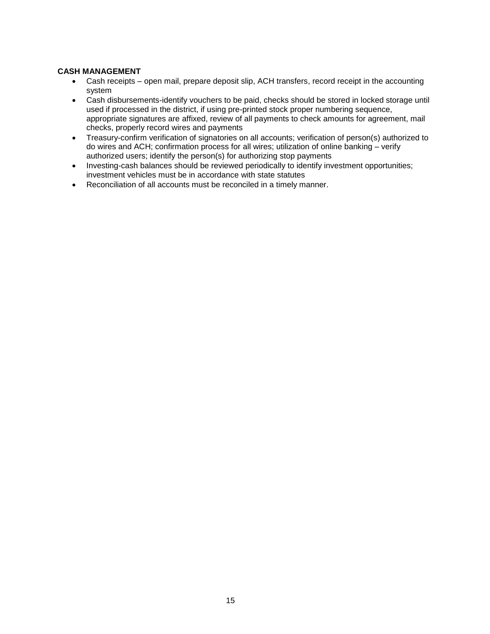#### **CASH MANAGEMENT**

- Cash receipts open mail, prepare deposit slip, ACH transfers, record receipt in the accounting system
- Cash disbursements-identify vouchers to be paid, checks should be stored in locked storage until used if processed in the district, if using pre-printed stock proper numbering sequence, appropriate signatures are affixed, review of all payments to check amounts for agreement, mail checks, properly record wires and payments
- Treasury-confirm verification of signatories on all accounts; verification of person(s) authorized to do wires and ACH; confirmation process for all wires; utilization of online banking – verify authorized users; identify the person(s) for authorizing stop payments
- Investing-cash balances should be reviewed periodically to identify investment opportunities; investment vehicles must be in accordance with state statutes
- Reconciliation of all accounts must be reconciled in a timely manner.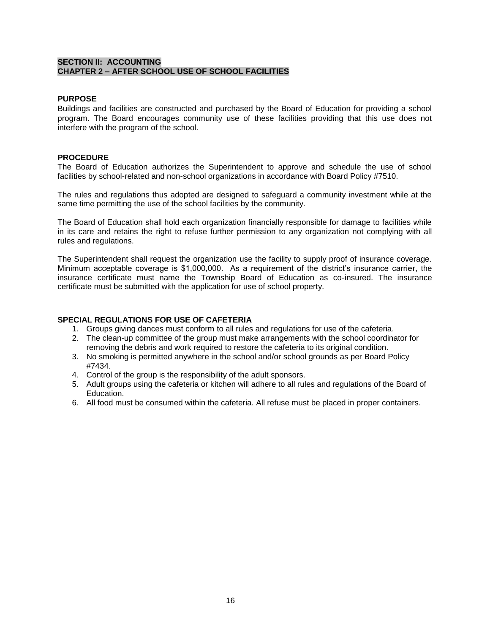#### **SECTION II: ACCOUNTING CHAPTER 2 – AFTER SCHOOL USE OF SCHOOL FACILITIES**

#### **PURPOSE**

Buildings and facilities are constructed and purchased by the Board of Education for providing a school program. The Board encourages community use of these facilities providing that this use does not interfere with the program of the school.

#### **PROCEDURE**

The Board of Education authorizes the Superintendent to approve and schedule the use of school facilities by school-related and non-school organizations in accordance with Board Policy #7510.

The rules and regulations thus adopted are designed to safeguard a community investment while at the same time permitting the use of the school facilities by the community.

The Board of Education shall hold each organization financially responsible for damage to facilities while in its care and retains the right to refuse further permission to any organization not complying with all rules and regulations.

The Superintendent shall request the organization use the facility to supply proof of insurance coverage. Minimum acceptable coverage is \$1,000,000. As a requirement of the district's insurance carrier, the insurance certificate must name the Township Board of Education as co-insured. The insurance certificate must be submitted with the application for use of school property.

#### **SPECIAL REGULATIONS FOR USE OF CAFETERIA**

- 1. Groups giving dances must conform to all rules and regulations for use of the cafeteria.
- 2. The clean-up committee of the group must make arrangements with the school coordinator for removing the debris and work required to restore the cafeteria to its original condition.
- 3. No smoking is permitted anywhere in the school and/or school grounds as per Board Policy #7434.
- 4. Control of the group is the responsibility of the adult sponsors.
- 5. Adult groups using the cafeteria or kitchen will adhere to all rules and regulations of the Board of Education.
- 6. All food must be consumed within the cafeteria. All refuse must be placed in proper containers.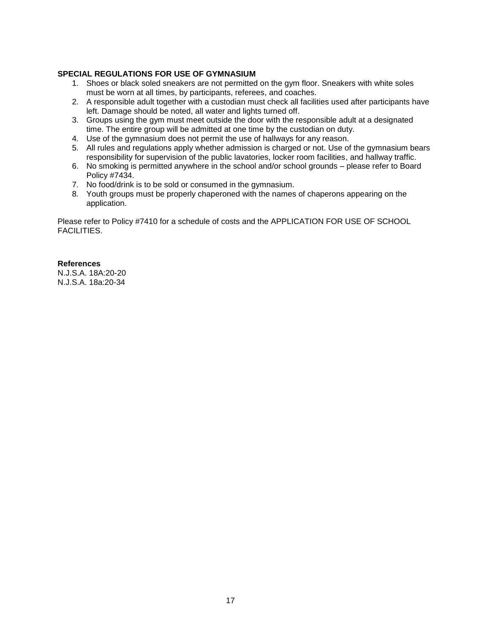#### **SPECIAL REGULATIONS FOR USE OF GYMNASIUM**

- 1. Shoes or black soled sneakers are not permitted on the gym floor. Sneakers with white soles must be worn at all times, by participants, referees, and coaches.
- 2. A responsible adult together with a custodian must check all facilities used after participants have left. Damage should be noted, all water and lights turned off.
- 3. Groups using the gym must meet outside the door with the responsible adult at a designated time. The entire group will be admitted at one time by the custodian on duty.
- 4. Use of the gymnasium does not permit the use of hallways for any reason.
- 5. All rules and regulations apply whether admission is charged or not. Use of the gymnasium bears responsibility for supervision of the public lavatories, locker room facilities, and hallway traffic.
- 6. No smoking is permitted anywhere in the school and/or school grounds please refer to Board Policy #7434.
- 7. No food/drink is to be sold or consumed in the gymnasium.
- 8. Youth groups must be properly chaperoned with the names of chaperons appearing on the application.

Please refer to Policy #7410 for a schedule of costs and the APPLICATION FOR USE OF SCHOOL FACILITIES.

#### **References**

N.J.S.A. 18A:20-20 N.J.S.A. 18a:20-34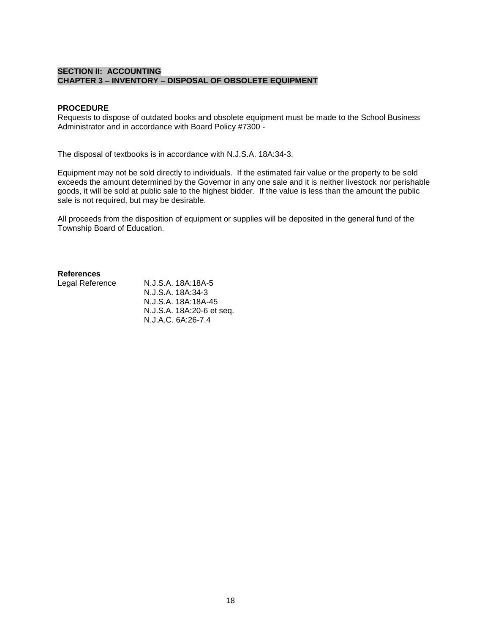#### **SECTION II: ACCOUNTING CHAPTER 3 – INVENTORY – DISPOSAL OF OBSOLETE EQUIPMENT**

#### **PROCEDURE**

Requests to dispose of outdated books and obsolete equipment must be made to the School Business Administrator and in accordance with Board Policy #7300 -

The disposal of textbooks is in accordance with N.J.S.A. 18A:34-3.

Equipment may not be sold directly to individuals. If the estimated fair value or the property to be sold exceeds the amount determined by the Governor in any one sale and it is neither livestock nor perishable goods, it will be sold at public sale to the highest bidder. If the value is less than the amount the public sale is not required, but may be desirable.

All proceeds from the disposition of equipment or supplies will be deposited in the general fund of the Township Board of Education.

#### **References**

Legal Reference N.J.S.A. 18A:18A-5 N.J.S.A. 18A:34-3 N.J.S.A. 18A:18A-45 N.J.S.A. 18A:20-6 et seq. N.J.A.C. 6A:26-7.4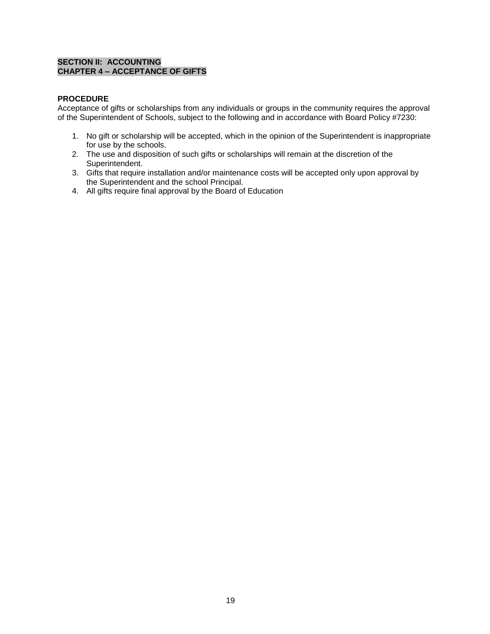#### **SECTION II: ACCOUNTING CHAPTER 4 – ACCEPTANCE OF GIFTS**

#### **PROCEDURE**

Acceptance of gifts or scholarships from any individuals or groups in the community requires the approval of the Superintendent of Schools, subject to the following and in accordance with Board Policy #7230:

- 1. No gift or scholarship will be accepted, which in the opinion of the Superintendent is inappropriate for use by the schools.
- 2. The use and disposition of such gifts or scholarships will remain at the discretion of the Superintendent.
- 3. Gifts that require installation and/or maintenance costs will be accepted only upon approval by the Superintendent and the school Principal.
- 4. All gifts require final approval by the Board of Education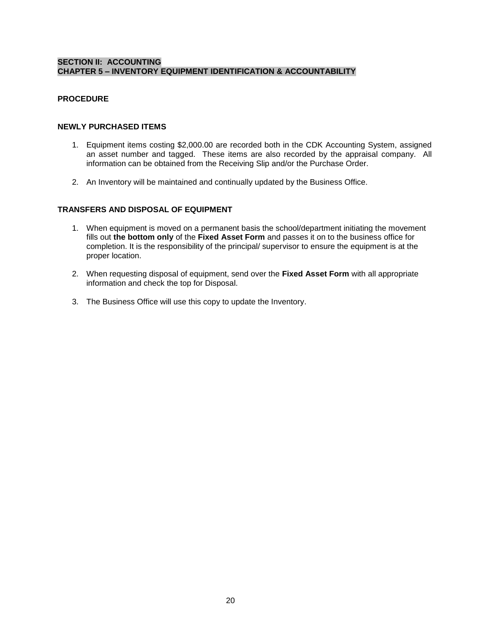#### **SECTION II: ACCOUNTING CHAPTER 5 – INVENTORY EQUIPMENT IDENTIFICATION & ACCOUNTABILITY**

#### **PROCEDURE**

#### **NEWLY PURCHASED ITEMS**

- 1. Equipment items costing \$2,000.00 are recorded both in the CDK Accounting System, assigned an asset number and tagged. These items are also recorded by the appraisal company. All information can be obtained from the Receiving Slip and/or the Purchase Order.
- 2. An Inventory will be maintained and continually updated by the Business Office.

#### **TRANSFERS AND DISPOSAL OF EQUIPMENT**

- 1. When equipment is moved on a permanent basis the school/department initiating the movement fills out **the bottom only** of the **Fixed Asset Form** and passes it on to the business office for completion. It is the responsibility of the principal/ supervisor to ensure the equipment is at the proper location.
- 2. When requesting disposal of equipment, send over the **Fixed Asset Form** with all appropriate information and check the top for Disposal.
- 3. The Business Office will use this copy to update the Inventory.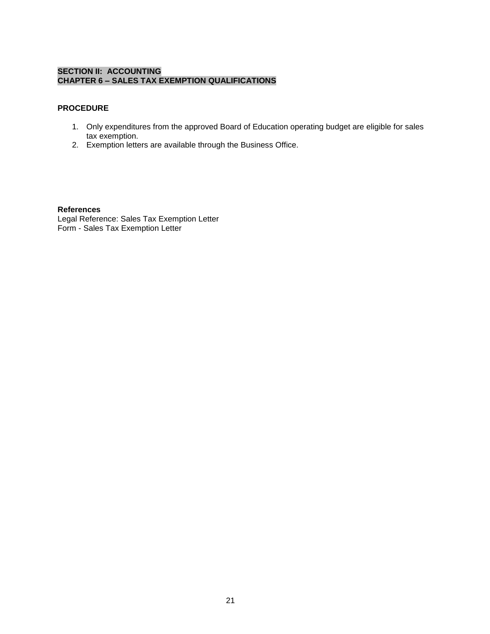#### **SECTION II: ACCOUNTING CHAPTER 6 – SALES TAX EXEMPTION QUALIFICATIONS**

### **PROCEDURE**

- 1. Only expenditures from the approved Board of Education operating budget are eligible for sales tax exemption.
- 2. Exemption letters are available through the Business Office.

#### **References**

Legal Reference: Sales Tax Exemption Letter Form - Sales Tax Exemption Letter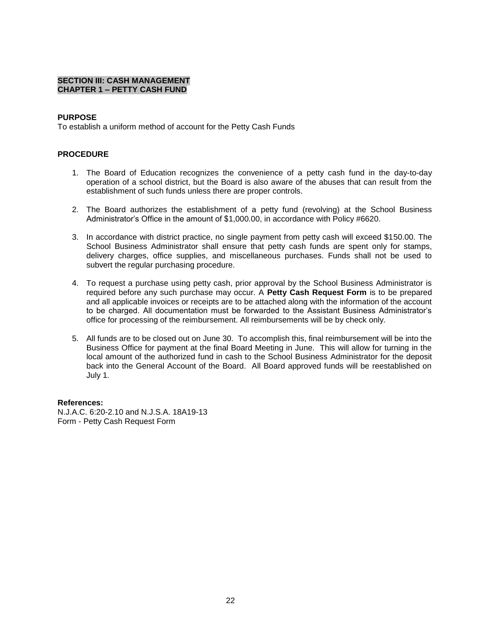#### **SECTION III: CASH MANAGEMENT CHAPTER 1 – PETTY CASH FUND**

#### **PURPOSE**

To establish a uniform method of account for the Petty Cash Funds

#### **PROCEDURE**

- 1. The Board of Education recognizes the convenience of a petty cash fund in the day-to-day operation of a school district, but the Board is also aware of the abuses that can result from the establishment of such funds unless there are proper controls.
- 2. The Board authorizes the establishment of a petty fund (revolving) at the School Business Administrator's Office in the amount of \$1,000.00, in accordance with Policy #6620.
- 3. In accordance with district practice, no single payment from petty cash will exceed \$150.00. The School Business Administrator shall ensure that petty cash funds are spent only for stamps, delivery charges, office supplies, and miscellaneous purchases. Funds shall not be used to subvert the regular purchasing procedure.
- 4. To request a purchase using petty cash, prior approval by the School Business Administrator is required before any such purchase may occur. A **Petty Cash Request Form** is to be prepared and all applicable invoices or receipts are to be attached along with the information of the account to be charged. All documentation must be forwarded to the Assistant Business Administrator's office for processing of the reimbursement. All reimbursements will be by check only.
- 5. All funds are to be closed out on June 30. To accomplish this, final reimbursement will be into the Business Office for payment at the final Board Meeting in June. This will allow for turning in the local amount of the authorized fund in cash to the School Business Administrator for the deposit back into the General Account of the Board. All Board approved funds will be reestablished on July 1.

#### **References:**

N.J.A.C. 6:20-2.10 and N.J.S.A. 18A19-13 Form - Petty Cash Request Form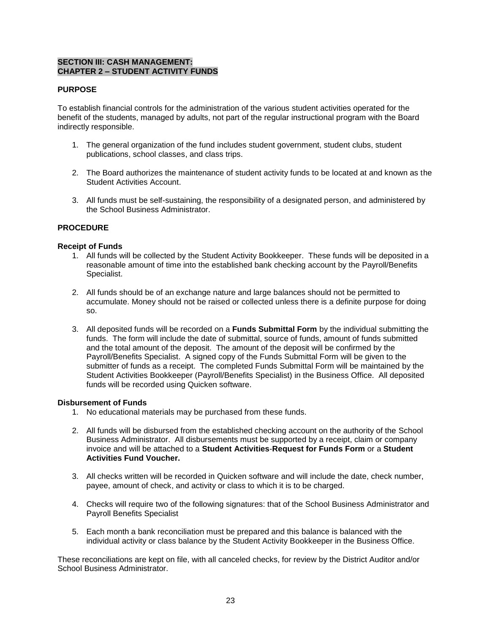#### **SECTION III: CASH MANAGEMENT: CHAPTER 2 – STUDENT ACTIVITY FUNDS**

#### **PURPOSE**

To establish financial controls for the administration of the various student activities operated for the benefit of the students, managed by adults, not part of the regular instructional program with the Board indirectly responsible.

- 1. The general organization of the fund includes student government, student clubs, student publications, school classes, and class trips.
- 2. The Board authorizes the maintenance of student activity funds to be located at and known as the Student Activities Account.
- 3. All funds must be self-sustaining, the responsibility of a designated person, and administered by the School Business Administrator.

#### **PROCEDURE**

#### **Receipt of Funds**

- 1. All funds will be collected by the Student Activity Bookkeeper. These funds will be deposited in a reasonable amount of time into the established bank checking account by the Payroll/Benefits Specialist.
- 2. All funds should be of an exchange nature and large balances should not be permitted to accumulate. Money should not be raised or collected unless there is a definite purpose for doing so.
- 3. All deposited funds will be recorded on a **Funds Submittal Form** by the individual submitting the funds. The form will include the date of submittal, source of funds, amount of funds submitted and the total amount of the deposit. The amount of the deposit will be confirmed by the Payroll/Benefits Specialist. A signed copy of the Funds Submittal Form will be given to the submitter of funds as a receipt. The completed Funds Submittal Form will be maintained by the Student Activities Bookkeeper (Payroll/Benefits Specialist) in the Business Office. All deposited funds will be recorded using Quicken software.

#### **Disbursement of Funds**

- 1. No educational materials may be purchased from these funds.
- 2. All funds will be disbursed from the established checking account on the authority of the School Business Administrator. All disbursements must be supported by a receipt, claim or company invoice and will be attached to a **Student Activities**-**Request for Funds Form** or a **Student Activities Fund Voucher.**
- 3. All checks written will be recorded in Quicken software and will include the date, check number, payee, amount of check, and activity or class to which it is to be charged.
- 4. Checks will require two of the following signatures: that of the School Business Administrator and Payroll Benefits Specialist
- 5. Each month a bank reconciliation must be prepared and this balance is balanced with the individual activity or class balance by the Student Activity Bookkeeper in the Business Office.

These reconciliations are kept on file, with all canceled checks, for review by the District Auditor and/or School Business Administrator.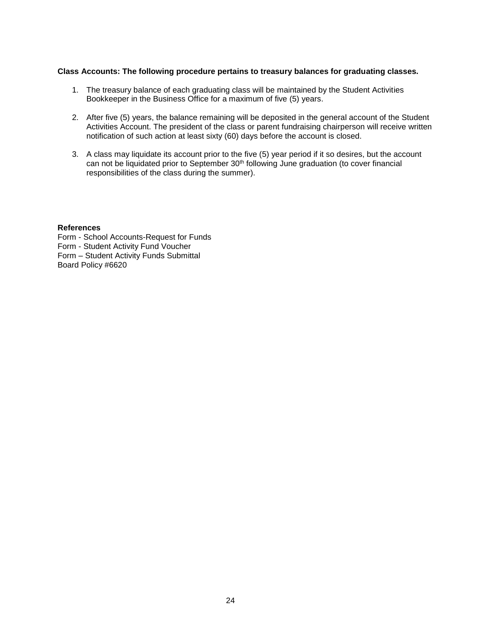#### **Class Accounts: The following procedure pertains to treasury balances for graduating classes.**

- 1. The treasury balance of each graduating class will be maintained by the Student Activities Bookkeeper in the Business Office for a maximum of five (5) years.
- 2. After five (5) years, the balance remaining will be deposited in the general account of the Student Activities Account. The president of the class or parent fundraising chairperson will receive written notification of such action at least sixty (60) days before the account is closed.
- 3. A class may liquidate its account prior to the five (5) year period if it so desires, but the account can not be liquidated prior to September 30<sup>th</sup> following June graduation (to cover financial responsibilities of the class during the summer).

#### **References**

Form - School Accounts-Request for Funds Form - Student Activity Fund Voucher Form – Student Activity Funds Submittal Board Policy #6620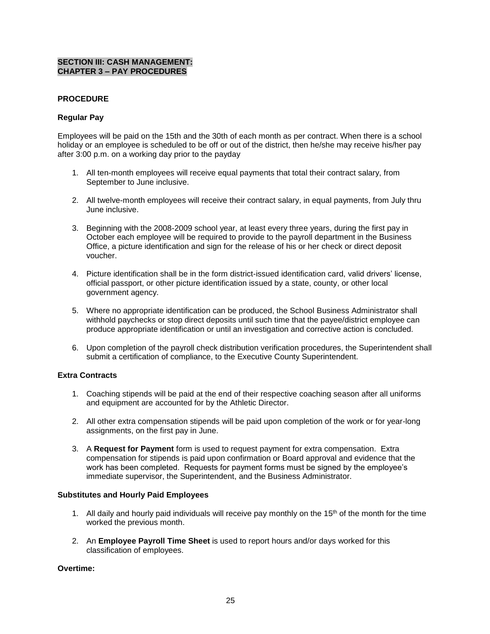#### **SECTION III: CASH MANAGEMENT: CHAPTER 3 – PAY PROCEDURES**

#### **PROCEDURE**

#### **Regular Pay**

Employees will be paid on the 15th and the 30th of each month as per contract. When there is a school holiday or an employee is scheduled to be off or out of the district, then he/she may receive his/her pay after 3:00 p.m. on a working day prior to the payday

- 1. All ten-month employees will receive equal payments that total their contract salary, from September to June inclusive.
- 2. All twelve-month employees will receive their contract salary, in equal payments, from July thru June inclusive.
- 3. Beginning with the 2008-2009 school year, at least every three years, during the first pay in October each employee will be required to provide to the payroll department in the Business Office, a picture identification and sign for the release of his or her check or direct deposit voucher.
- 4. Picture identification shall be in the form district-issued identification card, valid drivers' license, official passport, or other picture identification issued by a state, county, or other local government agency.
- 5. Where no appropriate identification can be produced, the School Business Administrator shall withhold paychecks or stop direct deposits until such time that the payee/district employee can produce appropriate identification or until an investigation and corrective action is concluded.
- 6. Upon completion of the payroll check distribution verification procedures, the Superintendent shall submit a certification of compliance, to the Executive County Superintendent.

#### **Extra Contracts**

- 1. Coaching stipends will be paid at the end of their respective coaching season after all uniforms and equipment are accounted for by the Athletic Director.
- 2. All other extra compensation stipends will be paid upon completion of the work or for year-long assignments, on the first pay in June.
- 3. A **Request for Payment** form is used to request payment for extra compensation. Extra compensation for stipends is paid upon confirmation or Board approval and evidence that the work has been completed. Requests for payment forms must be signed by the employee's immediate supervisor, the Superintendent, and the Business Administrator.

#### **Substitutes and Hourly Paid Employees**

- 1. All daily and hourly paid individuals will receive pay monthly on the  $15<sup>th</sup>$  of the month for the time worked the previous month.
- 2. An **Employee Payroll Time Sheet** is used to report hours and/or days worked for this classification of employees.

#### **Overtime:**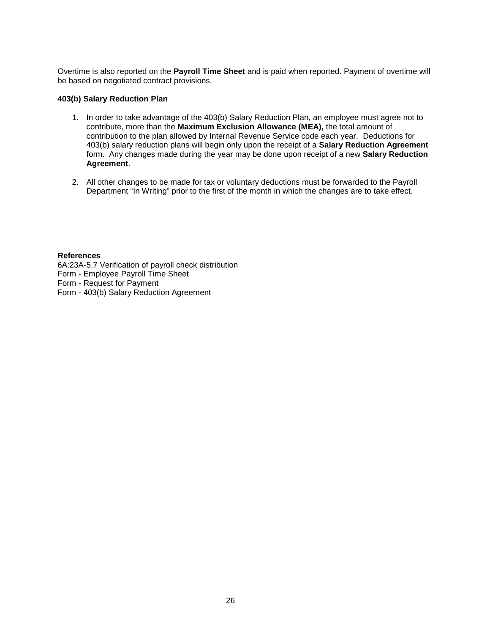Overtime is also reported on the **Payroll Time Sheet** and is paid when reported. Payment of overtime will be based on negotiated contract provisions.

#### **403(b) Salary Reduction Plan**

- 1. In order to take advantage of the 403(b) Salary Reduction Plan, an employee must agree not to contribute, more than the **Maximum Exclusion Allowance (MEA),** the total amount of contribution to the plan allowed by Internal Revenue Service code each year. Deductions for 403(b) salary reduction plans will begin only upon the receipt of a **Salary Reduction Agreement** form. Any changes made during the year may be done upon receipt of a new **Salary Reduction Agreement**.
- 2. All other changes to be made for tax or voluntary deductions must be forwarded to the Payroll Department "In Writing" prior to the first of the month in which the changes are to take effect.

#### **References**

6A:23A-5.7 Verification of payroll check distribution Form - Employee Payroll Time Sheet Form - Request for Payment Form - 403(b) Salary Reduction Agreement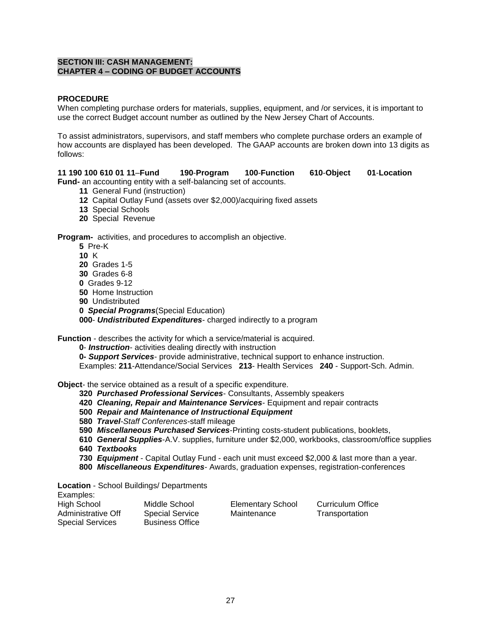#### **SECTION III: CASH MANAGEMENT: CHAPTER 4 – CODING OF BUDGET ACCOUNTS**

#### **PROCEDURE**

When completing purchase orders for materials, supplies, equipment, and /or services, it is important to use the correct Budget account number as outlined by the New Jersey Chart of Accounts.

To assist administrators, supervisors, and staff members who complete purchase orders an example of how accounts are displayed has been developed. The GAAP accounts are broken down into 13 digits as follows:

### **11 190 100 610 01 11**–**Fund 190**-**Program 100**-**Function 610**-**Object 01**-**Location**

- **Fund-** an accounting entity with a self-balancing set of accounts.
	- **11** General Fund (instruction)
	- **12** Capital Outlay Fund (assets over \$2,000)/acquiring fixed assets
	- **13** Special Schools
	- **20** Special Revenue

**Program-** activities, and procedures to accomplish an objective.

- **5** Pre-K
- **10** K
- **20** Grades 1-5
- **30** Grades 6-8
- **0** Grades 9-12
- **50** Home Instruction
- **90** Undistributed
- **0** *Special Programs*(Special Education)

**000**- *Undistributed Expenditures*- charged indirectly to a program

**Function** - describes the activity for which a service/material is acquired.

**0**- *Instruction*- activities dealing directly with instruction

**0-** *Support Services*- provide administrative, technical support to enhance instruction. Examples: **211**-Attendance/Social Services **213**- Health Services **240** - Support-Sch. Admin.

**Object-** the service obtained as a result of a specific expenditure.

- **320** *Purchased Professional Services* Consultants, Assembly speakers
- **420** *Cleaning, Repair and Maintenance Services* Equipment and repair contracts

**500** *Repair and Maintenance of Instructional Equipment*

- **580** *Travel-Staff Conferences*-staff mileage
- **590** *Miscellaneous Purchased Services*-Printing costs-student publications, booklets,
- **610** *General Supplies*-A.V. supplies, furniture under \$2,000, workbooks, classroom/office supplies **640** *Textbooks*
- **730** *Equipment* Capital Outlay Fund each unit must exceed \$2,000 & last more than a year.
- **800** *Miscellaneous Expenditures-* Awards, graduation expenses, registration-conferences

**Location** - School Buildings/ Departments

Examples:

| LAUTIPIUS.              |                        |                          |                   |
|-------------------------|------------------------|--------------------------|-------------------|
| High School             | Middle School          | <b>Elementary School</b> | Curriculum Office |
| Administrative Off      | <b>Special Service</b> | Maintenance              | Transportation    |
| <b>Special Services</b> | <b>Business Office</b> |                          |                   |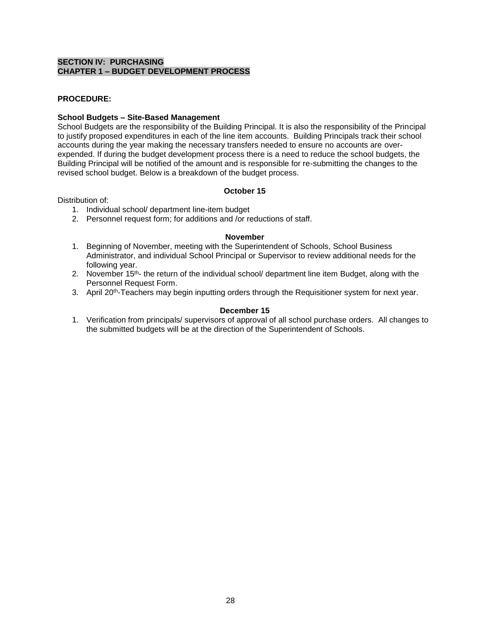#### **SECTION IV: PURCHASING CHAPTER 1 – BUDGET DEVELOPMENT PROCESS**

#### **PROCEDURE:**

#### **School Budgets – Site-Based Management**

School Budgets are the responsibility of the Building Principal. It is also the responsibility of the Principal to justify proposed expenditures in each of the line item accounts. Building Principals track their school accounts during the year making the necessary transfers needed to ensure no accounts are overexpended. If during the budget development process there is a need to reduce the school budgets, the Building Principal will be notified of the amount and is responsible for re-submitting the changes to the revised school budget. Below is a breakdown of the budget process.

#### **October 15**

#### Distribution of:

- 1. Individual school/ department line-item budget
- 2. Personnel request form; for additions and /or reductions of staff.

#### **November**

- 1. Beginning of November, meeting with the Superintendent of Schools, School Business Administrator, and individual School Principal or Supervisor to review additional needs for the following year.
- 2. November  $15<sup>th</sup>$  the return of the individual school/ department line item Budget, along with the Personnel Request Form.
- 3. April 20<sup>th</sup>-Teachers may begin inputting orders through the Requisitioner system for next year.

#### **December 15**

1. Verification from principals/ supervisors of approval of all school purchase orders. All changes to the submitted budgets will be at the direction of the Superintendent of Schools.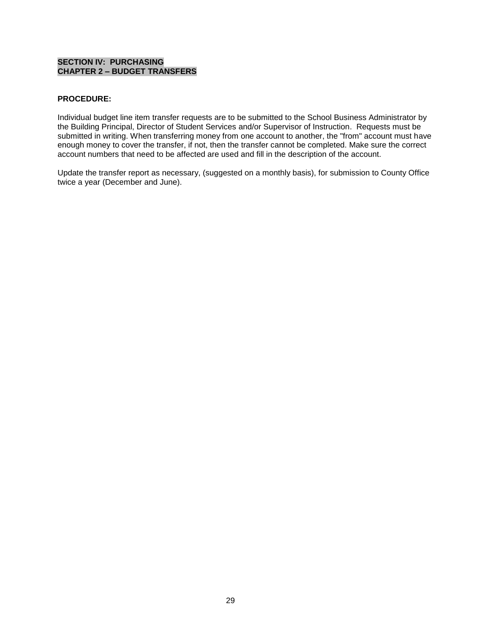#### **SECTION IV: PURCHASING CHAPTER 2 – BUDGET TRANSFERS**

#### **PROCEDURE:**

Individual budget line item transfer requests are to be submitted to the School Business Administrator by the Building Principal, Director of Student Services and/or Supervisor of Instruction. Requests must be submitted in writing. When transferring money from one account to another, the "from" account must have enough money to cover the transfer, if not, then the transfer cannot be completed. Make sure the correct account numbers that need to be affected are used and fill in the description of the account.

Update the transfer report as necessary, (suggested on a monthly basis), for submission to County Office twice a year (December and June).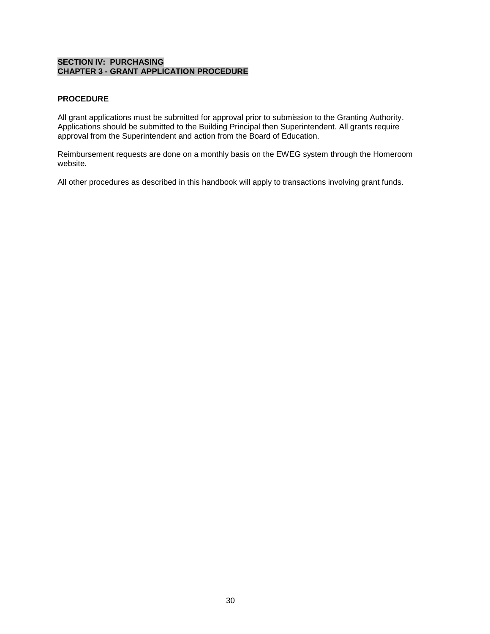#### **SECTION IV: PURCHASING CHAPTER 3 - GRANT APPLICATION PROCEDURE**

### **PROCEDURE**

All grant applications must be submitted for approval prior to submission to the Granting Authority. Applications should be submitted to the Building Principal then Superintendent. All grants require approval from the Superintendent and action from the Board of Education.

Reimbursement requests are done on a monthly basis on the EWEG system through the Homeroom website.

All other procedures as described in this handbook will apply to transactions involving grant funds.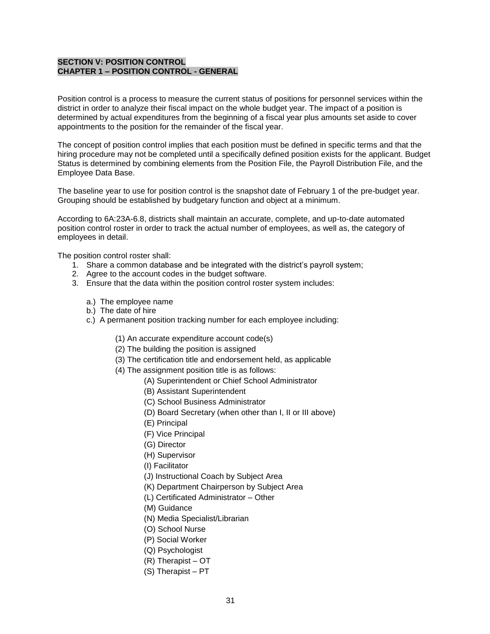#### **SECTION V: POSITION CONTROL CHAPTER 1 – POSITION CONTROL - GENERAL**

Position control is a process to measure the current status of positions for personnel services within the district in order to analyze their fiscal impact on the whole budget year. The impact of a position is determined by actual expenditures from the beginning of a fiscal year plus amounts set aside to cover appointments to the position for the remainder of the fiscal year.

The concept of position control implies that each position must be defined in specific terms and that the hiring procedure may not be completed until a specifically defined position exists for the applicant. Budget Status is determined by combining elements from the Position File, the Payroll Distribution File, and the Employee Data Base.

The baseline year to use for position control is the snapshot date of February 1 of the pre-budget year. Grouping should be established by budgetary function and object at a minimum.

According to 6A:23A-6.8, districts shall maintain an accurate, complete, and up-to-date automated position control roster in order to track the actual number of employees, as well as, the category of employees in detail.

The position control roster shall:

- 1. Share a common database and be integrated with the district's payroll system;
- 2. Agree to the account codes in the budget software.
- 3. Ensure that the data within the position control roster system includes:
	- a.) The employee name
	- b.) The date of hire
	- c.) A permanent position tracking number for each employee including:
		- (1) An accurate expenditure account code(s)
		- (2) The building the position is assigned
		- (3) The certification title and endorsement held, as applicable
		- (4) The assignment position title is as follows:
			- (A) Superintendent or Chief School Administrator
			- (B) Assistant Superintendent
			- (C) School Business Administrator
			- (D) Board Secretary (when other than I, II or III above)
			- (E) Principal
			- (F) Vice Principal
			- (G) Director
			- (H) Supervisor
			- (I) Facilitator
			- (J) Instructional Coach by Subject Area
			- (K) Department Chairperson by Subject Area
			- (L) Certificated Administrator Other
			- (M) Guidance
			- (N) Media Specialist/Librarian
			- (O) School Nurse
			- (P) Social Worker
			- (Q) Psychologist
			- (R) Therapist OT
			- (S) Therapist PT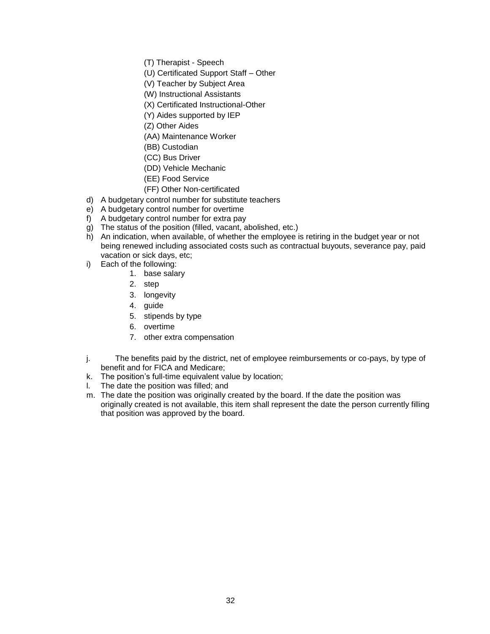- (T) Therapist Speech
- (U) Certificated Support Staff Other
- (V) Teacher by Subject Area
- (W) Instructional Assistants
- (X) Certificated Instructional-Other
- (Y) Aides supported by IEP
- (Z) Other Aides
- (AA) Maintenance Worker
- (BB) Custodian
- (CC) Bus Driver
- (DD) Vehicle Mechanic
- (EE) Food Service
- (FF) Other Non-certificated
- d) A budgetary control number for substitute teachers
- e) A budgetary control number for overtime
- f) A budgetary control number for extra pay
- g) The status of the position (filled, vacant, abolished, etc.)
- h) An indication, when available, of whether the employee is retiring in the budget year or not being renewed including associated costs such as contractual buyouts, severance pay, paid vacation or sick days, etc;
- i) Each of the following:
	- 1. base salary
	- 2. step
	- 3. longevity
	- 4. guide
	- 5. stipends by type
	- 6. overtime
	- 7. other extra compensation
- j. The benefits paid by the district, net of employee reimbursements or co-pays, by type of benefit and for FICA and Medicare;
- k. The position's full-time equivalent value by location;
- l. The date the position was filled; and
- m. The date the position was originally created by the board. If the date the position was originally created is not available, this item shall represent the date the person currently filling that position was approved by the board.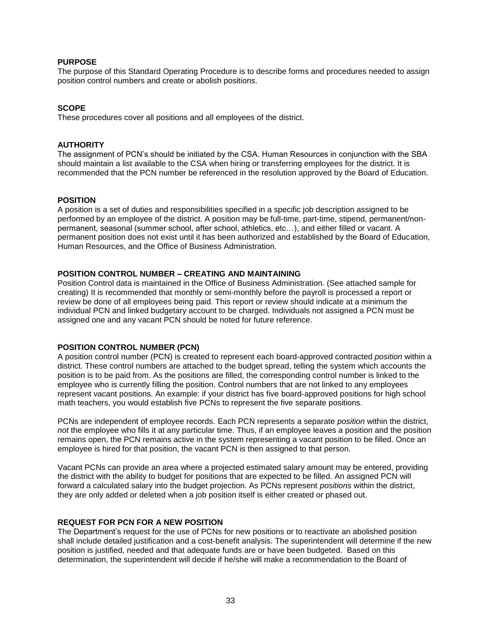#### **PURPOSE**

The purpose of this Standard Operating Procedure is to describe forms and procedures needed to assign position control numbers and create or abolish positions.

#### **SCOPE**

These procedures cover all positions and all employees of the district.

#### **AUTHORITY**

The assignment of PCN's should be initiated by the CSA. Human Resources in conjunction with the SBA should maintain a list available to the CSA when hiring or transferring employees for the district. It is recommended that the PCN number be referenced in the resolution approved by the Board of Education.

#### **POSITION**

A position is a set of duties and responsibilities specified in a specific job description assigned to be performed by an employee of the district. A position may be full-time, part-time, stipend, permanent/nonpermanent, seasonal (summer school, after school, athletics, etc…), and either filled or vacant. A permanent position does not exist until it has been authorized and established by the Board of Education, Human Resources, and the Office of Business Administration.

#### **POSITION CONTROL NUMBER – CREATING AND MAINTAINING**

Position Control data is maintained in the Office of Business Administration. (See attached sample for creating) It is recommended that monthly or semi-monthly before the payroll is processed a report or review be done of all employees being paid. This report or review should indicate at a minimum the individual PCN and linked budgetary account to be charged. Individuals not assigned a PCN must be assigned one and any vacant PCN should be noted for future reference.

#### **POSITION CONTROL NUMBER (PCN)**

A position control number (PCN) is created to represent each board-approved contracted *position* within a district. These control numbers are attached to the budget spread, telling the system which accounts the position is to be paid from. As the positions are filled, the corresponding control number is linked to the employee who is currently filling the position. Control numbers that are not linked to any employees represent vacant positions. An example: if your district has five board-approved positions for high school math teachers, you would establish five PCNs to represent the five separate positions.

PCNs are independent of employee records. Each PCN represents a separate *position* within the district, *not* the employee who fills it at any particular time. Thus, if an employee leaves a position and the position remains open, the PCN remains active in the system representing a vacant position to be filled. Once an employee is hired for that position, the vacant PCN is then assigned to that person.

Vacant PCNs can provide an area where a projected estimated salary amount may be entered, providing the district with the ability to budget for positions that are expected to be filled. An assigned PCN will forward a calculated salary into the budget projection. As PCNs represent *positions* within the district, they are only added or deleted when a job position itself is either created or phased out.

#### **REQUEST FOR PCN FOR A NEW POSITION**

The Department's request for the use of PCNs for new positions or to reactivate an abolished position shall include detailed justification and a cost-benefit analysis. The superintendent will determine if the new position is justified, needed and that adequate funds are or have been budgeted. Based on this determination, the superintendent will decide if he/she will make a recommendation to the Board of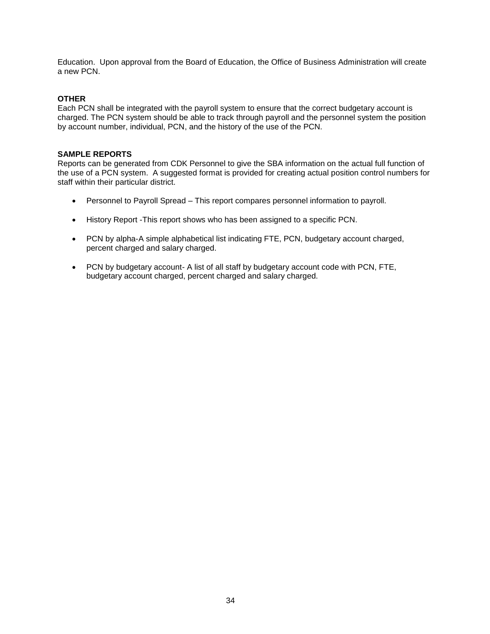Education. Upon approval from the Board of Education, the Office of Business Administration will create a new PCN.

#### **OTHER**

Each PCN shall be integrated with the payroll system to ensure that the correct budgetary account is charged. The PCN system should be able to track through payroll and the personnel system the position by account number, individual, PCN, and the history of the use of the PCN.

#### **SAMPLE REPORTS**

Reports can be generated from CDK Personnel to give the SBA information on the actual full function of the use of a PCN system. A suggested format is provided for creating actual position control numbers for staff within their particular district.

- Personnel to Payroll Spread This report compares personnel information to payroll.
- History Report -This report shows who has been assigned to a specific PCN.
- PCN by alpha-A simple alphabetical list indicating FTE, PCN, budgetary account charged, percent charged and salary charged.
- PCN by budgetary account- A list of all staff by budgetary account code with PCN, FTE, budgetary account charged, percent charged and salary charged.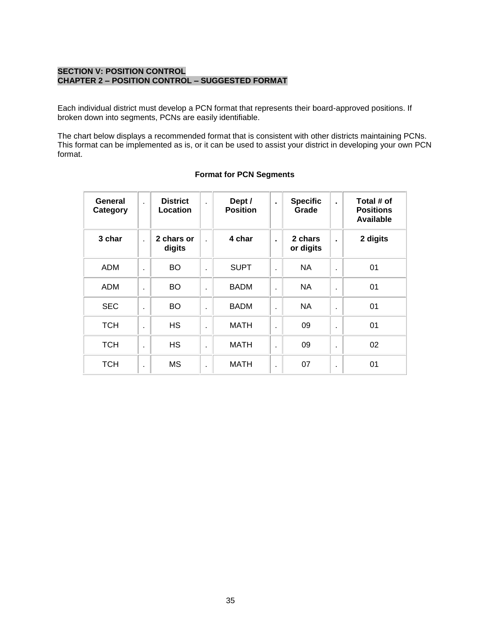#### **SECTION V: POSITION CONTROL CHAPTER 2 – POSITION CONTROL – SUGGESTED FORMAT**

Each individual district must develop a PCN format that represents their board-approved positions. If broken down into segments, PCNs are easily identifiable.

The chart below displays a recommended format that is consistent with other districts maintaining PCNs. This format can be implemented as is, or it can be used to assist your district in developing your own PCN format.

| General<br>Category | $\mathbf{r}$   | <b>District</b><br>Location | $\mathbf{r}$   | Dept /<br><b>Position</b> | $\blacksquare$ | <b>Specific</b><br>Grade | $\blacksquare$ | Total # of<br><b>Positions</b><br>Available |
|---------------------|----------------|-----------------------------|----------------|---------------------------|----------------|--------------------------|----------------|---------------------------------------------|
| 3 char              | $\mathbf{r}$   | 2 chars or<br>digits        | ÷              | 4 char                    | $\blacksquare$ | 2 chars<br>or digits     | $\blacksquare$ | 2 digits                                    |
| ADM                 | ×              | BO                          | ×              | <b>SUPT</b>               |                | <b>NA</b>                | ٠              | 01                                          |
| ADM                 | ×              | <b>BO</b>                   | ×              | <b>BADM</b>               | ä,             | <b>NA</b>                | ٠              | 01                                          |
| <b>SEC</b>          | ×              | <b>BO</b>                   | ×              | <b>BADM</b>               |                | <b>NA</b>                | ٠              | 01                                          |
| <b>TCH</b>          | ٠              | <b>HS</b>                   | ٠              | <b>MATH</b>               |                | 09                       | ٠              | 01                                          |
| <b>TCH</b>          | $\blacksquare$ | <b>HS</b>                   | $\blacksquare$ | <b>MATH</b>               | ٠              | 09                       | ٠              | 02                                          |
| <b>TCH</b>          | $\blacksquare$ | <b>MS</b>                   | $\blacksquare$ | <b>MATH</b>               | ٠              | 07                       | ٠              | 01                                          |

#### **Format for PCN Segments**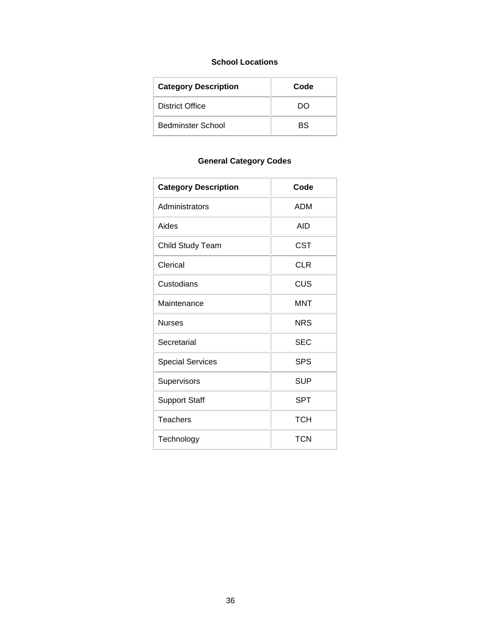#### **School Locations**

| <b>Category Description</b> | Code |
|-----------------------------|------|
| <b>District Office</b>      | חח   |
| Bedminster School           | ВS   |

## **General Category Codes**

| <b>Category Description</b> | Code       |
|-----------------------------|------------|
| Administrators              | ADM        |
| Aides                       | AID        |
| <b>Child Study Team</b>     | <b>CST</b> |
| Clerical                    | <b>CLR</b> |
| Custodians                  | CUS        |
| Maintenance                 | MNT        |
| <b>Nurses</b>               | <b>NRS</b> |
| Secretarial                 | SEC        |
| <b>Special Services</b>     | <b>SPS</b> |
| Supervisors                 | <b>SUP</b> |
| <b>Support Staff</b>        | SPT        |
| <b>Teachers</b>             | <b>TCH</b> |
| Technology                  | <b>TCN</b> |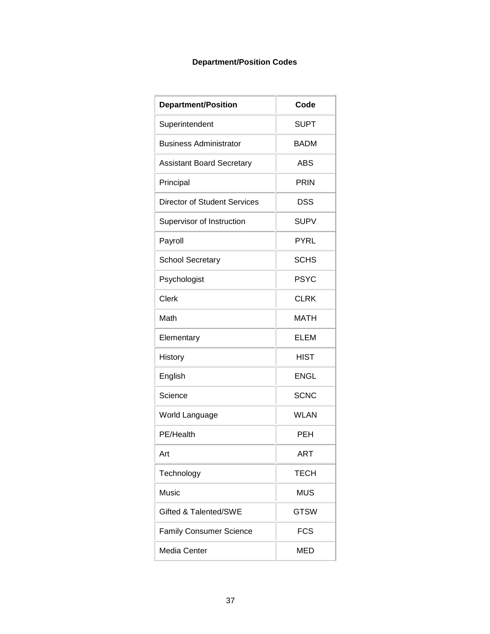# **Department/Position Codes**

| <b>Department/Position</b>       | Code        |
|----------------------------------|-------------|
| Superintendent                   | <b>SUPT</b> |
| <b>Business Administrator</b>    | <b>BADM</b> |
| <b>Assistant Board Secretary</b> | <b>ABS</b>  |
| Principal                        | <b>PRIN</b> |
| Director of Student Services     | <b>DSS</b>  |
| Supervisor of Instruction        | <b>SUPV</b> |
| Payroll                          | <b>PYRL</b> |
| <b>School Secretary</b>          | <b>SCHS</b> |
| Psychologist                     | <b>PSYC</b> |
| <b>Clerk</b>                     | CLRK        |
| Math                             | MATH        |
| Elementary                       | <b>ELEM</b> |
| History                          | <b>HIST</b> |
| English                          | <b>ENGL</b> |
| Science                          | <b>SCNC</b> |
| World Language                   | WLAN        |
| PE/Health                        | PEH         |
| Art                              | ART         |
| Technology                       | <b>TECH</b> |
| Music                            | <b>MUS</b>  |
| Gifted & Talented/SWE            | <b>GTSW</b> |
| <b>Family Consumer Science</b>   | <b>FCS</b>  |
| Media Center                     | <b>MED</b>  |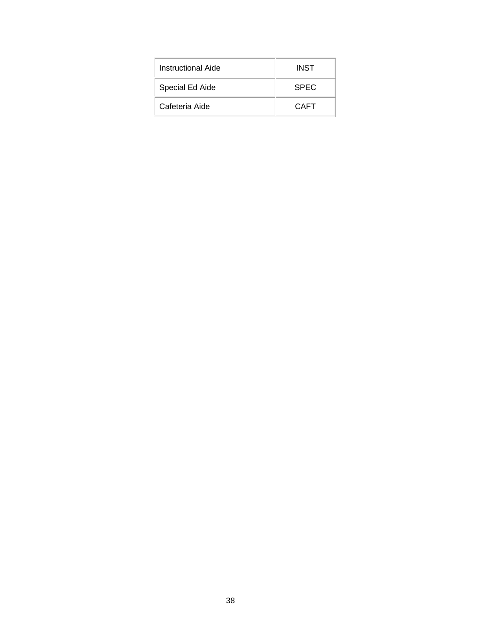| Instructional Aide | <b>INST</b> |
|--------------------|-------------|
| Special Ed Aide    | <b>SPEC</b> |
| Cafeteria Aide     | CAFT        |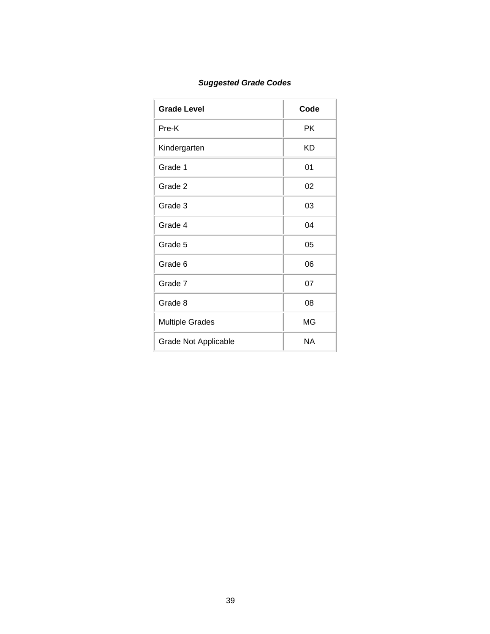# *Suggested Grade Codes*

| <b>Grade Level</b>          | Code |
|-----------------------------|------|
| Pre-K                       | РK   |
| Kindergarten                | KD   |
| Grade 1                     | 01   |
| Grade 2                     | 02   |
| Grade 3                     | 03   |
| Grade 4                     | 04   |
| Grade 5                     | 05   |
| Grade 6                     | 06   |
| Grade 7                     | 07   |
| Grade 8                     | 08   |
| <b>Multiple Grades</b>      | MG   |
| <b>Grade Not Applicable</b> | NA   |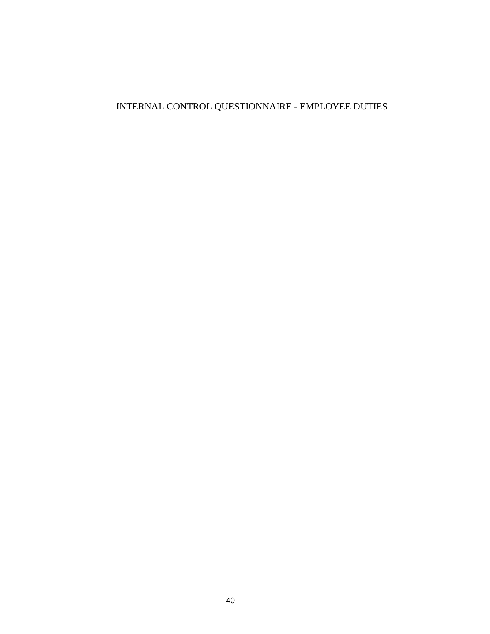# INTERNAL CONTROL QUESTIONNAIRE - EMPLOYEE DUTIES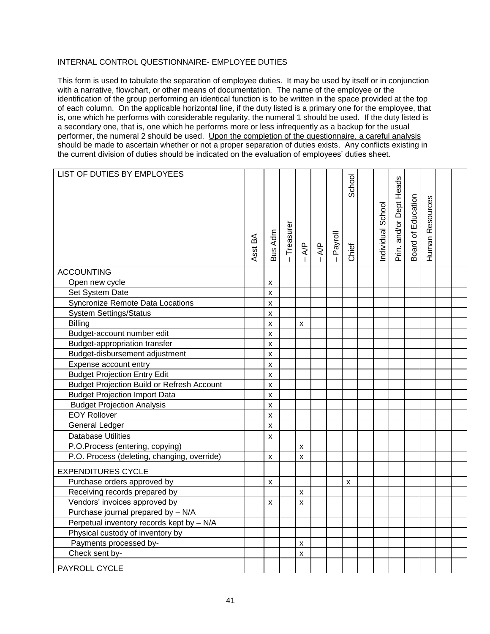# INTERNAL CONTROL QUESTIONNAIRE- EMPLOYEE DUTIES

This form is used to tabulate the separation of employee duties. It may be used by itself or in conjunction with a narrative, flowchart, or other means of documentation. The name of the employee or the identification of the group performing an identical function is to be written in the space provided at the top of each column. On the applicable horizontal line, if the duty listed is a primary one for the employee, that is, one which he performs with considerable regularity, the numeral 1 should be used. If the duty listed is a secondary one, that is, one which he performs more or less infrequently as a backup for the usual performer, the numeral 2 should be used. Upon the completion of the questionnaire, a careful analysis should be made to ascertain whether or not a proper separation of duties exists. Any conflicts existing in the current division of duties should be indicated on the evaluation of employees' duties sheet.

| LIST OF DUTIES BY EMPLOYEES                       |         |         |             |                    |               |         |        |                   |                         |                    |                 |  |
|---------------------------------------------------|---------|---------|-------------|--------------------|---------------|---------|--------|-------------------|-------------------------|--------------------|-----------------|--|
|                                                   |         |         |             |                    |               |         | School |                   |                         |                    |                 |  |
|                                                   | Asst BA | Bus Adm | - Treasurer | $\frac{P}{P}$      | $\frac{4}{5}$ | Payroll | Chief  | Individual School | Prin. and/or Dept Heads | Board of Education | Human Resources |  |
|                                                   |         |         |             |                    |               |         |        |                   |                         |                    |                 |  |
| <b>ACCOUNTING</b>                                 |         |         |             |                    |               |         |        |                   |                         |                    |                 |  |
| Open new cycle                                    |         | X       |             |                    |               |         |        |                   |                         |                    |                 |  |
| Set System Date                                   |         | X       |             |                    |               |         |        |                   |                         |                    |                 |  |
| Syncronize Remote Data Locations                  |         | x       |             |                    |               |         |        |                   |                         |                    |                 |  |
| <b>System Settings/Status</b>                     |         | x       |             |                    |               |         |        |                   |                         |                    |                 |  |
| <b>Billing</b>                                    |         | x       |             | $\pmb{\times}$     |               |         |        |                   |                         |                    |                 |  |
| Budget-account number edit                        |         | X       |             |                    |               |         |        |                   |                         |                    |                 |  |
| <b>Budget-appropriation transfer</b>              |         | X       |             |                    |               |         |        |                   |                         |                    |                 |  |
| Budget-disbursement adjustment                    |         | X       |             |                    |               |         |        |                   |                         |                    |                 |  |
| Expense account entry                             |         | x       |             |                    |               |         |        |                   |                         |                    |                 |  |
| <b>Budget Projection Entry Edit</b>               |         | X       |             |                    |               |         |        |                   |                         |                    |                 |  |
| <b>Budget Projection Build or Refresh Account</b> |         | X       |             |                    |               |         |        |                   |                         |                    |                 |  |
| <b>Budget Projection Import Data</b>              |         | X       |             |                    |               |         |        |                   |                         |                    |                 |  |
| <b>Budget Projection Analysis</b>                 |         | X       |             |                    |               |         |        |                   |                         |                    |                 |  |
| <b>EOY Rollover</b>                               |         | Χ       |             |                    |               |         |        |                   |                         |                    |                 |  |
| <b>General Ledger</b>                             |         | X       |             |                    |               |         |        |                   |                         |                    |                 |  |
| <b>Database Utilities</b>                         |         | x       |             |                    |               |         |        |                   |                         |                    |                 |  |
| P.O.Process (entering, copying)                   |         |         |             | X                  |               |         |        |                   |                         |                    |                 |  |
| P.O. Process (deleting, changing, override)       |         | x       |             | X                  |               |         |        |                   |                         |                    |                 |  |
| <b>EXPENDITURES CYCLE</b>                         |         |         |             |                    |               |         |        |                   |                         |                    |                 |  |
| Purchase orders approved by                       |         | x       |             |                    |               |         | x      |                   |                         |                    |                 |  |
| Receiving records prepared by                     |         |         |             | X                  |               |         |        |                   |                         |                    |                 |  |
| Vendors' invoices approved by                     |         | X       |             | $\mathsf{x}$       |               |         |        |                   |                         |                    |                 |  |
| Purchase journal prepared by - N/A                |         |         |             |                    |               |         |        |                   |                         |                    |                 |  |
| Perpetual inventory records kept by - N/A         |         |         |             |                    |               |         |        |                   |                         |                    |                 |  |
| Physical custody of inventory by                  |         |         |             |                    |               |         |        |                   |                         |                    |                 |  |
| Payments processed by-                            |         |         |             | $\pmb{\mathsf{x}}$ |               |         |        |                   |                         |                    |                 |  |
| Check sent by-                                    |         |         |             | $\pmb{\mathsf{x}}$ |               |         |        |                   |                         |                    |                 |  |
| PAYROLL CYCLE                                     |         |         |             |                    |               |         |        |                   |                         |                    |                 |  |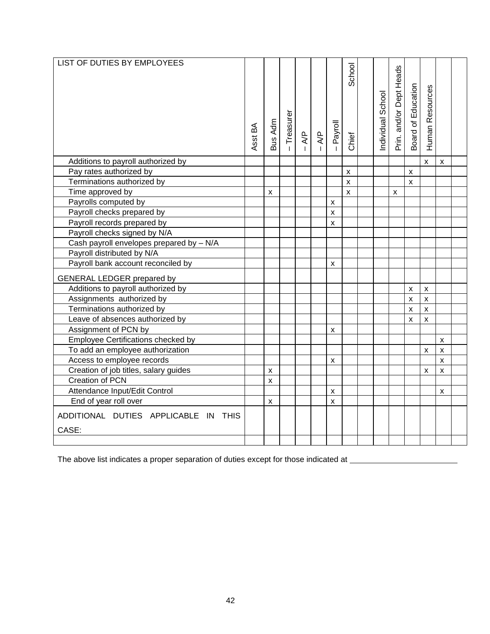| LIST OF DUTIES BY EMPLOYEES                   |         |         |             |                |                                 |                           | School             | Individual School | Prin. and/or Dept Heads | Board of Education | Human Resources    |                    |  |
|-----------------------------------------------|---------|---------|-------------|----------------|---------------------------------|---------------------------|--------------------|-------------------|-------------------------|--------------------|--------------------|--------------------|--|
|                                               | Asst BA | Bus Adm | - Treasurer | $\overline{R}$ | $\overline{A}P$<br>$\mathbf{I}$ | Payroll                   | Chief              |                   |                         |                    |                    |                    |  |
| Additions to payroll authorized by            |         |         |             |                |                                 |                           |                    |                   |                         |                    | $\pmb{\mathsf{X}}$ | X                  |  |
| Pay rates authorized by                       |         |         |             |                |                                 |                           | x                  |                   |                         | X                  |                    |                    |  |
| Terminations authorized by                    |         |         |             |                |                                 |                           | $\pmb{\mathsf{x}}$ |                   |                         | X                  |                    |                    |  |
| Time approved by                              |         | X       |             |                |                                 |                           | $\mathsf{x}$       |                   | $\pmb{\times}$          |                    |                    |                    |  |
| Payrolls computed by                          |         |         |             |                |                                 | X                         |                    |                   |                         |                    |                    |                    |  |
| Payroll checks prepared by                    |         |         |             |                |                                 | $\pmb{\times}$            |                    |                   |                         |                    |                    |                    |  |
| Payroll records prepared by                   |         |         |             |                |                                 | $\boldsymbol{\mathsf{x}}$ |                    |                   |                         |                    |                    |                    |  |
| Payroll checks signed by N/A                  |         |         |             |                |                                 |                           |                    |                   |                         |                    |                    |                    |  |
| Cash payroll envelopes prepared by - N/A      |         |         |             |                |                                 |                           |                    |                   |                         |                    |                    |                    |  |
| Payroll distributed by N/A                    |         |         |             |                |                                 |                           |                    |                   |                         |                    |                    |                    |  |
| Payroll bank account reconciled by            |         |         |             |                |                                 | X                         |                    |                   |                         |                    |                    |                    |  |
| <b>GENERAL LEDGER prepared by</b>             |         |         |             |                |                                 |                           |                    |                   |                         |                    |                    |                    |  |
| Additions to payroll authorized by            |         |         |             |                |                                 |                           |                    |                   |                         | $\pmb{\mathsf{x}}$ | $\pmb{\mathsf{X}}$ |                    |  |
| Assignments authorized by                     |         |         |             |                |                                 |                           |                    |                   |                         | $\pmb{\mathsf{x}}$ | $\pmb{\times}$     |                    |  |
| Terminations authorized by                    |         |         |             |                |                                 |                           |                    |                   |                         | $\pmb{\times}$     | $\pmb{\times}$     |                    |  |
| Leave of absences authorized by               |         |         |             |                |                                 |                           |                    |                   |                         | X                  | X                  |                    |  |
| Assignment of PCN by                          |         |         |             |                |                                 | X                         |                    |                   |                         |                    |                    |                    |  |
| Employee Certifications checked by            |         |         |             |                |                                 |                           |                    |                   |                         |                    |                    | X                  |  |
| To add an employee authorization              |         |         |             |                |                                 |                           |                    |                   |                         |                    | x                  | X                  |  |
| Access to employee records                    |         |         |             |                |                                 | X                         |                    |                   |                         |                    |                    | $\pmb{\mathsf{X}}$ |  |
| Creation of job titles, salary guides         |         | X       |             |                |                                 |                           |                    |                   |                         |                    | X                  | X                  |  |
| Creation of PCN                               |         | x       |             |                |                                 |                           |                    |                   |                         |                    |                    |                    |  |
| Attendance Input/Edit Control                 |         |         |             |                |                                 | X                         |                    |                   |                         |                    |                    | X                  |  |
| End of year roll over                         |         | X       |             |                |                                 | X                         |                    |                   |                         |                    |                    |                    |  |
| ADDITIONAL DUTIES APPLICABLE IN THIS<br>CASE: |         |         |             |                |                                 |                           |                    |                   |                         |                    |                    |                    |  |
|                                               |         |         |             |                |                                 |                           |                    |                   |                         |                    |                    |                    |  |

The above list indicates a proper separation of duties except for those indicated at \_\_\_\_\_\_\_\_\_\_\_\_\_\_\_\_\_\_\_\_\_\_\_\_\_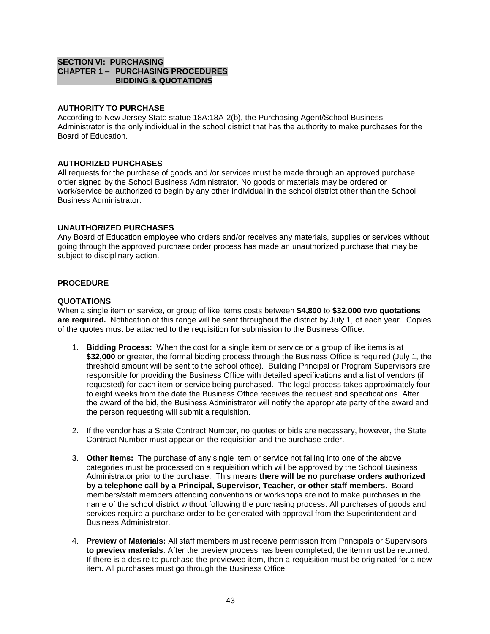# **SECTION VI: PURCHASING CHAPTER 1 – PURCHASING PROCEDURES BIDDING & QUOTATIONS**

# **AUTHORITY TO PURCHASE**

According to New Jersey State statue 18A:18A-2(b), the Purchasing Agent/School Business Administrator is the only individual in the school district that has the authority to make purchases for the Board of Education.

# **AUTHORIZED PURCHASES**

All requests for the purchase of goods and /or services must be made through an approved purchase order signed by the School Business Administrator. No goods or materials may be ordered or work/service be authorized to begin by any other individual in the school district other than the School Business Administrator.

# **UNAUTHORIZED PURCHASES**

Any Board of Education employee who orders and/or receives any materials, supplies or services without going through the approved purchase order process has made an unauthorized purchase that may be subject to disciplinary action.

# **PROCEDURE**

### **QUOTATIONS**

When a single item or service, or group of like items costs between **\$4,800** to **\$32**,**000 two quotations are required.** Notification of this range will be sent throughout the district by July 1, of each year. Copies of the quotes must be attached to the requisition for submission to the Business Office.

- 1. **Bidding Process:** When the cost for a single item or service or a group of like items is at **\$32,000** or greater, the formal bidding process through the Business Office is required (July 1, the threshold amount will be sent to the school office). Building Principal or Program Supervisors are responsible for providing the Business Office with detailed specifications and a list of vendors (if requested) for each item or service being purchased. The legal process takes approximately four to eight weeks from the date the Business Office receives the request and specifications. After the award of the bid, the Business Administrator will notify the appropriate party of the award and the person requesting will submit a requisition.
- 2. If the vendor has a State Contract Number, no quotes or bids are necessary, however, the State Contract Number must appear on the requisition and the purchase order.
- 3. **Other Items:** The purchase of any single item or service not falling into one of the above categories must be processed on a requisition which will be approved by the School Business Administrator prior to the purchase. This means **there will be no purchase orders authorized by a telephone call by a Principal, Supervisor, Teacher, or other staff members.** Board members/staff members attending conventions or workshops are not to make purchases in the name of the school district without following the purchasing process. All purchases of goods and services require a purchase order to be generated with approval from the Superintendent and Business Administrator.
- 4. **Preview of Materials:** All staff members must receive permission from Principals or Supervisors **to preview materials**. After the preview process has been completed, the item must be returned. If there is a desire to purchase the previewed item, then a requisition must be originated for a new item**.** All purchases must go through the Business Office.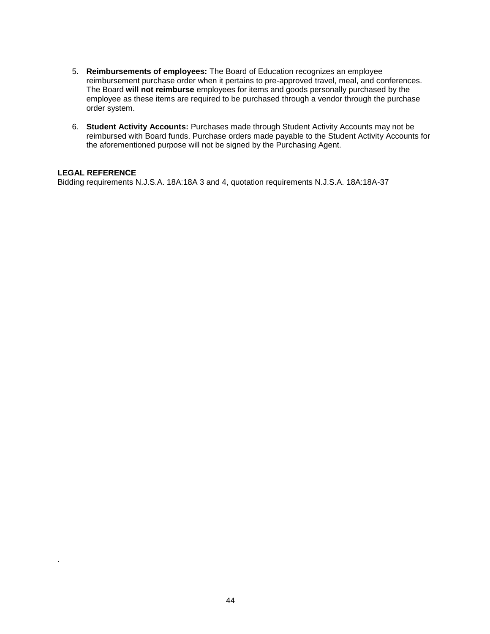- 5. **Reimbursements of employees:** The Board of Education recognizes an employee reimbursement purchase order when it pertains to pre-approved travel, meal, and conferences. The Board **will not reimburse** employees for items and goods personally purchased by the employee as these items are required to be purchased through a vendor through the purchase order system.
- 6. **Student Activity Accounts:** Purchases made through Student Activity Accounts may not be reimbursed with Board funds. Purchase orders made payable to the Student Activity Accounts for the aforementioned purpose will not be signed by the Purchasing Agent.

# **LEGAL REFERENCE**

.

Bidding requirements N.J.S.A. 18A:18A 3 and 4, quotation requirements N.J.S.A. 18A:18A-37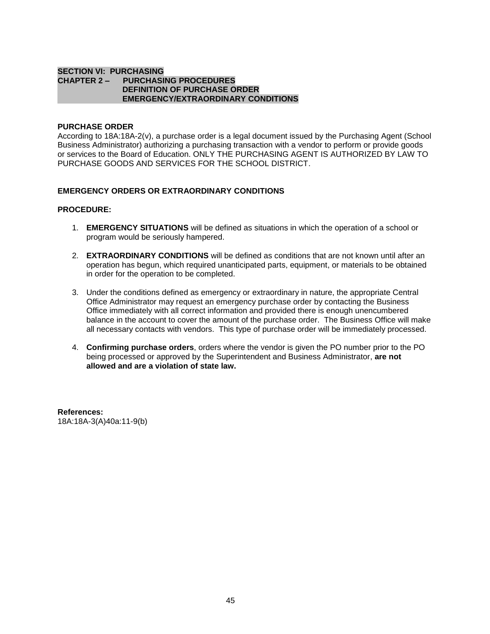#### **SECTION VI: PURCHASING CHAPTER 2 – PURCHASING PROCEDURES DEFINITION OF PURCHASE ORDER EMERGENCY/EXTRAORDINARY CONDITIONS**

### **PURCHASE ORDER**

According to 18A:18A-2(v), a purchase order is a legal document issued by the Purchasing Agent (School Business Administrator) authorizing a purchasing transaction with a vendor to perform or provide goods or services to the Board of Education. ONLY THE PURCHASING AGENT IS AUTHORIZED BY LAW TO PURCHASE GOODS AND SERVICES FOR THE SCHOOL DISTRICT.

# **EMERGENCY ORDERS OR EXTRAORDINARY CONDITIONS**

#### **PROCEDURE:**

- 1. **EMERGENCY SITUATIONS** will be defined as situations in which the operation of a school or program would be seriously hampered.
- 2. **EXTRAORDINARY CONDITIONS** will be defined as conditions that are not known until after an operation has begun, which required unanticipated parts, equipment, or materials to be obtained in order for the operation to be completed.
- 3. Under the conditions defined as emergency or extraordinary in nature, the appropriate Central Office Administrator may request an emergency purchase order by contacting the Business Office immediately with all correct information and provided there is enough unencumbered balance in the account to cover the amount of the purchase order. The Business Office will make all necessary contacts with vendors. This type of purchase order will be immediately processed.
- 4. **Confirming purchase orders**, orders where the vendor is given the PO number prior to the PO being processed or approved by the Superintendent and Business Administrator, **are not allowed and are a violation of state law.**

**References:** 18A:18A-3(A)40a:11-9(b)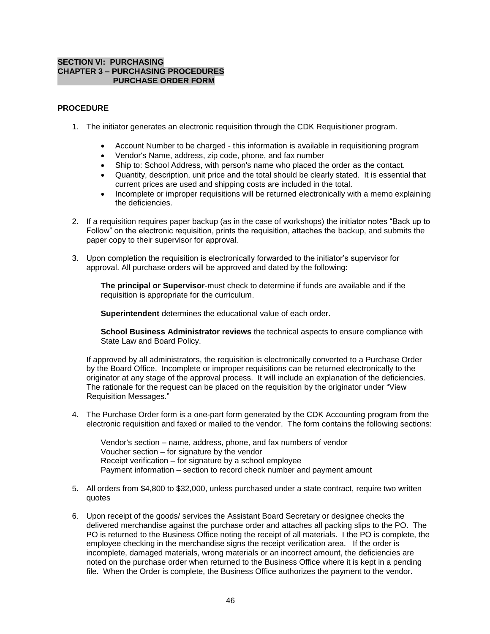# **SECTION VI: PURCHASING CHAPTER 3 – PURCHASING PROCEDURES PURCHASE ORDER FORM**

# **PROCEDURE**

- 1. The initiator generates an electronic requisition through the CDK Requisitioner program.
	- Account Number to be charged this information is available in requisitioning program
	- Vendor's Name, address, zip code, phone, and fax number
	- Ship to: School Address, with person's name who placed the order as the contact.
	- Quantity, description, unit price and the total should be clearly stated. It is essential that current prices are used and shipping costs are included in the total.
	- Incomplete or improper requisitions will be returned electronically with a memo explaining the deficiencies.
- 2. If a requisition requires paper backup (as in the case of workshops) the initiator notes "Back up to Follow" on the electronic requisition, prints the requisition, attaches the backup, and submits the paper copy to their supervisor for approval.
- 3. Upon completion the requisition is electronically forwarded to the initiator's supervisor for approval. All purchase orders will be approved and dated by the following:

**The principal or Supervisor**-must check to determine if funds are available and if the requisition is appropriate for the curriculum.

**Superintendent** determines the educational value of each order.

**School Business Administrator reviews** the technical aspects to ensure compliance with State Law and Board Policy.

If approved by all administrators, the requisition is electronically converted to a Purchase Order by the Board Office. Incomplete or improper requisitions can be returned electronically to the originator at any stage of the approval process. It will include an explanation of the deficiencies. The rationale for the request can be placed on the requisition by the originator under "View Requisition Messages."

4. The Purchase Order form is a one-part form generated by the CDK Accounting program from the electronic requisition and faxed or mailed to the vendor. The form contains the following sections:

Vendor's section – name, address, phone, and fax numbers of vendor Voucher section – for signature by the vendor Receipt verification – for signature by a school employee Payment information – section to record check number and payment amount

- 5. All orders from \$4,800 to \$32,000, unless purchased under a state contract, require two written quotes
- 6. Upon receipt of the goods/ services the Assistant Board Secretary or designee checks the delivered merchandise against the purchase order and attaches all packing slips to the PO. The PO is returned to the Business Office noting the receipt of all materials. I the PO is complete, the employee checking in the merchandise signs the receipt verification area. If the order is incomplete, damaged materials, wrong materials or an incorrect amount, the deficiencies are noted on the purchase order when returned to the Business Office where it is kept in a pending file. When the Order is complete, the Business Office authorizes the payment to the vendor.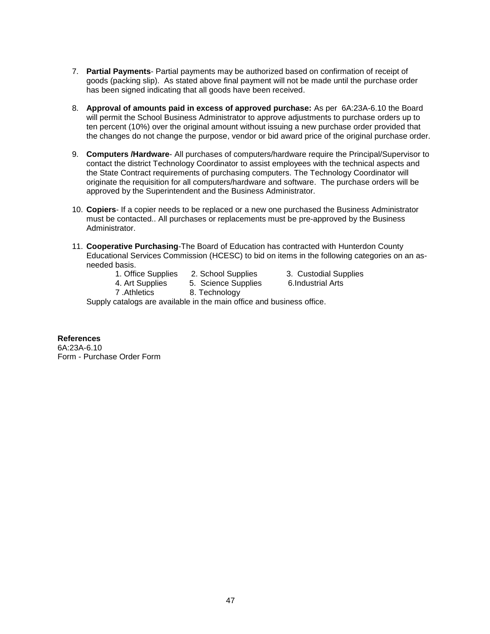- 7. **Partial Payments** Partial payments may be authorized based on confirmation of receipt of goods (packing slip). As stated above final payment will not be made until the purchase order has been signed indicating that all goods have been received.
- 8. **Approval of amounts paid in excess of approved purchase:** As per 6A:23A-6.10 the Board will permit the School Business Administrator to approve adjustments to purchase orders up to ten percent (10%) over the original amount without issuing a new purchase order provided that the changes do not change the purpose, vendor or bid award price of the original purchase order.
- 9. **Computers /Hardware** All purchases of computers/hardware require the Principal/Supervisor to contact the district Technology Coordinator to assist employees with the technical aspects and the State Contract requirements of purchasing computers. The Technology Coordinator will originate the requisition for all computers/hardware and software. The purchase orders will be approved by the Superintendent and the Business Administrator.
- 10. **Copiers** If a copier needs to be replaced or a new one purchased the Business Administrator must be contacted.. All purchases or replacements must be pre-approved by the Business Administrator.
- 11. **Cooperative Purchasing**-The Board of Education has contracted with Hunterdon County Educational Services Commission (HCESC) to bid on items in the following categories on an asneeded basis.
	-
	- 1. Office Supplies 2. School Supplies 3. Custodial Supplies
	- 4. Art Supplies 5. Science Supplies 6.Industrial Arts
		-
- 
- 
- 7 .Athletics 8. Technology
- Supply catalogs are available in the main office and business office.

### **References**

6A:23A-6.10 Form - Purchase Order Form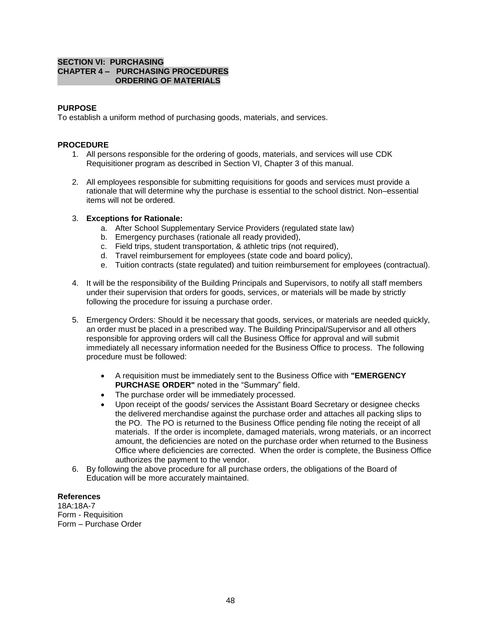# **SECTION VI: PURCHASING CHAPTER 4 – PURCHASING PROCEDURES ORDERING OF MATERIALS**

# **PURPOSE**

To establish a uniform method of purchasing goods, materials, and services.

# **PROCEDURE**

- 1. All persons responsible for the ordering of goods, materials, and services will use CDK Requisitioner program as described in Section VI, Chapter 3 of this manual.
- 2. All employees responsible for submitting requisitions for goods and services must provide a rationale that will determine why the purchase is essential to the school district. Non–essential items will not be ordered.

#### 3. **Exceptions for Rationale:**

- a. After School Supplementary Service Providers (regulated state law)
- b. Emergency purchases (rationale all ready provided),
- c. Field trips, student transportation, & athletic trips (not required),
- d. Travel reimbursement for employees (state code and board policy),
- e. Tuition contracts (state regulated) and tuition reimbursement for employees (contractual).
- 4. It will be the responsibility of the Building Principals and Supervisors, to notify all staff members under their supervision that orders for goods, services, or materials will be made by strictly following the procedure for issuing a purchase order.
- 5. Emergency Orders: Should it be necessary that goods, services, or materials are needed quickly, an order must be placed in a prescribed way. The Building Principal/Supervisor and all others responsible for approving orders will call the Business Office for approval and will submit immediately all necessary information needed for the Business Office to process. The following procedure must be followed:
	- A requisition must be immediately sent to the Business Office with **"EMERGENCY PURCHASE ORDER"** noted in the "Summary" field.
	- The purchase order will be immediately processed.
	- Upon receipt of the goods/ services the Assistant Board Secretary or designee checks the delivered merchandise against the purchase order and attaches all packing slips to the PO. The PO is returned to the Business Office pending file noting the receipt of all materials. If the order is incomplete, damaged materials, wrong materials, or an incorrect amount, the deficiencies are noted on the purchase order when returned to the Business Office where deficiencies are corrected. When the order is complete, the Business Office authorizes the payment to the vendor.
- 6. By following the above procedure for all purchase orders, the obligations of the Board of Education will be more accurately maintained.

#### **References**

18A:18A-7 Form - Requisition Form – Purchase Order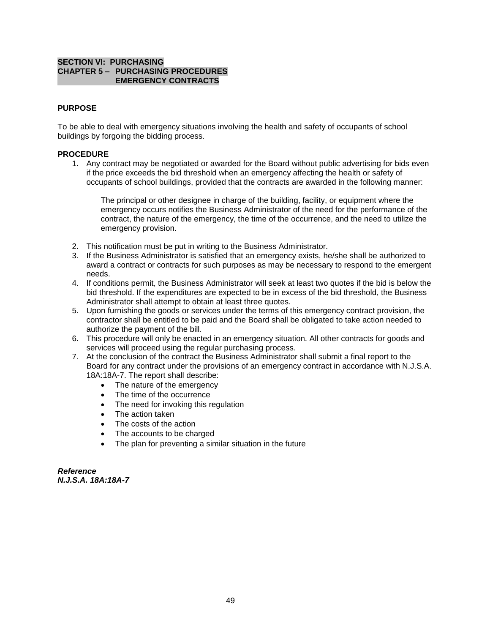# **SECTION VI: PURCHASING CHAPTER 5 – PURCHASING PROCEDURES EMERGENCY CONTRACTS**

# **PURPOSE**

To be able to deal with emergency situations involving the health and safety of occupants of school buildings by forgoing the bidding process.

### **PROCEDURE**

1. Any contract may be negotiated or awarded for the Board without public advertising for bids even if the price exceeds the bid threshold when an emergency affecting the health or safety of occupants of school buildings, provided that the contracts are awarded in the following manner:

The principal or other designee in charge of the building, facility, or equipment where the emergency occurs notifies the Business Administrator of the need for the performance of the contract, the nature of the emergency, the time of the occurrence, and the need to utilize the emergency provision.

- 2. This notification must be put in writing to the Business Administrator.
- 3. If the Business Administrator is satisfied that an emergency exists, he/she shall be authorized to award a contract or contracts for such purposes as may be necessary to respond to the emergent needs.
- 4. If conditions permit, the Business Administrator will seek at least two quotes if the bid is below the bid threshold. If the expenditures are expected to be in excess of the bid threshold, the Business Administrator shall attempt to obtain at least three quotes.
- 5. Upon furnishing the goods or services under the terms of this emergency contract provision, the contractor shall be entitled to be paid and the Board shall be obligated to take action needed to authorize the payment of the bill.
- 6. This procedure will only be enacted in an emergency situation. All other contracts for goods and services will proceed using the regular purchasing process.
- 7. At the conclusion of the contract the Business Administrator shall submit a final report to the Board for any contract under the provisions of an emergency contract in accordance with N.J.S.A. 18A:18A-7. The report shall describe:
	- The nature of the emergency
	- The time of the occurrence
	- The need for invoking this regulation
	- The action taken
	- The costs of the action
	- The accounts to be charged
	- The plan for preventing a similar situation in the future

*Reference N.J.S.A. 18A:18A-7*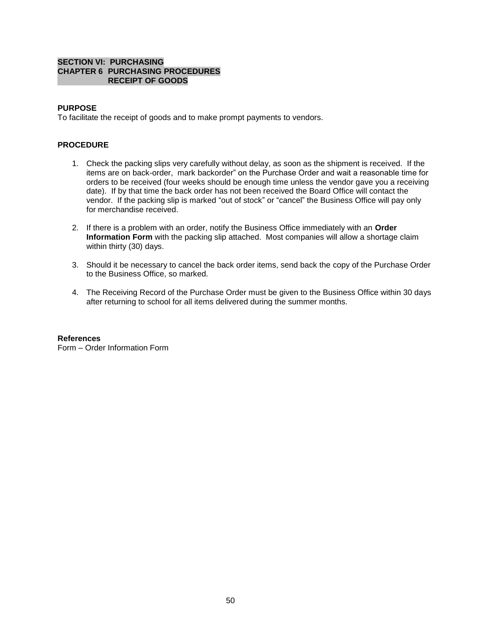### **SECTION VI: PURCHASING CHAPTER 6 PURCHASING PROCEDURES RECEIPT OF GOODS**

# **PURPOSE**

To facilitate the receipt of goods and to make prompt payments to vendors.

# **PROCEDURE**

- 1. Check the packing slips very carefully without delay, as soon as the shipment is received. If the items are on back-order, mark backorder" on the Purchase Order and wait a reasonable time for orders to be received (four weeks should be enough time unless the vendor gave you a receiving date). If by that time the back order has not been received the Board Office will contact the vendor. If the packing slip is marked "out of stock" or "cancel" the Business Office will pay only for merchandise received.
- 2. If there is a problem with an order, notify the Business Office immediately with an **Order Information Form** with the packing slip attached. Most companies will allow a shortage claim within thirty (30) days.
- 3. Should it be necessary to cancel the back order items, send back the copy of the Purchase Order to the Business Office, so marked.
- 4. The Receiving Record of the Purchase Order must be given to the Business Office within 30 days after returning to school for all items delivered during the summer months.

### **References**

Form – Order Information Form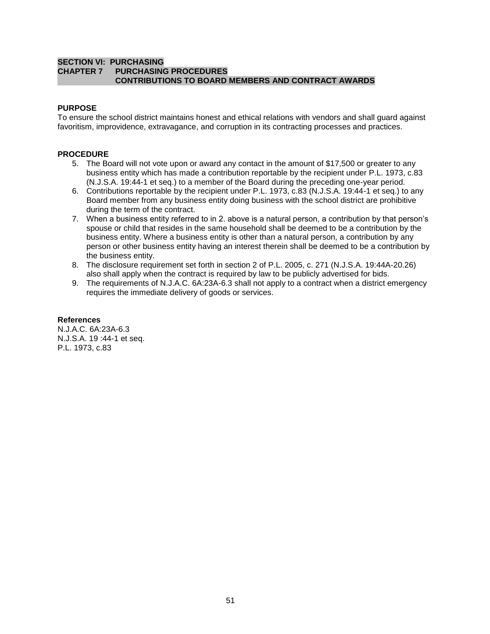### **SECTION VI: PURCHASING CHAPTER 7 PURCHASING PROCEDURES CONTRIBUTIONS TO BOARD MEMBERS AND CONTRACT AWARDS**

# **PURPOSE**

To ensure the school district maintains honest and ethical relations with vendors and shall guard against favoritism, improvidence, extravagance, and corruption in its contracting processes and practices.

# **PROCEDURE**

- 5. The Board will not vote upon or award any contact in the amount of \$17,500 or greater to any business entity which has made a contribution reportable by the recipient under P.L. 1973, c.83 (N.J.S.A. 19:44-1 et seq.) to a member of the Board during the preceding one-year period.
- 6. Contributions reportable by the recipient under P.L. 1973, c.83 (N.J.S.A. 19:44-1 et seq.) to any Board member from any business entity doing business with the school district are prohibitive during the term of the contract.
- 7. When a business entity referred to in 2. above is a natural person, a contribution by that person's spouse or child that resides in the same household shall be deemed to be a contribution by the business entity. Where a business entity is other than a natural person, a contribution by any person or other business entity having an interest therein shall be deemed to be a contribution by the business entity.
- 8. The disclosure requirement set forth in section 2 of P.L. 2005, c. 271 (N.J.S.A. 19:44A-20.26) also shall apply when the contract is required by law to be publicly advertised for bids.
- 9. The requirements of N.J.A.C. 6A:23A-6.3 shall not apply to a contract when a district emergency requires the immediate delivery of goods or services.

### **References**

N.J.A.C. 6A:23A-6.3 N.J.S.A. 19 :44-1 et seq. P.L. 1973, c.83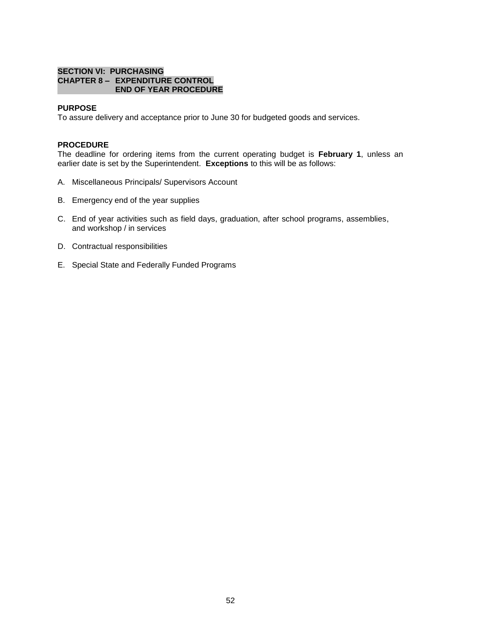### **SECTION VI: PURCHASING CHAPTER 8 – EXPENDITURE CONTROL END OF YEAR PROCEDURE**

### **PURPOSE**

To assure delivery and acceptance prior to June 30 for budgeted goods and services.

### **PROCEDURE**

The deadline for ordering items from the current operating budget is **February 1**, unless an earlier date is set by the Superintendent. **Exceptions** to this will be as follows:

- A. Miscellaneous Principals/ Supervisors Account
- B. Emergency end of the year supplies
- C. End of year activities such as field days, graduation, after school programs, assemblies, and workshop / in services
- D. Contractual responsibilities
- E. Special State and Federally Funded Programs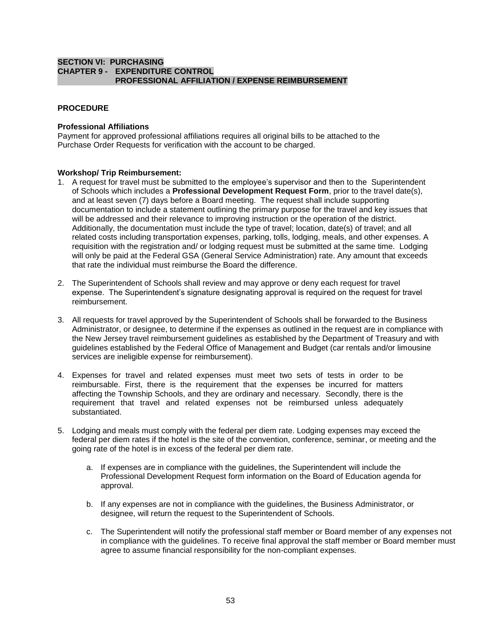### **SECTION VI: PURCHASING CHAPTER 9 - EXPENDITURE CONTROL PROFESSIONAL AFFILIATION / EXPENSE REIMBURSEMENT**

# **PROCEDURE**

### **Professional Affiliations**

Payment for approved professional affiliations requires all original bills to be attached to the Purchase Order Requests for verification with the account to be charged.

#### **Workshop/ Trip Reimbursement:**

- 1. A request for travel must be submitted to the employee's supervisor and then to the Superintendent of Schools which includes a **Professional Development Request Form**, prior to the travel date(s), and at least seven (7) days before a Board meeting. The request shall include supporting documentation to include a statement outlining the primary purpose for the travel and key issues that will be addressed and their relevance to improving instruction or the operation of the district. Additionally, the documentation must include the type of travel; location, date(s) of travel; and all related costs including transportation expenses, parking, tolls, lodging, meals, and other expenses. A requisition with the registration and/ or lodging request must be submitted at the same time. Lodging will only be paid at the Federal GSA (General Service Administration) rate. Any amount that exceeds that rate the individual must reimburse the Board the difference.
- 2. The Superintendent of Schools shall review and may approve or deny each request for travel expense. The Superintendent's signature designating approval is required on the request for travel reimbursement.
- 3. All requests for travel approved by the Superintendent of Schools shall be forwarded to the Business Administrator, or designee, to determine if the expenses as outlined in the request are in compliance with the New Jersey travel reimbursement guidelines as established by the Department of Treasury and with guidelines established by the Federal Office of Management and Budget (car rentals and/or limousine services are ineligible expense for reimbursement).
- 4. Expenses for travel and related expenses must meet two sets of tests in order to be reimbursable. First, there is the requirement that the expenses be incurred for matters affecting the Township Schools, and they are ordinary and necessary. Secondly, there is the requirement that travel and related expenses not be reimbursed unless adequately substantiated.
- 5. Lodging and meals must comply with the federal per diem rate. Lodging expenses may exceed the federal per diem rates if the hotel is the site of the convention, conference, seminar, or meeting and the going rate of the hotel is in excess of the federal per diem rate.
	- a. If expenses are in compliance with the guidelines, the Superintendent will include the Professional Development Request form information on the Board of Education agenda for approval.
	- b. If any expenses are not in compliance with the guidelines, the Business Administrator, or designee, will return the request to the Superintendent of Schools.
	- c. The Superintendent will notify the professional staff member or Board member of any expenses not in compliance with the guidelines. To receive final approval the staff member or Board member must agree to assume financial responsibility for the non-compliant expenses.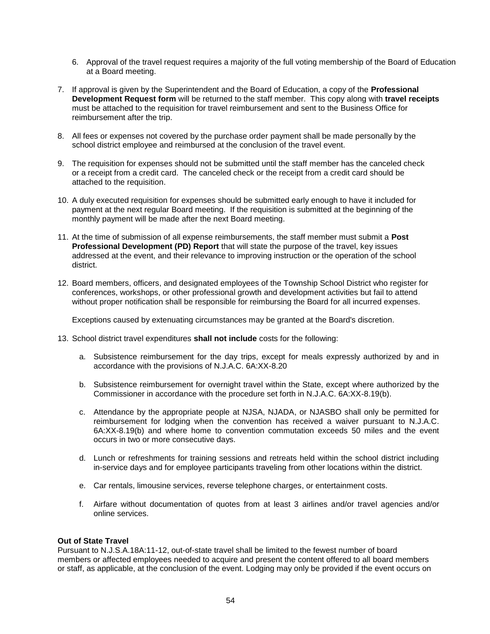- 6. Approval of the travel request requires a majority of the full voting membership of the Board of Education at a Board meeting.
- 7. If approval is given by the Superintendent and the Board of Education, a copy of the **Professional Development Request form** will be returned to the staff member. This copy along with **travel receipts** must be attached to the requisition for travel reimbursement and sent to the Business Office for reimbursement after the trip.
- 8. All fees or expenses not covered by the purchase order payment shall be made personally by the school district employee and reimbursed at the conclusion of the travel event.
- 9. The requisition for expenses should not be submitted until the staff member has the canceled check or a receipt from a credit card. The canceled check or the receipt from a credit card should be attached to the requisition.
- 10. A duly executed requisition for expenses should be submitted early enough to have it included for payment at the next regular Board meeting. If the requisition is submitted at the beginning of the monthly payment will be made after the next Board meeting.
- 11. At the time of submission of all expense reimbursements, the staff member must submit a **Post Professional Development (PD) Report** that will state the purpose of the travel, key issues addressed at the event, and their relevance to improving instruction or the operation of the school district.
- 12. Board members, officers, and designated employees of the Township School District who register for conferences, workshops, or other professional growth and development activities but fail to attend without proper notification shall be responsible for reimbursing the Board for all incurred expenses.

Exceptions caused by extenuating circumstances may be granted at the Board's discretion.

- 13. School district travel expenditures **shall not include** costs for the following:
	- a. Subsistence reimbursement for the day trips, except for meals expressly authorized by and in accordance with the provisions of N.J.A.C. 6A:XX-8.20
	- b. Subsistence reimbursement for overnight travel within the State, except where authorized by the Commissioner in accordance with the procedure set forth in N.J.A.C. 6A:XX-8.19(b).
	- c. Attendance by the appropriate people at NJSA, NJADA, or NJASBO shall only be permitted for reimbursement for lodging when the convention has received a waiver pursuant to N.J.A.C. 6A:XX-8.19(b) and where home to convention commutation exceeds 50 miles and the event occurs in two or more consecutive days.
	- d. Lunch or refreshments for training sessions and retreats held within the school district including in-service days and for employee participants traveling from other locations within the district.
	- e. Car rentals, limousine services, reverse telephone charges, or entertainment costs.
	- f. Airfare without documentation of quotes from at least 3 airlines and/or travel agencies and/or online services.

### **Out of State Travel**

Pursuant to N.J.S.A.18A:11-12, out-of-state travel shall be limited to the fewest number of board members or affected employees needed to acquire and present the content offered to all board members or staff, as applicable, at the conclusion of the event. Lodging may only be provided if the event occurs on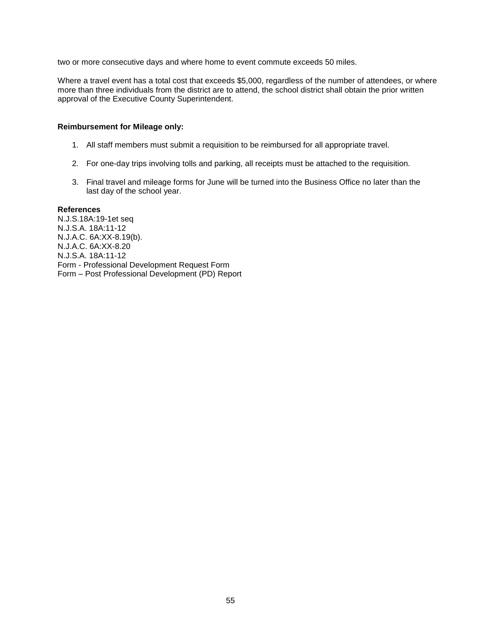two or more consecutive days and where home to event commute exceeds 50 miles.

Where a travel event has a total cost that exceeds \$5,000, regardless of the number of attendees, or where more than three individuals from the district are to attend, the school district shall obtain the prior written approval of the Executive County Superintendent.

### **Reimbursement for Mileage only:**

- 1. All staff members must submit a requisition to be reimbursed for all appropriate travel.
- 2. For one-day trips involving tolls and parking, all receipts must be attached to the requisition.
- 3. Final travel and mileage forms for June will be turned into the Business Office no later than the last day of the school year.

#### **References**

N.J.S.18A:19-1et seq N.J.S.A. 18A:11-12 N.J.A.C. 6A:XX-8.19(b). N.J.A.C. 6A:XX-8.20 N.J.S.A. 18A:11-12 Form - Professional Development Request Form Form – Post Professional Development (PD) Report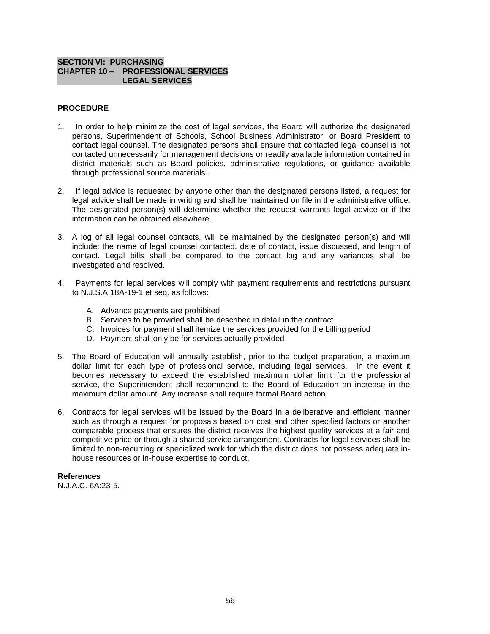# **SECTION VI: PURCHASING CHAPTER 10 – PROFESSIONAL SERVICES LEGAL SERVICES**

# **PROCEDURE**

- 1. In order to help minimize the cost of legal services, the Board will authorize the designated persons, Superintendent of Schools, School Business Administrator, or Board President to contact legal counsel. The designated persons shall ensure that contacted legal counsel is not contacted unnecessarily for management decisions or readily available information contained in district materials such as Board policies, administrative regulations, or guidance available through professional source materials.
- 2. If legal advice is requested by anyone other than the designated persons listed, a request for legal advice shall be made in writing and shall be maintained on file in the administrative office. The designated person(s) will determine whether the request warrants legal advice or if the information can be obtained elsewhere.
- 3. A log of all legal counsel contacts, will be maintained by the designated person(s) and will include: the name of legal counsel contacted, date of contact, issue discussed, and length of contact. Legal bills shall be compared to the contact log and any variances shall be investigated and resolved.
- 4. Payments for legal services will comply with payment requirements and restrictions pursuant to N.J.S.A.18A-19-1 et seq. as follows:
	- A. Advance payments are prohibited
	- B. Services to be provided shall be described in detail in the contract
	- C. Invoices for payment shall itemize the services provided for the billing period
	- D. Payment shall only be for services actually provided
- 5. The Board of Education will annually establish, prior to the budget preparation, a maximum dollar limit for each type of professional service, including legal services. In the event it becomes necessary to exceed the established maximum dollar limit for the professional service, the Superintendent shall recommend to the Board of Education an increase in the maximum dollar amount. Any increase shall require formal Board action.
- 6. Contracts for legal services will be issued by the Board in a deliberative and efficient manner such as through a request for proposals based on cost and other specified factors or another comparable process that ensures the district receives the highest quality services at a fair and competitive price or through a shared service arrangement. Contracts for legal services shall be limited to non-recurring or specialized work for which the district does not possess adequate inhouse resources or in-house expertise to conduct.

### **References**

N.J.A.C. 6A:23-5.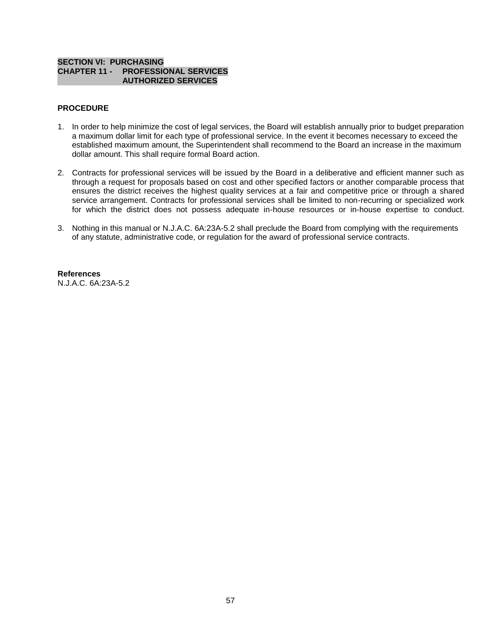# **SECTION VI: PURCHASING CHAPTER 11 - PROFESSIONAL SERVICES AUTHORIZED SERVICES**

# **PROCEDURE**

- 1. In order to help minimize the cost of legal services, the Board will establish annually prior to budget preparation a maximum dollar limit for each type of professional service. In the event it becomes necessary to exceed the established maximum amount, the Superintendent shall recommend to the Board an increase in the maximum dollar amount. This shall require formal Board action.
- 2. Contracts for professional services will be issued by the Board in a deliberative and efficient manner such as through a request for proposals based on cost and other specified factors or another comparable process that ensures the district receives the highest quality services at a fair and competitive price or through a shared service arrangement. Contracts for professional services shall be limited to non-recurring or specialized work for which the district does not possess adequate in-house resources or in-house expertise to conduct.
- 3. Nothing in this manual or N.J.A.C. 6A:23A-5.2 shall preclude the Board from complying with the requirements of any statute, administrative code, or regulation for the award of professional service contracts.

**References** N.J.A.C. 6A:23A-5.2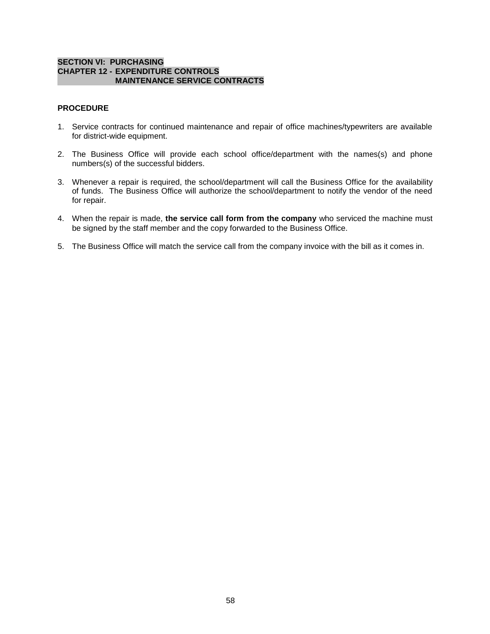### **SECTION VI: PURCHASING CHAPTER 12 - EXPENDITURE CONTROLS MAINTENANCE SERVICE CONTRACTS**

# **PROCEDURE**

- 1. Service contracts for continued maintenance and repair of office machines/typewriters are available for district-wide equipment.
- 2. The Business Office will provide each school office/department with the names(s) and phone numbers(s) of the successful bidders.
- 3. Whenever a repair is required, the school/department will call the Business Office for the availability of funds. The Business Office will authorize the school/department to notify the vendor of the need for repair.
- 4. When the repair is made, **the service call form from the company** who serviced the machine must be signed by the staff member and the copy forwarded to the Business Office.
- 5. The Business Office will match the service call from the company invoice with the bill as it comes in.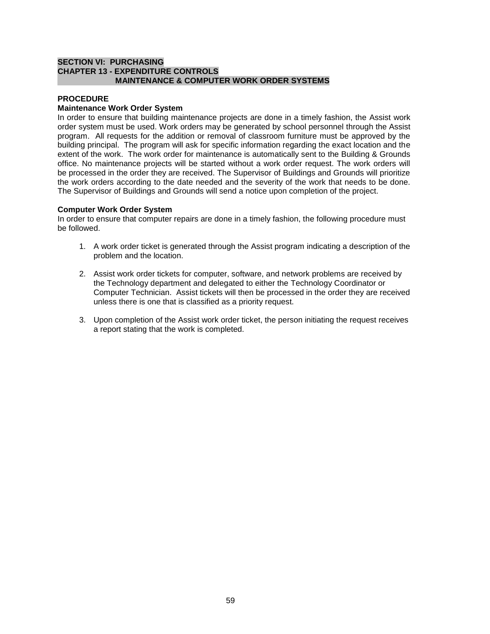# **SECTION VI: PURCHASING CHAPTER 13 - EXPENDITURE CONTROLS MAINTENANCE & COMPUTER WORK ORDER SYSTEMS**

# **PROCEDURE**

# **Maintenance Work Order System**

In order to ensure that building maintenance projects are done in a timely fashion, the Assist work order system must be used. Work orders may be generated by school personnel through the Assist program. All requests for the addition or removal of classroom furniture must be approved by the building principal. The program will ask for specific information regarding the exact location and the extent of the work. The work order for maintenance is automatically sent to the Building & Grounds office. No maintenance projects will be started without a work order request. The work orders will be processed in the order they are received. The Supervisor of Buildings and Grounds will prioritize the work orders according to the date needed and the severity of the work that needs to be done. The Supervisor of Buildings and Grounds will send a notice upon completion of the project.

### **Computer Work Order System**

In order to ensure that computer repairs are done in a timely fashion, the following procedure must be followed.

- 1. A work order ticket is generated through the Assist program indicating a description of the problem and the location.
- 2. Assist work order tickets for computer, software, and network problems are received by the Technology department and delegated to either the Technology Coordinator or Computer Technician. Assist tickets will then be processed in the order they are received unless there is one that is classified as a priority request.
- 3. Upon completion of the Assist work order ticket, the person initiating the request receives a report stating that the work is completed.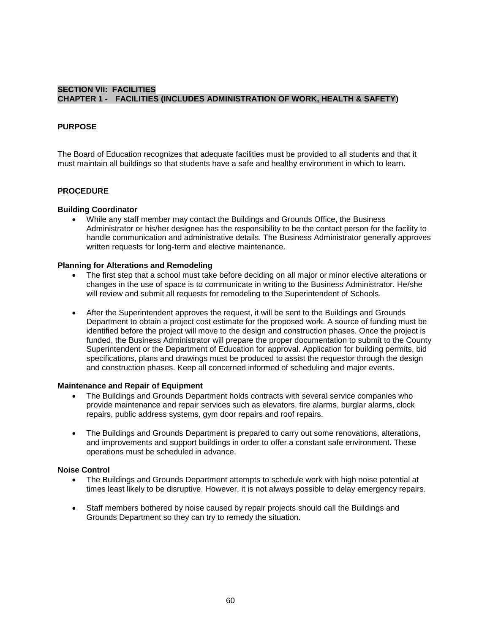# **SECTION VII: FACILITIES CHAPTER 1 - FACILITIES (INCLUDES ADMINISTRATION OF WORK, HEALTH & SAFETY)**

# **PURPOSE**

The Board of Education recognizes that adequate facilities must be provided to all students and that it must maintain all buildings so that students have a safe and healthy environment in which to learn.

### **PROCEDURE**

#### **Building Coordinator**

 While any staff member may contact the Buildings and Grounds Office, the Business Administrator or his/her designee has the responsibility to be the contact person for the facility to handle communication and administrative details. The Business Administrator generally approves written requests for long-term and elective maintenance.

### **Planning for Alterations and Remodeling**

- The first step that a school must take before deciding on all major or minor elective alterations or changes in the use of space is to communicate in writing to the Business Administrator. He/she will review and submit all requests for remodeling to the Superintendent of Schools.
- After the Superintendent approves the request, it will be sent to the Buildings and Grounds Department to obtain a project cost estimate for the proposed work. A source of funding must be identified before the project will move to the design and construction phases. Once the project is funded, the Business Administrator will prepare the proper documentation to submit to the County Superintendent or the Department of Education for approval. Application for building permits, bid specifications, plans and drawings must be produced to assist the requestor through the design and construction phases. Keep all concerned informed of scheduling and major events.

#### **Maintenance and Repair of Equipment**

- The Buildings and Grounds Department holds contracts with several service companies who provide maintenance and repair services such as elevators, fire alarms, burglar alarms, clock repairs, public address systems, gym door repairs and roof repairs.
- The Buildings and Grounds Department is prepared to carry out some renovations, alterations, and improvements and support buildings in order to offer a constant safe environment. These operations must be scheduled in advance.

### **Noise Control**

- The Buildings and Grounds Department attempts to schedule work with high noise potential at times least likely to be disruptive. However, it is not always possible to delay emergency repairs.
- Staff members bothered by noise caused by repair projects should call the Buildings and Grounds Department so they can try to remedy the situation.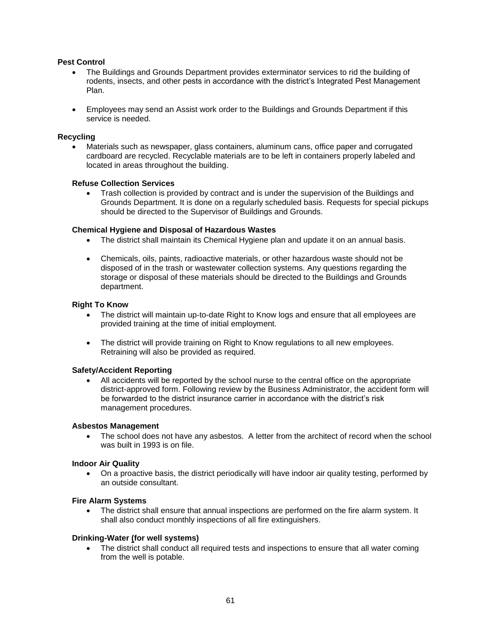# **Pest Control**

- The Buildings and Grounds Department provides exterminator services to rid the building of rodents, insects, and other pests in accordance with the district's Integrated Pest Management Plan.
- Employees may send an Assist work order to the Buildings and Grounds Department if this service is needed.

### **Recycling**

 Materials such as newspaper, glass containers, aluminum cans, office paper and corrugated cardboard are recycled. Recyclable materials are to be left in containers properly labeled and located in areas throughout the building.

#### **Refuse Collection Services**

 Trash collection is provided by contract and is under the supervision of the Buildings and Grounds Department. It is done on a regularly scheduled basis. Requests for special pickups should be directed to the Supervisor of Buildings and Grounds.

#### **Chemical Hygiene and Disposal of Hazardous Wastes**

- The district shall maintain its Chemical Hygiene plan and update it on an annual basis.
- Chemicals, oils, paints, radioactive materials, or other hazardous waste should not be disposed of in the trash or wastewater collection systems. Any questions regarding the storage or disposal of these materials should be directed to the Buildings and Grounds department.

#### **Right To Know**

- The district will maintain up-to-date Right to Know logs and ensure that all employees are provided training at the time of initial employment.
- The district will provide training on Right to Know regulations to all new employees. Retraining will also be provided as required.

#### **Safety/Accident Reporting**

 All accidents will be reported by the school nurse to the central office on the appropriate district-approved form. Following review by the Business Administrator, the accident form will be forwarded to the district insurance carrier in accordance with the district's risk management procedures.

#### **Asbestos Management**

• The school does not have any asbestos. A letter from the architect of record when the school was built in 1993 is on file.

#### **Indoor Air Quality**

 On a proactive basis, the district periodically will have indoor air quality testing, performed by an outside consultant.

#### **Fire Alarm Systems**

 The district shall ensure that annual inspections are performed on the fire alarm system. It shall also conduct monthly inspections of all fire extinguishers.

#### **Drinking-Water (for well systems)**

 The district shall conduct all required tests and inspections to ensure that all water coming from the well is potable.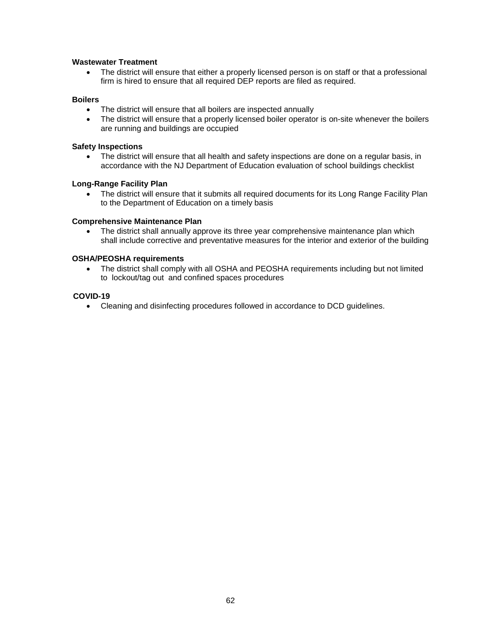# **Wastewater Treatment**

• The district will ensure that either a properly licensed person is on staff or that a professional firm is hired to ensure that all required DEP reports are filed as required.

# **Boilers**

- The district will ensure that all boilers are inspected annually
- The district will ensure that a properly licensed boiler operator is on-site whenever the boilers are running and buildings are occupied

### **Safety Inspections**

• The district will ensure that all health and safety inspections are done on a regular basis, in accordance with the NJ Department of Education evaluation of school buildings checklist

# **Long-Range Facility Plan**

• The district will ensure that it submits all required documents for its Long Range Facility Plan to the Department of Education on a timely basis

# **Comprehensive Maintenance Plan**

 The district shall annually approve its three year comprehensive maintenance plan which shall include corrective and preventative measures for the interior and exterior of the building

# **OSHA/PEOSHA requirements**

 The district shall comply with all OSHA and PEOSHA requirements including but not limited to lockout/tag out and confined spaces procedures

# **COVID-19**

Cleaning and disinfecting procedures followed in accordance to DCD guidelines.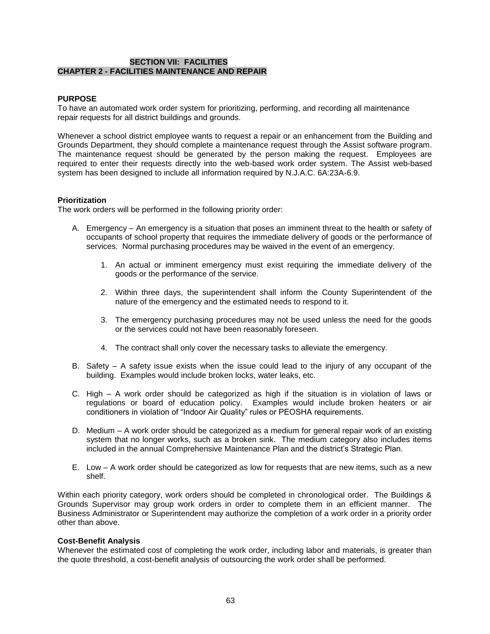# **SECTION VII: FACILITIES CHAPTER 2 - FACILITIES MAINTENANCE AND REPAIR**

# **PURPOSE**

To have an automated work order system for prioritizing, performing, and recording all maintenance repair requests for all district buildings and grounds.

Whenever a school district employee wants to request a repair or an enhancement from the Building and Grounds Department, they should complete a maintenance request through the Assist software program. The maintenance request should be generated by the person making the request. Employees are required to enter their requests directly into the web-based work order system. The Assist web-based system has been designed to include all information required by N.J.A.C. 6A:23A-6.9.

### **Prioritization**

The work orders will be performed in the following priority order:

- A. Emergency An emergency is a situation that poses an imminent threat to the health or safety of occupants of school property that requires the immediate delivery of goods or the performance of services. Normal purchasing procedures may be waived in the event of an emergency.
	- 1. An actual or imminent emergency must exist requiring the immediate delivery of the goods or the performance of the service.
	- 2. Within three days, the superintendent shall inform the County Superintendent of the nature of the emergency and the estimated needs to respond to it.
	- 3. The emergency purchasing procedures may not be used unless the need for the goods or the services could not have been reasonably foreseen.
	- 4. The contract shall only cover the necessary tasks to alleviate the emergency.
- B. Safety A safety issue exists when the issue could lead to the injury of any occupant of the building. Examples would include broken locks, water leaks, etc.
- C. High A work order should be categorized as high if the situation is in violation of laws or regulations or board of education policy. Examples would include broken heaters or air conditioners in violation of "Indoor Air Quality" rules or PEOSHA requirements.
- D. Medium A work order should be categorized as a medium for general repair work of an existing system that no longer works, such as a broken sink. The medium category also includes items included in the annual Comprehensive Maintenance Plan and the district's Strategic Plan.
- E. Low A work order should be categorized as low for requests that are new items, such as a new shelf.

Within each priority category, work orders should be completed in chronological order. The Buildings & Grounds Supervisor may group work orders in order to complete them in an efficient manner. The Business Administrator or Superintendent may authorize the completion of a work order in a priority order other than above.

### **Cost-Benefit Analysis**

Whenever the estimated cost of completing the work order, including labor and materials, is greater than the quote threshold, a cost-benefit analysis of outsourcing the work order shall be performed.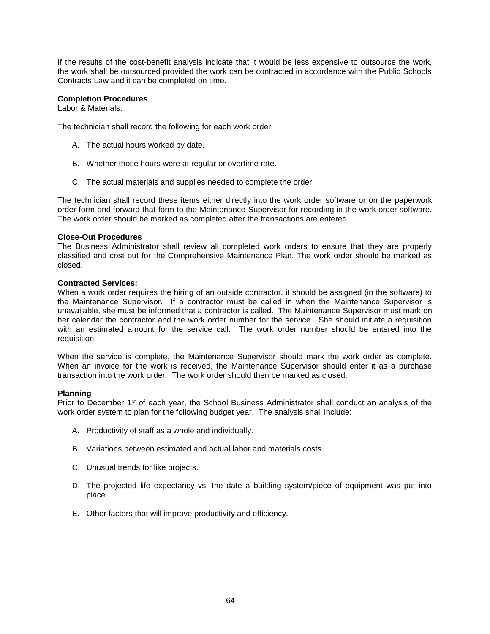If the results of the cost-benefit analysis indicate that it would be less expensive to outsource the work, the work shall be outsourced provided the work can be contracted in accordance with the Public Schools Contracts Law and it can be completed on time.

# **Completion Procedures**

Labor & Materials:

The technician shall record the following for each work order:

- A. The actual hours worked by date.
- B. Whether those hours were at regular or overtime rate.
- C. The actual materials and supplies needed to complete the order.

The technician shall record these items either directly into the work order software or on the paperwork order form and forward that form to the Maintenance Supervisor for recording in the work order software. The work order should be marked as completed after the transactions are entered.

### **Close-Out Procedures**

The Business Administrator shall review all completed work orders to ensure that they are properly classified and cost out for the Comprehensive Maintenance Plan. The work order should be marked as closed.

### **Contracted Services:**

When a work order requires the hiring of an outside contractor, it should be assigned (in the software) to the Maintenance Supervisor. If a contractor must be called in when the Maintenance Supervisor is unavailable, she must be informed that a contractor is called. The Maintenance Supervisor must mark on her calendar the contractor and the work order number for the service. She should initiate a requisition with an estimated amount for the service call. The work order number should be entered into the requisition.

When the service is complete, the Maintenance Supervisor should mark the work order as complete. When an invoice for the work is received, the Maintenance Supervisor should enter it as a purchase transaction into the work order. The work order should then be marked as closed.

### **Planning**

Prior to December 1<sup>st</sup> of each year, the School Business Administrator shall conduct an analysis of the work order system to plan for the following budget year. The analysis shall include:

- A. Productivity of staff as a whole and individually.
- B. Variations between estimated and actual labor and materials costs.
- C. Unusual trends for like projects.
- D. The projected life expectancy vs. the date a building system/piece of equipment was put into place.
- E. Other factors that will improve productivity and efficiency.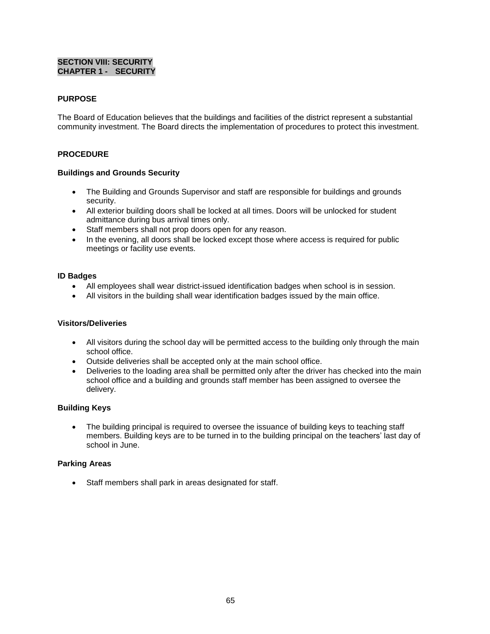# **SECTION VIII: SECURITY CHAPTER 1 - SECURITY**

# **PURPOSE**

The Board of Education believes that the buildings and facilities of the district represent a substantial community investment. The Board directs the implementation of procedures to protect this investment.

# **PROCEDURE**

# **Buildings and Grounds Security**

- The Building and Grounds Supervisor and staff are responsible for buildings and grounds security.
- All exterior building doors shall be locked at all times. Doors will be unlocked for student admittance during bus arrival times only.
- Staff members shall not prop doors open for any reason.
- In the evening, all doors shall be locked except those where access is required for public meetings or facility use events.

### **ID Badges**

- All employees shall wear district-issued identification badges when school is in session.
- All visitors in the building shall wear identification badges issued by the main office.

### **Visitors/Deliveries**

- All visitors during the school day will be permitted access to the building only through the main school office.
- Outside deliveries shall be accepted only at the main school office.
- Deliveries to the loading area shall be permitted only after the driver has checked into the main school office and a building and grounds staff member has been assigned to oversee the delivery.

# **Building Keys**

 The building principal is required to oversee the issuance of building keys to teaching staff members. Building keys are to be turned in to the building principal on the teachers' last day of school in June.

### **Parking Areas**

Staff members shall park in areas designated for staff.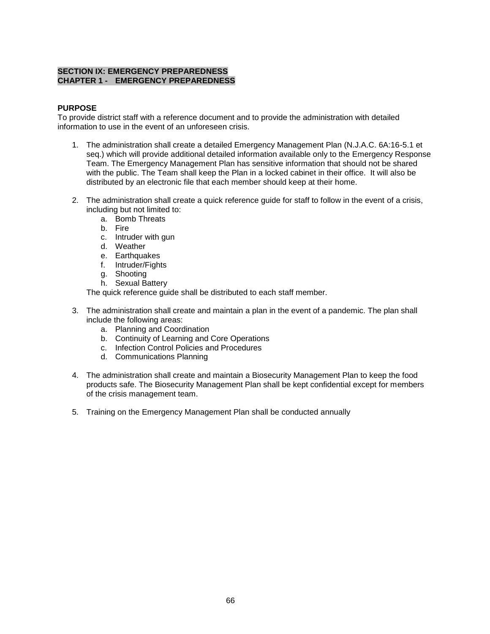# **SECTION IX: EMERGENCY PREPAREDNESS CHAPTER 1 - EMERGENCY PREPAREDNESS**

# **PURPOSE**

To provide district staff with a reference document and to provide the administration with detailed information to use in the event of an unforeseen crisis.

- 1. The administration shall create a detailed Emergency Management Plan (N.J.A.C. 6A:16-5.1 et seq.) which will provide additional detailed information available only to the Emergency Response Team. The Emergency Management Plan has sensitive information that should not be shared with the public. The Team shall keep the Plan in a locked cabinet in their office. It will also be distributed by an electronic file that each member should keep at their home.
- 2. The administration shall create a quick reference guide for staff to follow in the event of a crisis, including but not limited to:
	- a. Bomb Threats
	- b. Fire
	- c. Intruder with gun
	- d. Weather
	- e. Earthquakes
	- f. Intruder/Fights
	- g. Shooting
	- h. Sexual Battery

The quick reference guide shall be distributed to each staff member.

- 3. The administration shall create and maintain a plan in the event of a pandemic. The plan shall include the following areas:
	- a. Planning and Coordination
	- b. Continuity of Learning and Core Operations
	- c. Infection Control Policies and Procedures
	- d. Communications Planning
- 4. The administration shall create and maintain a Biosecurity Management Plan to keep the food products safe. The Biosecurity Management Plan shall be kept confidential except for members of the crisis management team.
- 5. Training on the Emergency Management Plan shall be conducted annually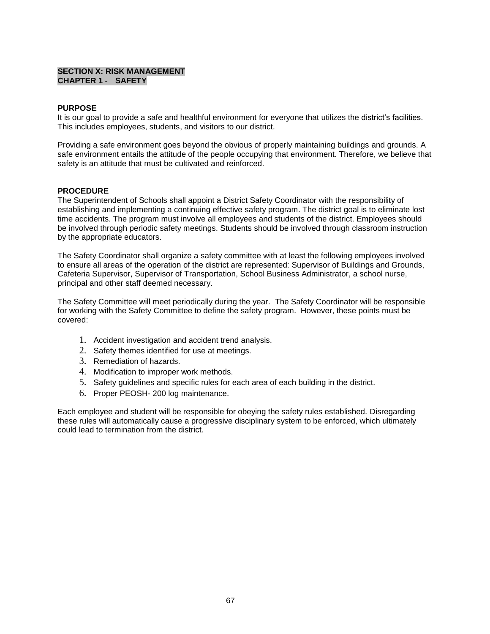# **SECTION X: RISK MANAGEMENT CHAPTER 1 - SAFETY**

### **PURPOSE**

It is our goal to provide a safe and healthful environment for everyone that utilizes the district's facilities. This includes employees, students, and visitors to our district.

Providing a safe environment goes beyond the obvious of properly maintaining buildings and grounds. A safe environment entails the attitude of the people occupying that environment. Therefore, we believe that safety is an attitude that must be cultivated and reinforced.

# **PROCEDURE**

The Superintendent of Schools shall appoint a District Safety Coordinator with the responsibility of establishing and implementing a continuing effective safety program. The district goal is to eliminate lost time accidents. The program must involve all employees and students of the district. Employees should be involved through periodic safety meetings. Students should be involved through classroom instruction by the appropriate educators.

The Safety Coordinator shall organize a safety committee with at least the following employees involved to ensure all areas of the operation of the district are represented: Supervisor of Buildings and Grounds, Cafeteria Supervisor, Supervisor of Transportation, School Business Administrator, a school nurse, principal and other staff deemed necessary.

The Safety Committee will meet periodically during the year. The Safety Coordinator will be responsible for working with the Safety Committee to define the safety program. However, these points must be covered:

- 1. Accident investigation and accident trend analysis.
- 2. Safety themes identified for use at meetings.
- 3. Remediation of hazards.
- 4. Modification to improper work methods.
- 5. Safety guidelines and specific rules for each area of each building in the district.
- 6. Proper PEOSH- 200 log maintenance.

Each employee and student will be responsible for obeying the safety rules established. Disregarding these rules will automatically cause a progressive disciplinary system to be enforced, which ultimately could lead to termination from the district.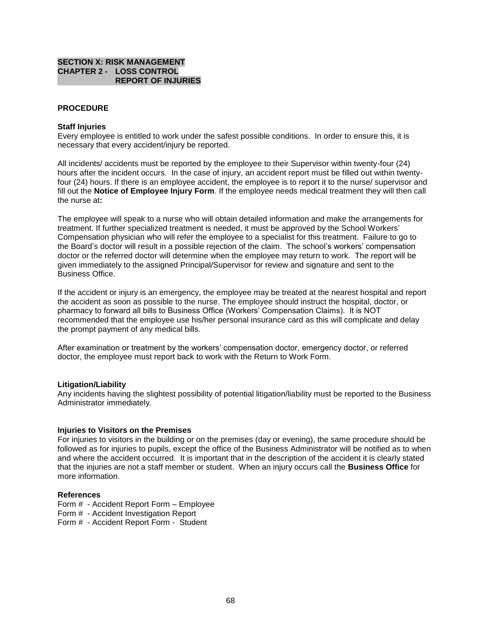### **SECTION X: RISK MANAGEMENT CHAPTER 2 - LOSS CONTROL REPORT OF INJURIES**

### **PROCEDURE**

#### **Staff Injuries**

Every employee is entitled to work under the safest possible conditions. In order to ensure this, it is necessary that every accident/injury be reported.

All incidents/ accidents must be reported by the employee to their Supervisor within twenty-four (24) hours after the incident occurs. In the case of injury, an accident report must be filled out within twentyfour (24) hours. If there is an employee accident, the employee is to report it to the nurse/ supervisor and fill out the **Notice of Employee Injury Form**. If the employee needs medical treatment they will then call the nurse at**:** 

The employee will speak to a nurse who will obtain detailed information and make the arrangements for treatment. If further specialized treatment is needed, it must be approved by the School Workers' Compensation physician who will refer the employee to a specialist for this treatment. Failure to go to the Board's doctor will result in a possible rejection of the claim. The school's workers' compensation doctor or the referred doctor will determine when the employee may return to work. The report will be given immediately to the assigned Principal/Supervisor for review and signature and sent to the Business Office.

If the accident or injury is an emergency, the employee may be treated at the nearest hospital and report the accident as soon as possible to the nurse. The employee should instruct the hospital, doctor, or pharmacy to forward all bills to Business Office (Workers' Compensation Claims). It is NOT recommended that the employee use his/her personal insurance card as this will complicate and delay the prompt payment of any medical bills.

After examination or treatment by the workers' compensation doctor, emergency doctor, or referred doctor, the employee must report back to work with the Return to Work Form.

#### **Litigation/Liability**

Any incidents having the slightest possibility of potential litigation/liability must be reported to the Business Administrator immediately.

#### **Injuries to Visitors on the Premises**

For injuries to visitors in the building or on the premises (day or evening), the same procedure should be followed as for injuries to pupils, except the office of the Business Administrator will be notified as to when and where the accident occurred. It is important that in the description of the accident it is clearly stated that the injuries are not a staff member or student. When an injury occurs call the **Business Office** for more information.

#### **References**

Form # - Accident Report Form – Employee

Form # - Accident Investigation Report

Form # - Accident Report Form - Student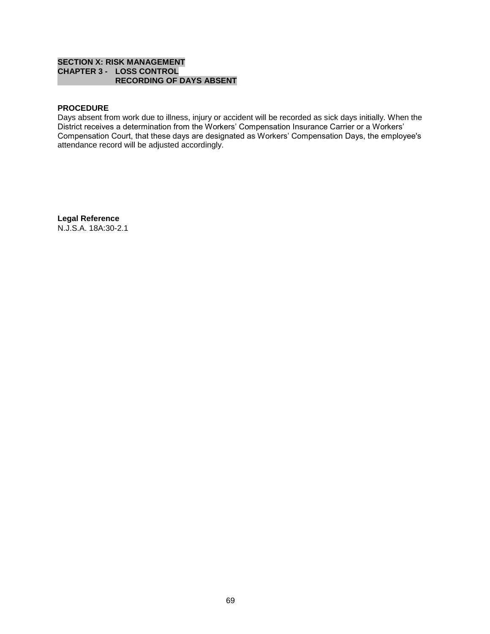# **SECTION X: RISK MANAGEMENT CHAPTER 3 - LOSS CONTROL RECORDING OF DAYS ABSENT**

# **PROCEDURE**

Days absent from work due to illness, injury or accident will be recorded as sick days initially. When the District receives a determination from the Workers' Compensation Insurance Carrier or a Workers' Compensation Court, that these days are designated as Workers' Compensation Days, the employee's attendance record will be adjusted accordingly.

**Legal Reference** N.J.S.A. 18A:30-2.1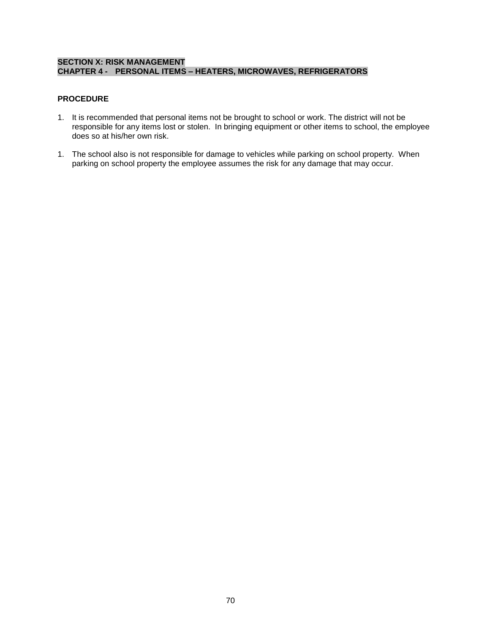# **SECTION X: RISK MANAGEMENT CHAPTER 4 - PERSONAL ITEMS – HEATERS, MICROWAVES, REFRIGERATORS**

# **PROCEDURE**

- 1. It is recommended that personal items not be brought to school or work. The district will not be responsible for any items lost or stolen. In bringing equipment or other items to school, the employee does so at his/her own risk.
- 1. The school also is not responsible for damage to vehicles while parking on school property. When parking on school property the employee assumes the risk for any damage that may occur.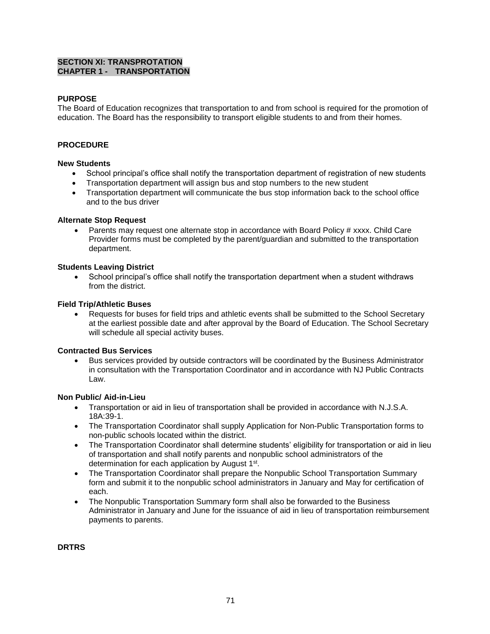# **SECTION XI: TRANSPROTATION CHAPTER 1 - TRANSPORTATION**

# **PURPOSE**

The Board of Education recognizes that transportation to and from school is required for the promotion of education. The Board has the responsibility to transport eligible students to and from their homes.

# **PROCEDURE**

### **New Students**

- School principal's office shall notify the transportation department of registration of new students
- Transportation department will assign bus and stop numbers to the new student
- Transportation department will communicate the bus stop information back to the school office and to the bus driver

### **Alternate Stop Request**

 Parents may request one alternate stop in accordance with Board Policy # xxxx. Child Care Provider forms must be completed by the parent/guardian and submitted to the transportation department.

### **Students Leaving District**

 School principal's office shall notify the transportation department when a student withdraws from the district.

#### **Field Trip/Athletic Buses**

 Requests for buses for field trips and athletic events shall be submitted to the School Secretary at the earliest possible date and after approval by the Board of Education. The School Secretary will schedule all special activity buses.

### **Contracted Bus Services**

 Bus services provided by outside contractors will be coordinated by the Business Administrator in consultation with the Transportation Coordinator and in accordance with NJ Public Contracts Law.

### **Non Public/ Aid-in-Lieu**

- Transportation or aid in lieu of transportation shall be provided in accordance with N.J.S.A. 18A:39-1.
- The Transportation Coordinator shall supply Application for Non-Public Transportation forms to non-public schools located within the district.
- The Transportation Coordinator shall determine students' eligibility for transportation or aid in lieu of transportation and shall notify parents and nonpublic school administrators of the determination for each application by August 1<sup>st</sup>.
- The Transportation Coordinator shall prepare the Nonpublic School Transportation Summary form and submit it to the nonpublic school administrators in January and May for certification of each.
- The Nonpublic Transportation Summary form shall also be forwarded to the Business Administrator in January and June for the issuance of aid in lieu of transportation reimbursement payments to parents.

**DRTRS**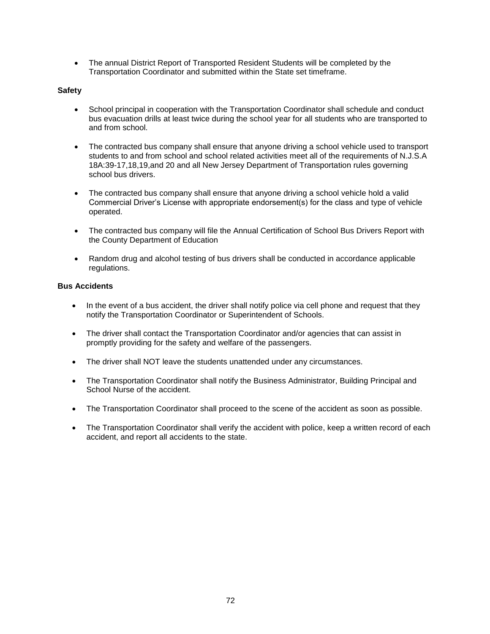The annual District Report of Transported Resident Students will be completed by the Transportation Coordinator and submitted within the State set timeframe.

# **Safety**

- School principal in cooperation with the Transportation Coordinator shall schedule and conduct bus evacuation drills at least twice during the school year for all students who are transported to and from school.
- The contracted bus company shall ensure that anyone driving a school vehicle used to transport students to and from school and school related activities meet all of the requirements of N.J.S.A 18A:39-17,18,19,and 20 and all New Jersey Department of Transportation rules governing school bus drivers.
- The contracted bus company shall ensure that anyone driving a school vehicle hold a valid Commercial Driver's License with appropriate endorsement(s) for the class and type of vehicle operated.
- The contracted bus company will file the Annual Certification of School Bus Drivers Report with the County Department of Education
- Random drug and alcohol testing of bus drivers shall be conducted in accordance applicable regulations.

# **Bus Accidents**

- In the event of a bus accident, the driver shall notify police via cell phone and request that they notify the Transportation Coordinator or Superintendent of Schools.
- The driver shall contact the Transportation Coordinator and/or agencies that can assist in promptly providing for the safety and welfare of the passengers.
- The driver shall NOT leave the students unattended under any circumstances.
- The Transportation Coordinator shall notify the Business Administrator, Building Principal and School Nurse of the accident.
- The Transportation Coordinator shall proceed to the scene of the accident as soon as possible.
- The Transportation Coordinator shall verify the accident with police, keep a written record of each accident, and report all accidents to the state.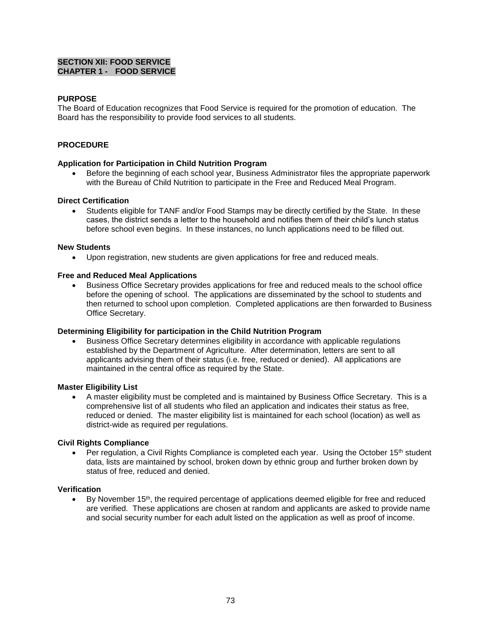# **SECTION XII: FOOD SERVICE CHAPTER 1 - FOOD SERVICE**

# **PURPOSE**

The Board of Education recognizes that Food Service is required for the promotion of education. The Board has the responsibility to provide food services to all students.

## **PROCEDURE**

## **Application for Participation in Child Nutrition Program**

 Before the beginning of each school year, Business Administrator files the appropriate paperwork with the Bureau of Child Nutrition to participate in the Free and Reduced Meal Program.

### **Direct Certification**

 Students eligible for TANF and/or Food Stamps may be directly certified by the State. In these cases, the district sends a letter to the household and notifies them of their child's lunch status before school even begins. In these instances, no lunch applications need to be filled out.

#### **New Students**

Upon registration, new students are given applications for free and reduced meals.

### **Free and Reduced Meal Applications**

 Business Office Secretary provides applications for free and reduced meals to the school office before the opening of school. The applications are disseminated by the school to students and then returned to school upon completion. Completed applications are then forwarded to Business Office Secretary.

### **Determining Eligibility for participation in the Child Nutrition Program**

 Business Office Secretary determines eligibility in accordance with applicable regulations established by the Department of Agriculture. After determination, letters are sent to all applicants advising them of their status (i.e. free, reduced or denied). All applications are maintained in the central office as required by the State.

### **Master Eligibility List**

 A master eligibility must be completed and is maintained by Business Office Secretary. This is a comprehensive list of all students who filed an application and indicates their status as free, reduced or denied. The master eligibility list is maintained for each school (location) as well as district-wide as required per regulations.

### **Civil Rights Compliance**

Per regulation, a Civil Rights Compliance is completed each year. Using the October 15<sup>th</sup> student data, lists are maintained by school, broken down by ethnic group and further broken down by status of free, reduced and denied.

### **Verification**

By November 15<sup>th</sup>, the required percentage of applications deemed eligible for free and reduced are verified. These applications are chosen at random and applicants are asked to provide name and social security number for each adult listed on the application as well as proof of income.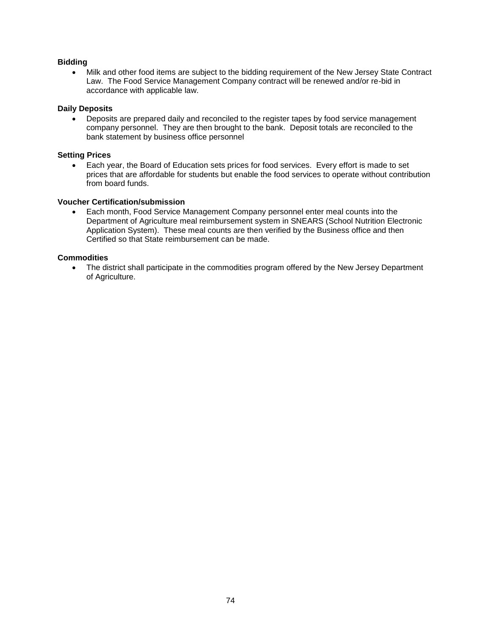# **Bidding**

 Milk and other food items are subject to the bidding requirement of the New Jersey State Contract Law. The Food Service Management Company contract will be renewed and/or re-bid in accordance with applicable law.

### **Daily Deposits**

 Deposits are prepared daily and reconciled to the register tapes by food service management company personnel. They are then brought to the bank. Deposit totals are reconciled to the bank statement by business office personnel

# **Setting Prices**

 Each year, the Board of Education sets prices for food services. Every effort is made to set prices that are affordable for students but enable the food services to operate without contribution from board funds.

### **Voucher Certification/submission**

 Each month, Food Service Management Company personnel enter meal counts into the Department of Agriculture meal reimbursement system in SNEARS (School Nutrition Electronic Application System). These meal counts are then verified by the Business office and then Certified so that State reimbursement can be made.

## **Commodities**

• The district shall participate in the commodities program offered by the New Jersey Department of Agriculture.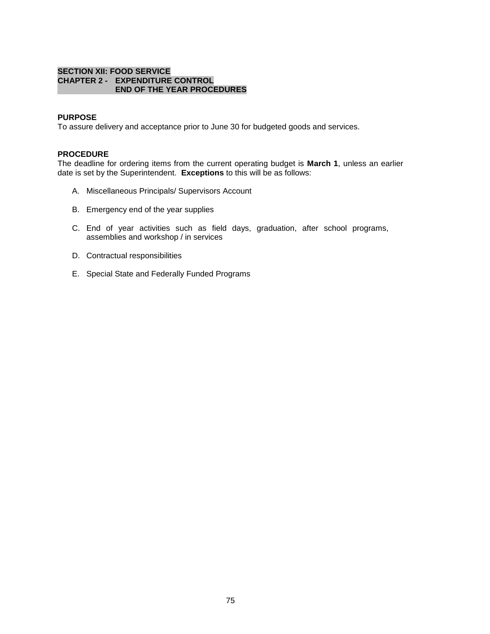#### **SECTION XII: FOOD SERVICE CHAPTER 2 - EXPENDITURE CONTROL END OF THE YEAR PROCEDURES**

### **PURPOSE**

To assure delivery and acceptance prior to June 30 for budgeted goods and services.

#### **PROCEDURE**

The deadline for ordering items from the current operating budget is **March 1**, unless an earlier date is set by the Superintendent. **Exceptions** to this will be as follows:

- A. Miscellaneous Principals/ Supervisors Account
- B. Emergency end of the year supplies
- C. End of year activities such as field days, graduation, after school programs, assemblies and workshop / in services
- D. Contractual responsibilities
- E. Special State and Federally Funded Programs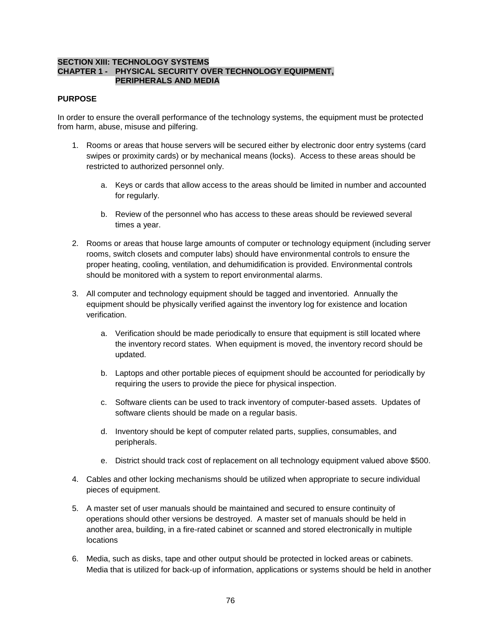### **SECTION XIII: TECHNOLOGY SYSTEMS CHAPTER 1 - PHYSICAL SECURITY OVER TECHNOLOGY EQUIPMENT, PERIPHERALS AND MEDIA**

### **PURPOSE**

In order to ensure the overall performance of the technology systems, the equipment must be protected from harm, abuse, misuse and pilfering.

- 1. Rooms or areas that house servers will be secured either by electronic door entry systems (card swipes or proximity cards) or by mechanical means (locks). Access to these areas should be restricted to authorized personnel only.
	- a. Keys or cards that allow access to the areas should be limited in number and accounted for regularly.
	- b. Review of the personnel who has access to these areas should be reviewed several times a year.
- 2. Rooms or areas that house large amounts of computer or technology equipment (including server rooms, switch closets and computer labs) should have environmental controls to ensure the proper heating, cooling, ventilation, and dehumidification is provided. Environmental controls should be monitored with a system to report environmental alarms.
- 3. All computer and technology equipment should be tagged and inventoried. Annually the equipment should be physically verified against the inventory log for existence and location verification.
	- a. Verification should be made periodically to ensure that equipment is still located where the inventory record states. When equipment is moved, the inventory record should be updated.
	- b. Laptops and other portable pieces of equipment should be accounted for periodically by requiring the users to provide the piece for physical inspection.
	- c. Software clients can be used to track inventory of computer-based assets. Updates of software clients should be made on a regular basis.
	- d. Inventory should be kept of computer related parts, supplies, consumables, and peripherals.
	- e. District should track cost of replacement on all technology equipment valued above \$500.
- 4. Cables and other locking mechanisms should be utilized when appropriate to secure individual pieces of equipment.
- 5. A master set of user manuals should be maintained and secured to ensure continuity of operations should other versions be destroyed. A master set of manuals should be held in another area, building, in a fire-rated cabinet or scanned and stored electronically in multiple locations
- 6. Media, such as disks, tape and other output should be protected in locked areas or cabinets. Media that is utilized for back-up of information, applications or systems should be held in another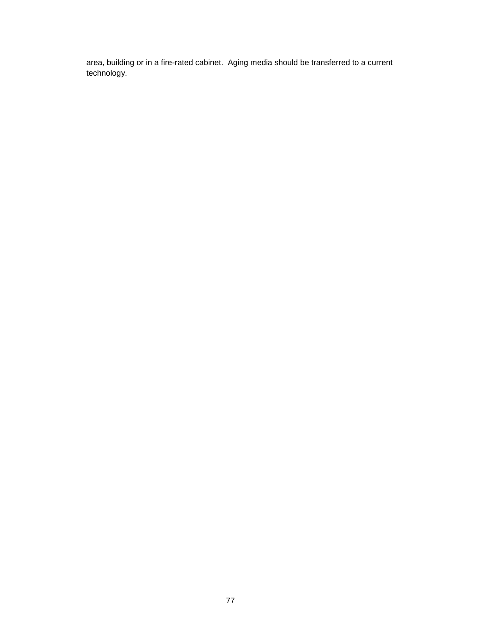area, building or in a fire-rated cabinet. Aging media should be transferred to a current technology.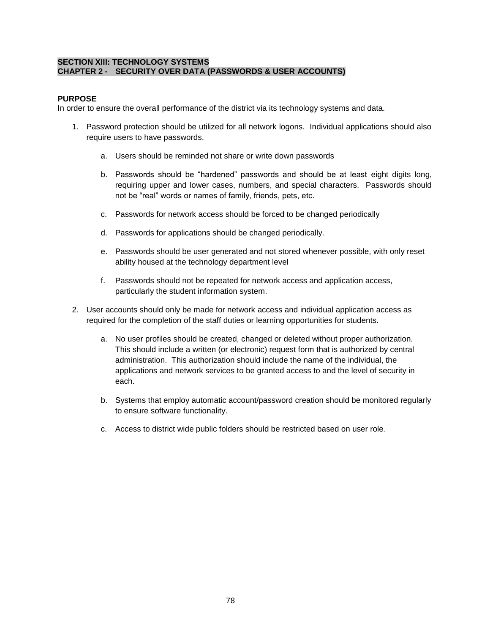## **SECTION XIII: TECHNOLOGY SYSTEMS CHAPTER 2 - SECURITY OVER DATA (PASSWORDS & USER ACCOUNTS)**

# **PURPOSE**

In order to ensure the overall performance of the district via its technology systems and data.

- 1. Password protection should be utilized for all network logons. Individual applications should also require users to have passwords.
	- a. Users should be reminded not share or write down passwords
	- b. Passwords should be "hardened" passwords and should be at least eight digits long, requiring upper and lower cases, numbers, and special characters. Passwords should not be "real" words or names of family, friends, pets, etc.
	- c. Passwords for network access should be forced to be changed periodically
	- d. Passwords for applications should be changed periodically.
	- e. Passwords should be user generated and not stored whenever possible, with only reset ability housed at the technology department level
	- f. Passwords should not be repeated for network access and application access, particularly the student information system.
- 2. User accounts should only be made for network access and individual application access as required for the completion of the staff duties or learning opportunities for students.
	- a. No user profiles should be created, changed or deleted without proper authorization. This should include a written (or electronic) request form that is authorized by central administration. This authorization should include the name of the individual, the applications and network services to be granted access to and the level of security in each.
	- b. Systems that employ automatic account/password creation should be monitored regularly to ensure software functionality.
	- c. Access to district wide public folders should be restricted based on user role.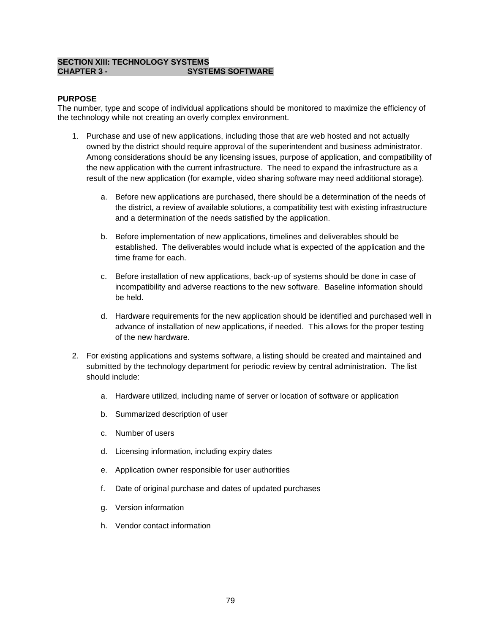## **SECTION XIII: TECHNOLOGY SYSTEMS CHAPTER 3 - SYSTEMS SOFTWARE**

# **PURPOSE**

The number, type and scope of individual applications should be monitored to maximize the efficiency of the technology while not creating an overly complex environment.

- 1. Purchase and use of new applications, including those that are web hosted and not actually owned by the district should require approval of the superintendent and business administrator. Among considerations should be any licensing issues, purpose of application, and compatibility of the new application with the current infrastructure. The need to expand the infrastructure as a result of the new application (for example, video sharing software may need additional storage).
	- a. Before new applications are purchased, there should be a determination of the needs of the district, a review of available solutions, a compatibility test with existing infrastructure and a determination of the needs satisfied by the application.
	- b. Before implementation of new applications, timelines and deliverables should be established. The deliverables would include what is expected of the application and the time frame for each.
	- c. Before installation of new applications, back-up of systems should be done in case of incompatibility and adverse reactions to the new software. Baseline information should be held.
	- d. Hardware requirements for the new application should be identified and purchased well in advance of installation of new applications, if needed. This allows for the proper testing of the new hardware.
- 2. For existing applications and systems software, a listing should be created and maintained and submitted by the technology department for periodic review by central administration. The list should include:
	- a. Hardware utilized, including name of server or location of software or application
	- b. Summarized description of user
	- c. Number of users
	- d. Licensing information, including expiry dates
	- e. Application owner responsible for user authorities
	- f. Date of original purchase and dates of updated purchases
	- g. Version information
	- h. Vendor contact information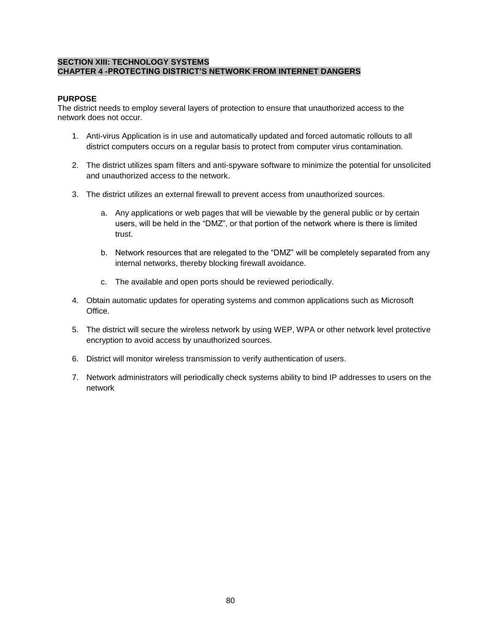# **SECTION XIII: TECHNOLOGY SYSTEMS CHAPTER 4 -PROTECTING DISTRICT'S NETWORK FROM INTERNET DANGERS**

# **PURPOSE**

The district needs to employ several layers of protection to ensure that unauthorized access to the network does not occur.

- 1. Anti-virus Application is in use and automatically updated and forced automatic rollouts to all district computers occurs on a regular basis to protect from computer virus contamination.
- 2. The district utilizes spam filters and anti-spyware software to minimize the potential for unsolicited and unauthorized access to the network.
- 3. The district utilizes an external firewall to prevent access from unauthorized sources.
	- a. Any applications or web pages that will be viewable by the general public or by certain users, will be held in the "DMZ", or that portion of the network where is there is limited trust.
	- b. Network resources that are relegated to the "DMZ" will be completely separated from any internal networks, thereby blocking firewall avoidance.
	- c. The available and open ports should be reviewed periodically.
- 4. Obtain automatic updates for operating systems and common applications such as Microsoft Office.
- 5. The district will secure the wireless network by using WEP, WPA or other network level protective encryption to avoid access by unauthorized sources.
- 6. District will monitor wireless transmission to verify authentication of users.
- 7. Network administrators will periodically check systems ability to bind IP addresses to users on the network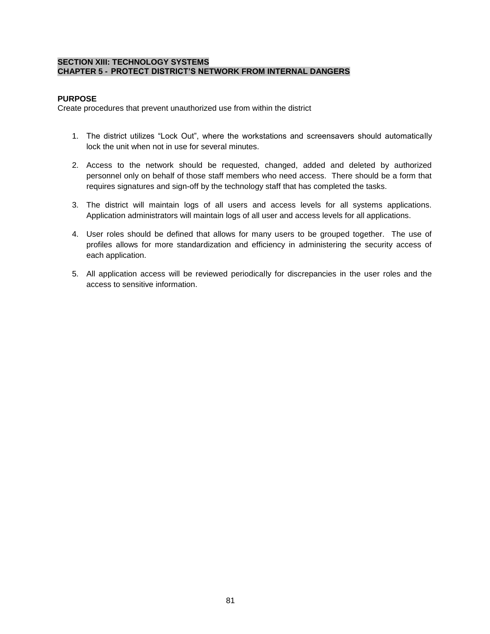## **SECTION XIII: TECHNOLOGY SYSTEMS CHAPTER 5 - PROTECT DISTRICT'S NETWORK FROM INTERNAL DANGERS**

# **PURPOSE**

Create procedures that prevent unauthorized use from within the district

- 1. The district utilizes "Lock Out", where the workstations and screensavers should automatically lock the unit when not in use for several minutes.
- 2. Access to the network should be requested, changed, added and deleted by authorized personnel only on behalf of those staff members who need access. There should be a form that requires signatures and sign-off by the technology staff that has completed the tasks.
- 3. The district will maintain logs of all users and access levels for all systems applications. Application administrators will maintain logs of all user and access levels for all applications.
- 4. User roles should be defined that allows for many users to be grouped together. The use of profiles allows for more standardization and efficiency in administering the security access of each application.
- 5. All application access will be reviewed periodically for discrepancies in the user roles and the access to sensitive information.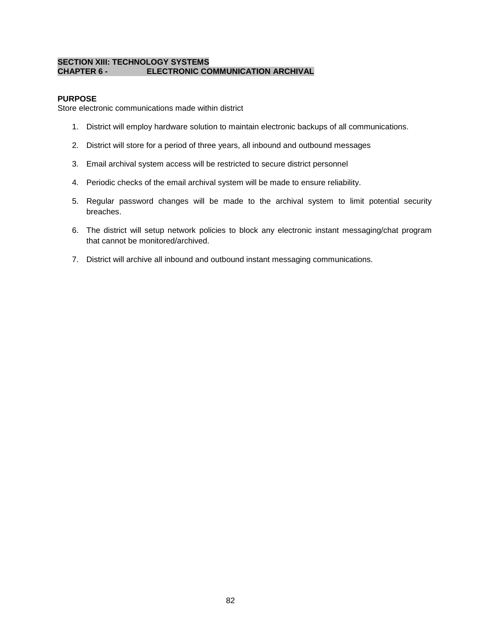## **SECTION XIII: TECHNOLOGY SYSTEMS CHAPTER 6 - ELECTRONIC COMMUNICATION ARCHIVAL**

# **PURPOSE**

Store electronic communications made within district

- 1. District will employ hardware solution to maintain electronic backups of all communications.
- 2. District will store for a period of three years, all inbound and outbound messages
- 3. Email archival system access will be restricted to secure district personnel
- 4. Periodic checks of the email archival system will be made to ensure reliability.
- 5. Regular password changes will be made to the archival system to limit potential security breaches.
- 6. The district will setup network policies to block any electronic instant messaging/chat program that cannot be monitored/archived.
- 7. District will archive all inbound and outbound instant messaging communications.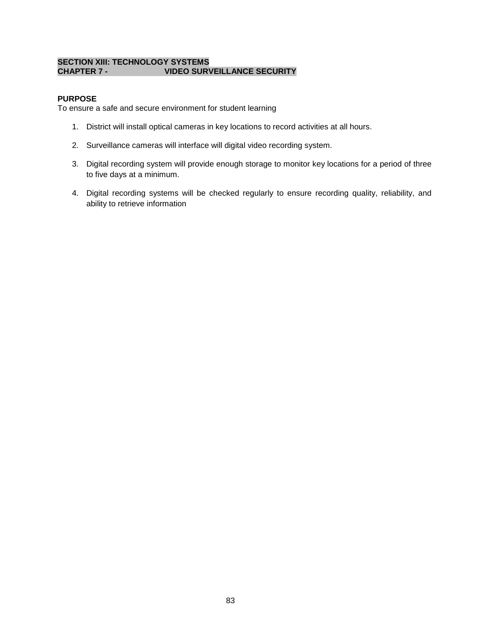## **SECTION XIII: TECHNOLOGY SYSTEMS CHAPTER 7 - VIDEO SURVEILLANCE SECURITY**

# **PURPOSE**

To ensure a safe and secure environment for student learning

- 1. District will install optical cameras in key locations to record activities at all hours.
- 2. Surveillance cameras will interface will digital video recording system.
- 3. Digital recording system will provide enough storage to monitor key locations for a period of three to five days at a minimum.
- 4. Digital recording systems will be checked regularly to ensure recording quality, reliability, and ability to retrieve information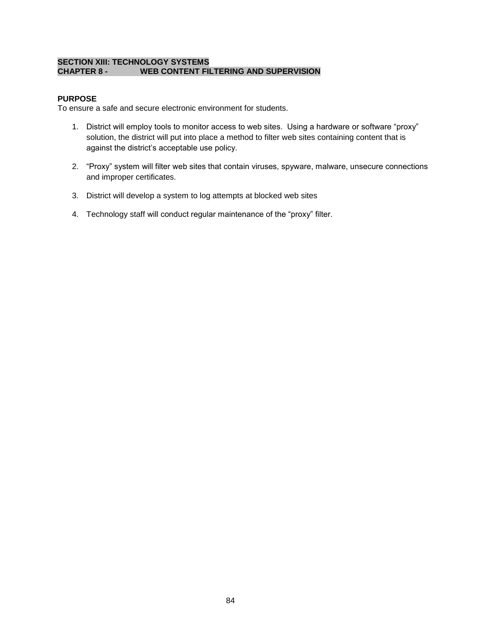## **SECTION XIII: TECHNOLOGY SYSTEMS CHAPTER 8 - WEB CONTENT FILTERING AND SUPERVISION**

# **PURPOSE**

To ensure a safe and secure electronic environment for students.

- 1. District will employ tools to monitor access to web sites. Using a hardware or software "proxy" solution, the district will put into place a method to filter web sites containing content that is against the district's acceptable use policy.
- 2. "Proxy" system will filter web sites that contain viruses, spyware, malware, unsecure connections and improper certificates.
- 3. District will develop a system to log attempts at blocked web sites
- 4. Technology staff will conduct regular maintenance of the "proxy" filter.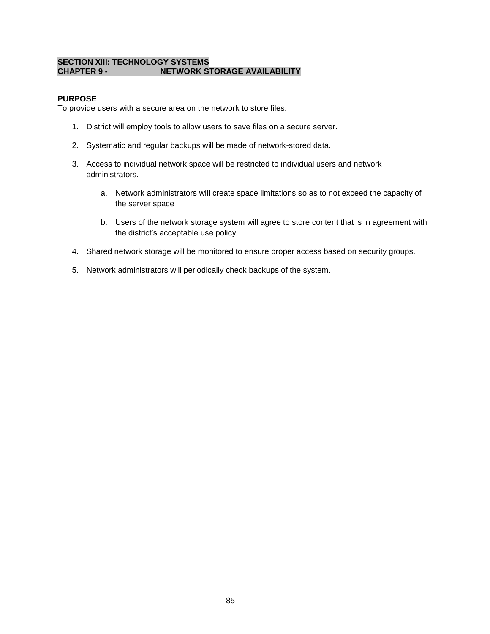## **SECTION XIII: TECHNOLOGY SYSTEMS CHAPTER 9 - NETWORK STORAGE AVAILABILITY**

# **PURPOSE**

To provide users with a secure area on the network to store files.

- 1. District will employ tools to allow users to save files on a secure server.
- 2. Systematic and regular backups will be made of network-stored data.
- 3. Access to individual network space will be restricted to individual users and network administrators.
	- a. Network administrators will create space limitations so as to not exceed the capacity of the server space
	- b. Users of the network storage system will agree to store content that is in agreement with the district's acceptable use policy.
- 4. Shared network storage will be monitored to ensure proper access based on security groups.
- 5. Network administrators will periodically check backups of the system.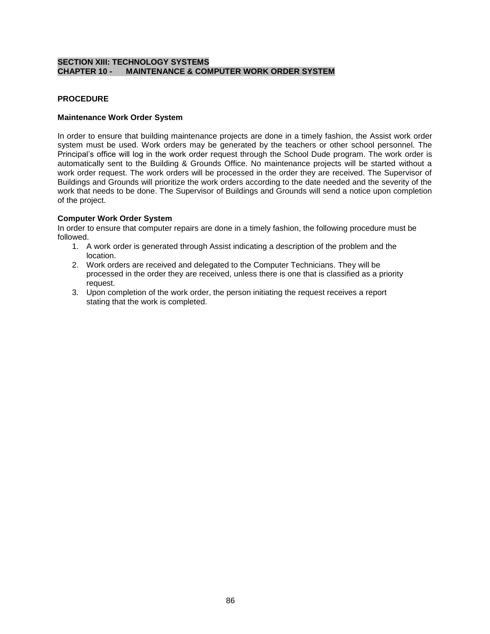# **SECTION XIII: TECHNOLOGY SYSTEMS CHAPTER 10 - MAINTENANCE & COMPUTER WORK ORDER SYSTEM**

# **PROCEDURE**

### **Maintenance Work Order System**

In order to ensure that building maintenance projects are done in a timely fashion, the Assist work order system must be used. Work orders may be generated by the teachers or other school personnel. The Principal's office will log in the work order request through the School Dude program. The work order is automatically sent to the Building & Grounds Office. No maintenance projects will be started without a work order request. The work orders will be processed in the order they are received. The Supervisor of Buildings and Grounds will prioritize the work orders according to the date needed and the severity of the work that needs to be done. The Supervisor of Buildings and Grounds will send a notice upon completion of the project.

## **Computer Work Order System**

In order to ensure that computer repairs are done in a timely fashion, the following procedure must be followed.

- 1. A work order is generated through Assist indicating a description of the problem and the location.
- 2. Work orders are received and delegated to the Computer Technicians. They will be processed in the order they are received, unless there is one that is classified as a priority request.
- 3. Upon completion of the work order, the person initiating the request receives a report stating that the work is completed.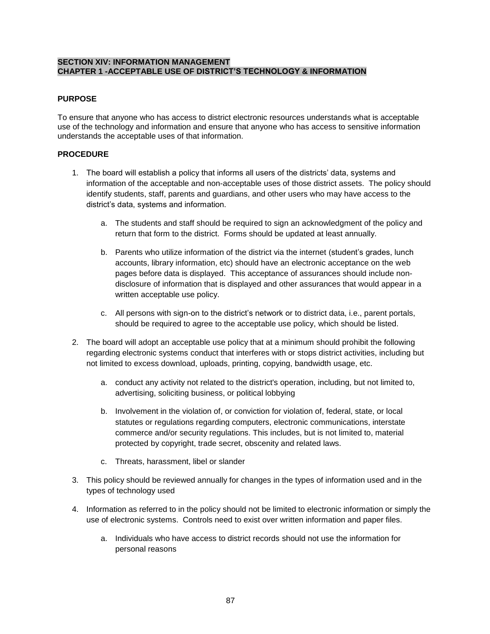# **SECTION XIV: INFORMATION MANAGEMENT CHAPTER 1 -ACCEPTABLE USE OF DISTRICT'S TECHNOLOGY & INFORMATION**

# **PURPOSE**

To ensure that anyone who has access to district electronic resources understands what is acceptable use of the technology and information and ensure that anyone who has access to sensitive information understands the acceptable uses of that information.

# **PROCEDURE**

- 1. The board will establish a policy that informs all users of the districts' data, systems and information of the acceptable and non-acceptable uses of those district assets. The policy should identify students, staff, parents and guardians, and other users who may have access to the district's data, systems and information.
	- a. The students and staff should be required to sign an acknowledgment of the policy and return that form to the district. Forms should be updated at least annually.
	- b. Parents who utilize information of the district via the internet (student's grades, lunch accounts, library information, etc) should have an electronic acceptance on the web pages before data is displayed. This acceptance of assurances should include nondisclosure of information that is displayed and other assurances that would appear in a written acceptable use policy.
	- c. All persons with sign-on to the district's network or to district data, i.e., parent portals, should be required to agree to the acceptable use policy, which should be listed.
- 2. The board will adopt an acceptable use policy that at a minimum should prohibit the following regarding electronic systems conduct that interferes with or stops district activities, including but not limited to excess download, uploads, printing, copying, bandwidth usage, etc.
	- a. conduct any activity not related to the district's operation, including, but not limited to, advertising, soliciting business, or political lobbying
	- b. Involvement in the violation of, or conviction for violation of, federal, state, or local statutes or regulations regarding computers, electronic communications, interstate commerce and/or security regulations. This includes, but is not limited to, material protected by copyright, trade secret, obscenity and related laws.
	- c. Threats, harassment, libel or slander
- 3. This policy should be reviewed annually for changes in the types of information used and in the types of technology used
- 4. Information as referred to in the policy should not be limited to electronic information or simply the use of electronic systems. Controls need to exist over written information and paper files.
	- a. Individuals who have access to district records should not use the information for personal reasons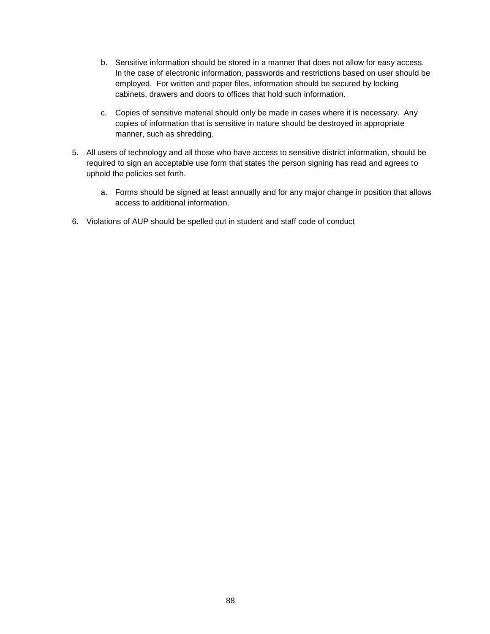- b. Sensitive information should be stored in a manner that does not allow for easy access. In the case of electronic information, passwords and restrictions based on user should be employed. For written and paper files, information should be secured by locking cabinets, drawers and doors to offices that hold such information.
- c. Copies of sensitive material should only be made in cases where it is necessary. Any copies of information that is sensitive in nature should be destroyed in appropriate manner, such as shredding.
- 5. All users of technology and all those who have access to sensitive district information, should be required to sign an acceptable use form that states the person signing has read and agrees to uphold the policies set forth.
	- a. Forms should be signed at least annually and for any major change in position that allows access to additional information.
- 6. Violations of AUP should be spelled out in student and staff code of conduct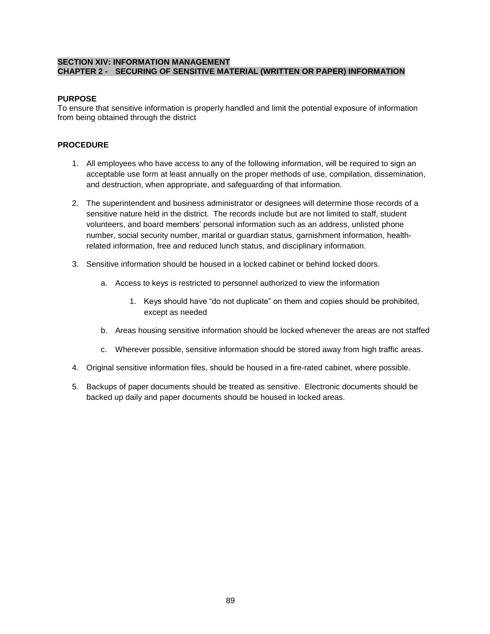# **SECTION XIV: INFORMATION MANAGEMENT CHAPTER 2 - SECURING OF SENSITIVE MATERIAL (WRITTEN OR PAPER) INFORMATION**

# **PURPOSE**

To ensure that sensitive information is properly handled and limit the potential exposure of information from being obtained through the district

# **PROCEDURE**

- 1. All employees who have access to any of the following information, will be required to sign an acceptable use form at least annually on the proper methods of use, compilation, dissemination, and destruction, when appropriate, and safeguarding of that information.
- 2. The superintendent and business administrator or designees will determine those records of a sensitive nature held in the district. The records include but are not limited to staff, student volunteers, and board members' personal information such as an address, unlisted phone number, social security number, marital or guardian status, garnishment information, healthrelated information, free and reduced lunch status, and disciplinary information.
- 3. Sensitive information should be housed in a locked cabinet or behind locked doors.
	- a. Access to keys is restricted to personnel authorized to view the information
		- 1. Keys should have "do not duplicate" on them and copies should be prohibited, except as needed
	- b. Areas housing sensitive information should be locked whenever the areas are not staffed
	- c. Wherever possible, sensitive information should be stored away from high traffic areas.
- 4. Original sensitive information files, should be housed in a fire-rated cabinet, where possible.
- 5. Backups of paper documents should be treated as sensitive. Electronic documents should be backed up daily and paper documents should be housed in locked areas.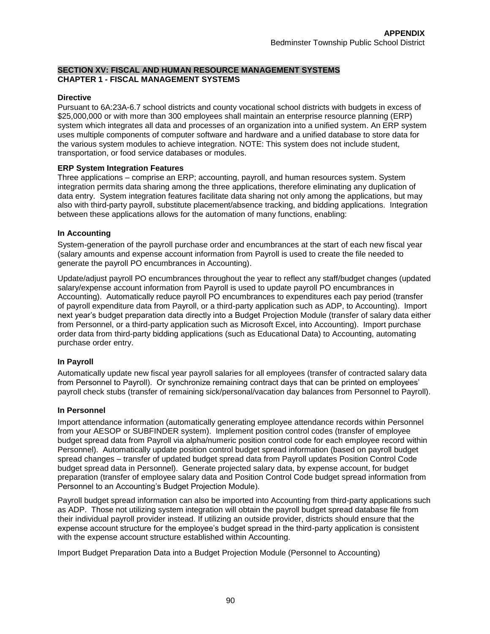# **SECTION XV: FISCAL AND HUMAN RESOURCE MANAGEMENT SYSTEMS CHAPTER 1 - FISCAL MANAGEMENT SYSTEMS**

### **Directive**

Pursuant to 6A:23A-6.7 school districts and county vocational school districts with budgets in excess of \$25,000,000 or with more than 300 employees shall maintain an enterprise resource planning (ERP) system which integrates all data and processes of an organization into a unified system. An ERP system uses multiple components of computer software and hardware and a unified database to store data for the various system modules to achieve integration. NOTE: This system does not include student, transportation, or food service databases or modules.

## **ERP System Integration Features**

Three applications – comprise an ERP; accounting, payroll, and human resources system. System integration permits data sharing among the three applications, therefore eliminating any duplication of data entry. System integration features facilitate data sharing not only among the applications, but may also with third-party payroll, substitute placement/absence tracking, and bidding applications. Integration between these applications allows for the automation of many functions, enabling:

## **In Accounting**

System-generation of the payroll purchase order and encumbrances at the start of each new fiscal year (salary amounts and expense account information from Payroll is used to create the file needed to generate the payroll PO encumbrances in Accounting).

Update/adjust payroll PO encumbrances throughout the year to reflect any staff/budget changes (updated salary/expense account information from Payroll is used to update payroll PO encumbrances in Accounting). Automatically reduce payroll PO encumbrances to expenditures each pay period (transfer of payroll expenditure data from Payroll, or a third-party application such as ADP, to Accounting). Import next year's budget preparation data directly into a Budget Projection Module (transfer of salary data either from Personnel, or a third-party application such as Microsoft Excel, into Accounting). Import purchase order data from third-party bidding applications (such as Educational Data) to Accounting, automating purchase order entry.

### **In Payroll**

Automatically update new fiscal year payroll salaries for all employees (transfer of contracted salary data from Personnel to Payroll). Or synchronize remaining contract days that can be printed on employees' payroll check stubs (transfer of remaining sick/personal/vacation day balances from Personnel to Payroll).

### **In Personnel**

Import attendance information (automatically generating employee attendance records within Personnel from your AESOP or SUBFINDER system). Implement position control codes (transfer of employee budget spread data from Payroll via alpha/numeric position control code for each employee record within Personnel). Automatically update position control budget spread information (based on payroll budget spread changes – transfer of updated budget spread data from Payroll updates Position Control Code budget spread data in Personnel). Generate projected salary data, by expense account, for budget preparation (transfer of employee salary data and Position Control Code budget spread information from Personnel to an Accounting's Budget Projection Module).

Payroll budget spread information can also be imported into Accounting from third-party applications such as ADP. Those not utilizing system integration will obtain the payroll budget spread database file from their individual payroll provider instead. If utilizing an outside provider, districts should ensure that the expense account structure for the employee's budget spread in the third-party application is consistent with the expense account structure established within Accounting.

Import Budget Preparation Data into a Budget Projection Module (Personnel to Accounting)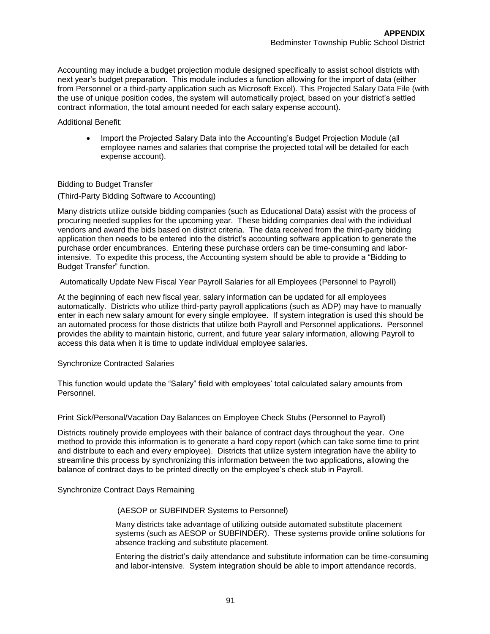Accounting may include a budget projection module designed specifically to assist school districts with next year's budget preparation. This module includes a function allowing for the import of data (either from Personnel or a third-party application such as Microsoft Excel). This Projected Salary Data File (with the use of unique position codes, the system will automatically project, based on your district's settled contract information, the total amount needed for each salary expense account).

Additional Benefit:

• Import the Projected Salary Data into the Accounting's Budget Projection Module (all employee names and salaries that comprise the projected total will be detailed for each expense account).

### Bidding to Budget Transfer

(Third-Party Bidding Software to Accounting)

Many districts utilize outside bidding companies (such as Educational Data) assist with the process of procuring needed supplies for the upcoming year. These bidding companies deal with the individual vendors and award the bids based on district criteria. The data received from the third-party bidding application then needs to be entered into the district's accounting software application to generate the purchase order encumbrances. Entering these purchase orders can be time-consuming and laborintensive. To expedite this process, the Accounting system should be able to provide a "Bidding to Budget Transfer" function.

Automatically Update New Fiscal Year Payroll Salaries for all Employees (Personnel to Payroll)

At the beginning of each new fiscal year, salary information can be updated for all employees automatically. Districts who utilize third-party payroll applications (such as ADP) may have to manually enter in each new salary amount for every single employee. If system integration is used this should be an automated process for those districts that utilize both Payroll and Personnel applications. Personnel provides the ability to maintain historic, current, and future year salary information, allowing Payroll to access this data when it is time to update individual employee salaries.

#### Synchronize Contracted Salaries

This function would update the "Salary" field with employees' total calculated salary amounts from Personnel.

Print Sick/Personal/Vacation Day Balances on Employee Check Stubs (Personnel to Payroll)

Districts routinely provide employees with their balance of contract days throughout the year. One method to provide this information is to generate a hard copy report (which can take some time to print and distribute to each and every employee). Districts that utilize system integration have the ability to streamline this process by synchronizing this information between the two applications, allowing the balance of contract days to be printed directly on the employee's check stub in Payroll.

Synchronize Contract Days Remaining

### (AESOP or SUBFINDER Systems to Personnel)

Many districts take advantage of utilizing outside automated substitute placement systems (such as AESOP or SUBFINDER). These systems provide online solutions for absence tracking and substitute placement.

Entering the district's daily attendance and substitute information can be time-consuming and labor-intensive. System integration should be able to import attendance records,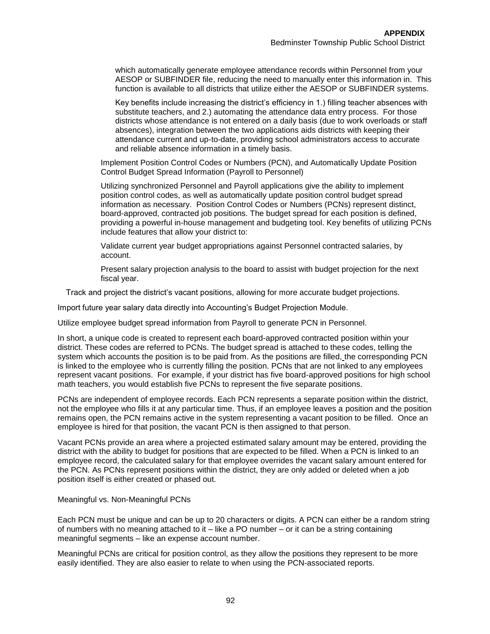which automatically generate employee attendance records within Personnel from your AESOP or SUBFINDER file, reducing the need to manually enter this information in. This function is available to all districts that utilize either the AESOP or SUBFINDER systems.

Key benefits include increasing the district's efficiency in 1.) filling teacher absences with substitute teachers, and 2.) automating the attendance data entry process. For those districts whose attendance is not entered on a daily basis (due to work overloads or staff absences), integration between the two applications aids districts with keeping their attendance current and up-to-date, providing school administrators access to accurate and reliable absence information in a timely basis.

Implement Position Control Codes or Numbers (PCN), and Automatically Update Position Control Budget Spread Information (Payroll to Personnel)

Utilizing synchronized Personnel and Payroll applications give the ability to implement position control codes, as well as automatically update position control budget spread information as necessary. Position Control Codes or Numbers (PCNs) represent distinct, board-approved, contracted job positions. The budget spread for each position is defined, providing a powerful in-house management and budgeting tool. Key benefits of utilizing PCNs include features that allow your district to:

Validate current year budget appropriations against Personnel contracted salaries, by account.

Present salary projection analysis to the board to assist with budget projection for the next fiscal year.

Track and project the district's vacant positions, allowing for more accurate budget projections.

Import future year salary data directly into Accounting's Budget Projection Module.

Utilize employee budget spread information from Payroll to generate PCN in Personnel.

In short, a unique code is created to represent each board-approved contracted position within your district. These codes are referred to PCNs. The budget spread is attached to these codes, telling the system which accounts the position is to be paid from. As the positions are filled, the corresponding PCN is linked to the employee who is currently filling the position. PCNs that are not linked to any employees represent vacant positions. For example, if your district has five board-approved positions for high school math teachers, you would establish five PCNs to represent the five separate positions.

PCNs are independent of employee records. Each PCN represents a separate position within the district, not the employee who fills it at any particular time. Thus, if an employee leaves a position and the position remains open, the PCN remains active in the system representing a vacant position to be filled. Once an employee is hired for that position, the vacant PCN is then assigned to that person.

Vacant PCNs provide an area where a projected estimated salary amount may be entered, providing the district with the ability to budget for positions that are expected to be filled. When a PCN is linked to an employee record, the calculated salary for that employee overrides the vacant salary amount entered for the PCN. As PCNs represent positions within the district, they are only added or deleted when a job position itself is either created or phased out.

Meaningful vs. Non-Meaningful PCNs

Each PCN must be unique and can be up to 20 characters or digits. A PCN can either be a random string of numbers with no meaning attached to it – like a PO number – or it can be a string containing meaningful segments – like an expense account number.

Meaningful PCNs are critical for position control, as they allow the positions they represent to be more easily identified. They are also easier to relate to when using the PCN-associated reports.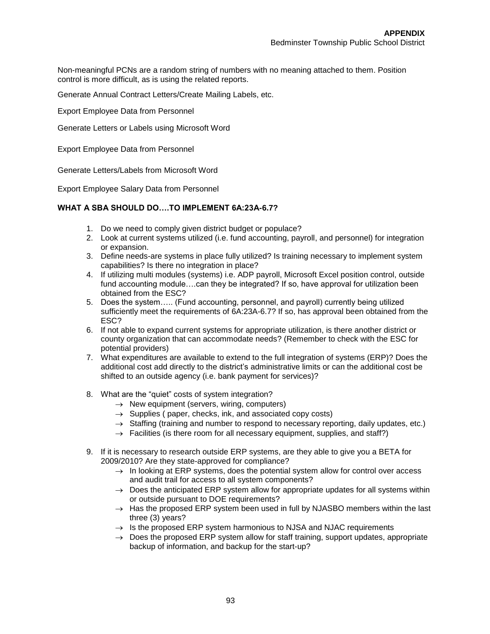Non-meaningful PCNs are a random string of numbers with no meaning attached to them. Position control is more difficult, as is using the related reports.

Generate Annual Contract Letters/Create Mailing Labels, etc.

Export Employee Data from Personnel

Generate Letters or Labels using Microsoft Word

Export Employee Data from Personnel

Generate Letters/Labels from Microsoft Word

Export Employee Salary Data from Personnel

# **WHAT A SBA SHOULD DO….TO IMPLEMENT 6A:23A-6.7?**

- 1. Do we need to comply given district budget or populace?
- 2. Look at current systems utilized (i.e. fund accounting, payroll, and personnel) for integration or expansion.
- 3. Define needs-are systems in place fully utilized? Is training necessary to implement system capabilities? Is there no integration in place?
- 4. If utilizing multi modules (systems) i.e. ADP payroll, Microsoft Excel position control, outside fund accounting module….can they be integrated? If so, have approval for utilization been obtained from the ESC?
- 5. Does the system….. (Fund accounting, personnel, and payroll) currently being utilized sufficiently meet the requirements of 6A:23A-6.7? If so, has approval been obtained from the ESC?
- 6. If not able to expand current systems for appropriate utilization, is there another district or county organization that can accommodate needs? (Remember to check with the ESC for potential providers)
- 7. What expenditures are available to extend to the full integration of systems (ERP)? Does the additional cost add directly to the district's administrative limits or can the additional cost be shifted to an outside agency (i.e. bank payment for services)?
- 8. What are the "quiet" costs of system integration?
	- $\rightarrow$  New equipment (servers, wiring, computers)
	- $\rightarrow$  Supplies ( paper, checks, ink, and associated copy costs)
	- $\rightarrow$  Staffing (training and number to respond to necessary reporting, daily updates, etc.)
	- $\rightarrow$  Facilities (is there room for all necessary equipment, supplies, and staff?)
- 9. If it is necessary to research outside ERP systems, are they able to give you a BETA for 2009/2010? Are they state-approved for compliance?
	- $\rightarrow$  In looking at ERP systems, does the potential system allow for control over access and audit trail for access to all system components?
	- $\rightarrow$  Does the anticipated ERP system allow for appropriate updates for all systems within or outside pursuant to DOE requirements?
	- $\rightarrow$  Has the proposed ERP system been used in full by NJASBO members within the last three (3) years?
	- $\rightarrow$  Is the proposed ERP system harmonious to NJSA and NJAC requirements
	- $\rightarrow$  Does the proposed ERP system allow for staff training, support updates, appropriate backup of information, and backup for the start-up?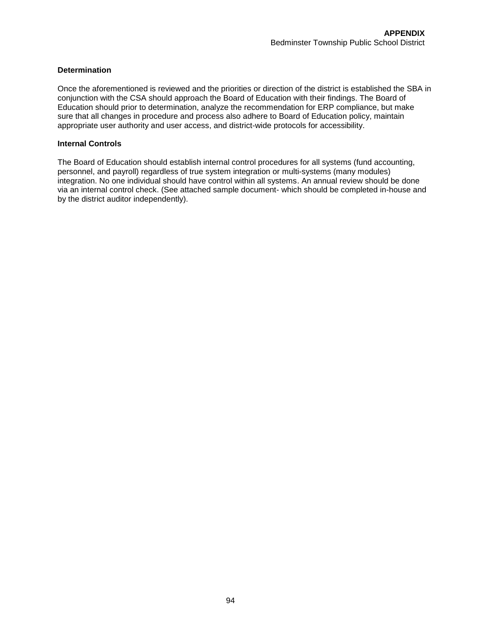## **Determination**

Once the aforementioned is reviewed and the priorities or direction of the district is established the SBA in conjunction with the CSA should approach the Board of Education with their findings. The Board of Education should prior to determination, analyze the recommendation for ERP compliance, but make sure that all changes in procedure and process also adhere to Board of Education policy, maintain appropriate user authority and user access, and district-wide protocols for accessibility.

### **Internal Controls**

The Board of Education should establish internal control procedures for all systems (fund accounting, personnel, and payroll) regardless of true system integration or multi-systems (many modules) integration. No one individual should have control within all systems. An annual review should be done via an internal control check. (See attached sample document- which should be completed in-house and by the district auditor independently).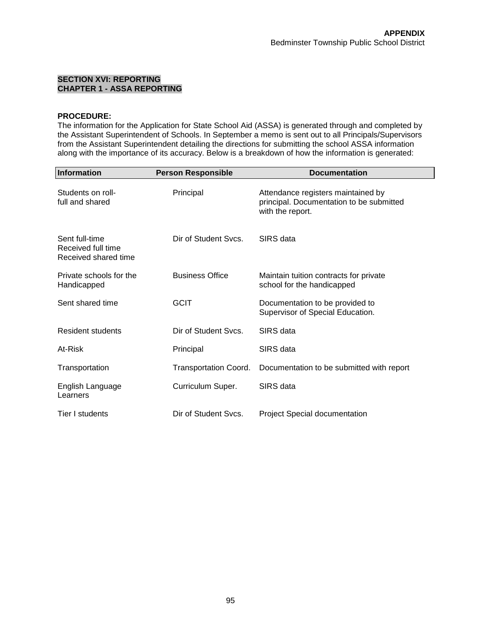## **SECTION XVI: REPORTING CHAPTER 1 - ASSA REPORTING**

# **PROCEDURE:**

The information for the Application for State School Aid (ASSA) is generated through and completed by the Assistant Superintendent of Schools. In September a memo is sent out to all Principals/Supervisors from the Assistant Superintendent detailing the directions for submitting the school ASSA information along with the importance of its accuracy. Below is a breakdown of how the information is generated:

| <b>Information</b>                                           | <b>Person Responsible</b>    | <b>Documentation</b>                                                                               |  |  |
|--------------------------------------------------------------|------------------------------|----------------------------------------------------------------------------------------------------|--|--|
| Students on roll-<br>full and shared                         | Principal                    | Attendance registers maintained by<br>principal. Documentation to be submitted<br>with the report. |  |  |
| Sent full-time<br>Received full time<br>Received shared time | Dir of Student Sycs.         | SIRS data                                                                                          |  |  |
| Private schools for the<br>Handicapped                       | <b>Business Office</b>       | Maintain tuition contracts for private<br>school for the handicapped                               |  |  |
| Sent shared time                                             | <b>GCIT</b>                  | Documentation to be provided to<br>Supervisor of Special Education.                                |  |  |
| <b>Resident students</b>                                     | Dir of Student Sycs.         | SIRS data                                                                                          |  |  |
| At-Risk                                                      | Principal                    | SIRS data                                                                                          |  |  |
| Transportation                                               | <b>Transportation Coord.</b> | Documentation to be submitted with report                                                          |  |  |
| English Language<br>Learners                                 | Curriculum Super.            | SIRS data                                                                                          |  |  |
| Tier I students                                              | Dir of Student Sycs.         | <b>Project Special documentation</b>                                                               |  |  |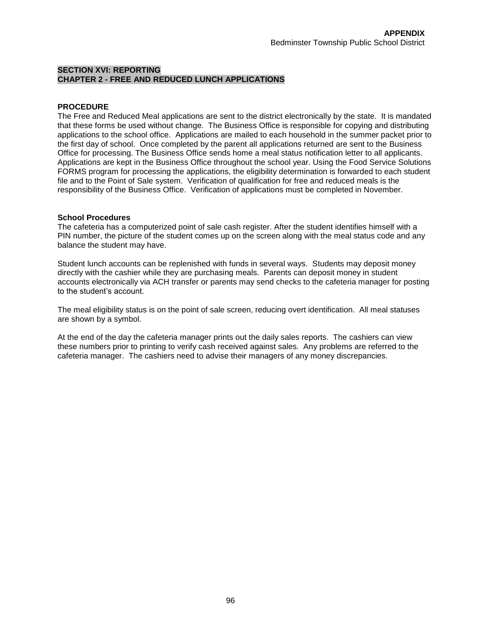# **SECTION XVI: REPORTING CHAPTER 2 - FREE AND REDUCED LUNCH APPLICATIONS**

### **PROCEDURE**

The Free and Reduced Meal applications are sent to the district electronically by the state. It is mandated that these forms be used without change. The Business Office is responsible for copying and distributing applications to the school office. Applications are mailed to each household in the summer packet prior to the first day of school. Once completed by the parent all applications returned are sent to the Business Office for processing. The Business Office sends home a meal status notification letter to all applicants. Applications are kept in the Business Office throughout the school year. Using the Food Service Solutions FORMS program for processing the applications, the eligibility determination is forwarded to each student file and to the Point of Sale system. Verification of qualification for free and reduced meals is the responsibility of the Business Office. Verification of applications must be completed in November.

### **School Procedures**

The cafeteria has a computerized point of sale cash register. After the student identifies himself with a PIN number, the picture of the student comes up on the screen along with the meal status code and any balance the student may have.

Student lunch accounts can be replenished with funds in several ways. Students may deposit money directly with the cashier while they are purchasing meals. Parents can deposit money in student accounts electronically via ACH transfer or parents may send checks to the cafeteria manager for posting to the student's account.

The meal eligibility status is on the point of sale screen, reducing overt identification. All meal statuses are shown by a symbol.

At the end of the day the cafeteria manager prints out the daily sales reports. The cashiers can view these numbers prior to printing to verify cash received against sales. Any problems are referred to the cafeteria manager. The cashiers need to advise their managers of any money discrepancies.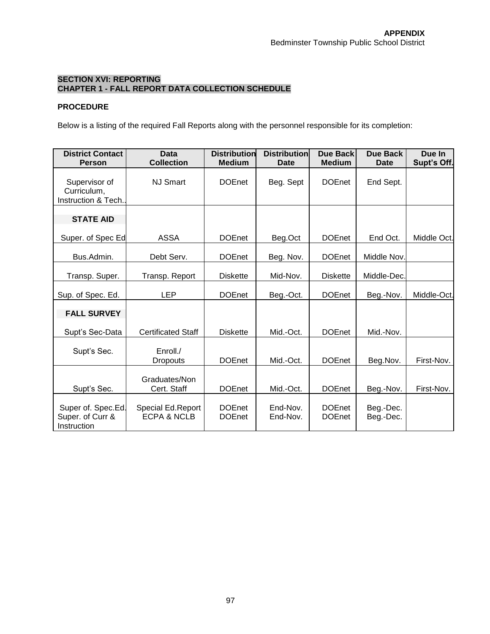# **SECTION XVI: REPORTING CHAPTER 1 - FALL REPORT DATA COLLECTION SCHEDULE**

# **PROCEDURE**

Below is a listing of the required Fall Reports along with the personnel responsible for its completion:

| <b>District Contact</b><br><b>Person</b>              | <b>Data</b><br><b>Collection</b>            | <b>Distribution</b><br><b>Medium</b> | <b>Distribution</b><br>Date | <b>Due Back</b><br><b>Medium</b> | Due Back<br>Date       | Due In<br>Supt's Off. |
|-------------------------------------------------------|---------------------------------------------|--------------------------------------|-----------------------------|----------------------------------|------------------------|-----------------------|
| Supervisor of<br>Curriculum,<br>Instruction & Tech.   | <b>NJ Smart</b>                             | <b>DOEnet</b>                        | Beg. Sept                   | <b>DOEnet</b>                    | End Sept.              |                       |
| <b>STATE AID</b>                                      |                                             |                                      |                             |                                  |                        |                       |
| Super. of Spec Ed                                     | <b>ASSA</b>                                 | <b>DOEnet</b>                        | Beg.Oct                     | <b>DOEnet</b>                    | End Oct.               | Middle Oct.           |
| Bus.Admin.                                            | Debt Serv.                                  | <b>DOEnet</b>                        | Beg. Nov.                   | <b>DOEnet</b>                    | Middle Nov.            |                       |
| Transp. Super.                                        | Transp. Report                              | <b>Diskette</b>                      | Mid-Nov.                    | <b>Diskette</b>                  | Middle-Dec.            |                       |
| Sup. of Spec. Ed.                                     | <b>LEP</b>                                  | <b>DOEnet</b>                        | Beg.-Oct.                   | <b>DOEnet</b>                    | Beg.-Nov.              | Middle-Oct.           |
| <b>FALL SURVEY</b>                                    |                                             |                                      |                             |                                  |                        |                       |
| Supt's Sec-Data                                       | <b>Certificated Staff</b>                   | <b>Diskette</b>                      | Mid.-Oct.                   | <b>DOEnet</b>                    | Mid.-Nov.              |                       |
| Supt's Sec.                                           | Enroll./<br><b>Dropouts</b>                 | <b>DOEnet</b>                        | Mid.-Oct.                   | <b>DOEnet</b>                    | Beg.Nov.               | First-Nov.            |
| Supt's Sec.                                           | Graduates/Non<br>Cert. Staff                | <b>DOEnet</b>                        | Mid.-Oct.                   | <b>DOEnet</b>                    | Beg.-Nov.              | First-Nov.            |
| Super of. Spec.Ed.<br>Super. of Curr &<br>Instruction | Special Ed.Report<br><b>ECPA &amp; NCLB</b> | <b>DOEnet</b><br><b>DOEnet</b>       | End-Nov.<br>End-Nov.        | <b>DOEnet</b><br><b>DOEnet</b>   | Beg.-Dec.<br>Beg.-Dec. |                       |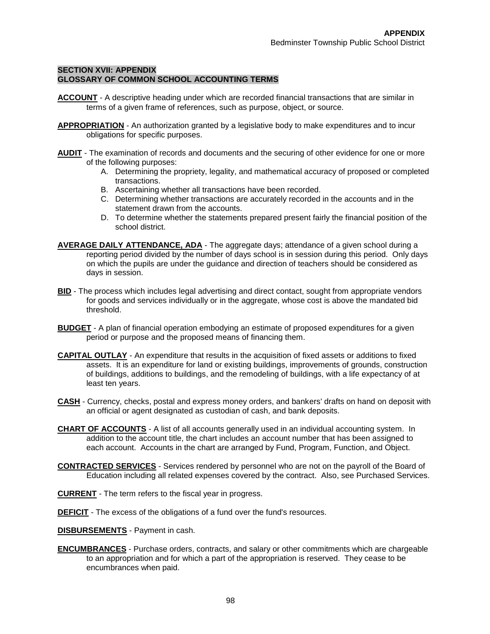### **SECTION XVII: APPENDIX GLOSSARY OF COMMON SCHOOL ACCOUNTING TERMS**

- **ACCOUNT** A descriptive heading under which are recorded financial transactions that are similar in terms of a given frame of references, such as purpose, object, or source.
- **APPROPRIATION** An authorization granted by a legislative body to make expenditures and to incur obligations for specific purposes.
- **AUDIT** The examination of records and documents and the securing of other evidence for one or more of the following purposes:
	- A. Determining the propriety, legality, and mathematical accuracy of proposed or completed transactions.
	- B. Ascertaining whether all transactions have been recorded.
	- C. Determining whether transactions are accurately recorded in the accounts and in the statement drawn from the accounts.
	- D. To determine whether the statements prepared present fairly the financial position of the school district.
- **AVERAGE DAILY ATTENDANCE, ADA** The aggregate days; attendance of a given school during a reporting period divided by the number of days school is in session during this period. Only days on which the pupils are under the guidance and direction of teachers should be considered as days in session.
- **BID** The process which includes legal advertising and direct contact, sought from appropriate vendors for goods and services individually or in the aggregate, whose cost is above the mandated bid threshold.
- **BUDGET** A plan of financial operation embodying an estimate of proposed expenditures for a given period or purpose and the proposed means of financing them.
- **CAPITAL OUTLAY** An expenditure that results in the acquisition of fixed assets or additions to fixed assets. It is an expenditure for land or existing buildings, improvements of grounds, construction of buildings, additions to buildings, and the remodeling of buildings, with a life expectancy of at least ten years.
- **CASH** Currency, checks, postal and express money orders, and bankers' drafts on hand on deposit with an official or agent designated as custodian of cash, and bank deposits.
- **CHART OF ACCOUNTS** A list of all accounts generally used in an individual accounting system. In addition to the account title, the chart includes an account number that has been assigned to each account. Accounts in the chart are arranged by Fund, Program, Function, and Object.
- **CONTRACTED SERVICES** Services rendered by personnel who are not on the payroll of the Board of Education including all related expenses covered by the contract. Also, see Purchased Services.
- **CURRENT** The term refers to the fiscal year in progress.
- **DEFICIT** The excess of the obligations of a fund over the fund's resources.
- **DISBURSEMENTS** Payment in cash.
- **ENCUMBRANCES** Purchase orders, contracts, and salary or other commitments which are chargeable to an appropriation and for which a part of the appropriation is reserved. They cease to be encumbrances when paid.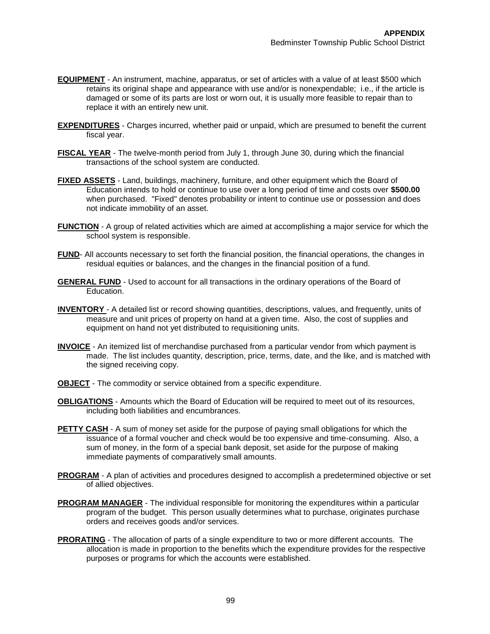- **EQUIPMENT** An instrument, machine, apparatus, or set of articles with a value of at least \$500 which retains its original shape and appearance with use and/or is nonexpendable; i.e., if the article is damaged or some of its parts are lost or worn out, it is usually more feasible to repair than to replace it with an entirely new unit.
- **EXPENDITURES** Charges incurred, whether paid or unpaid, which are presumed to benefit the current fiscal year.
- **FISCAL YEAR** The twelve-month period from July 1, through June 30, during which the financial transactions of the school system are conducted.
- **FIXED ASSETS** Land, buildings, machinery, furniture, and other equipment which the Board of Education intends to hold or continue to use over a long period of time and costs over **\$500.00** when purchased. "Fixed" denotes probability or intent to continue use or possession and does not indicate immobility of an asset.
- **FUNCTION** A group of related activities which are aimed at accomplishing a major service for which the school system is responsible.
- **FUND** All accounts necessary to set forth the financial position, the financial operations, the changes in residual equities or balances, and the changes in the financial position of a fund.
- **GENERAL FUND** Used to account for all transactions in the ordinary operations of the Board of Education.
- **INVENTORY**  A detailed list or record showing quantities, descriptions, values, and frequently, units of measure and unit prices of property on hand at a given time. Also, the cost of supplies and equipment on hand not yet distributed to requisitioning units.
- **INVOICE** An itemized list of merchandise purchased from a particular vendor from which payment is made. The list includes quantity, description, price, terms, date, and the like, and is matched with the signed receiving copy.
- **OBJECT** The commodity or service obtained from a specific expenditure.
- **OBLIGATIONS** Amounts which the Board of Education will be required to meet out of its resources, including both liabilities and encumbrances.
- **PETTY CASH** A sum of money set aside for the purpose of paying small obligations for which the issuance of a formal voucher and check would be too expensive and time-consuming. Also, a sum of money, in the form of a special bank deposit, set aside for the purpose of making immediate payments of comparatively small amounts.
- **PROGRAM** A plan of activities and procedures designed to accomplish a predetermined objective or set of allied objectives.
- **PROGRAM MANAGER** The individual responsible for monitoring the expenditures within a particular program of the budget. This person usually determines what to purchase, originates purchase orders and receives goods and/or services.
- **PRORATING** The allocation of parts of a single expenditure to two or more different accounts. The allocation is made in proportion to the benefits which the expenditure provides for the respective purposes or programs for which the accounts were established.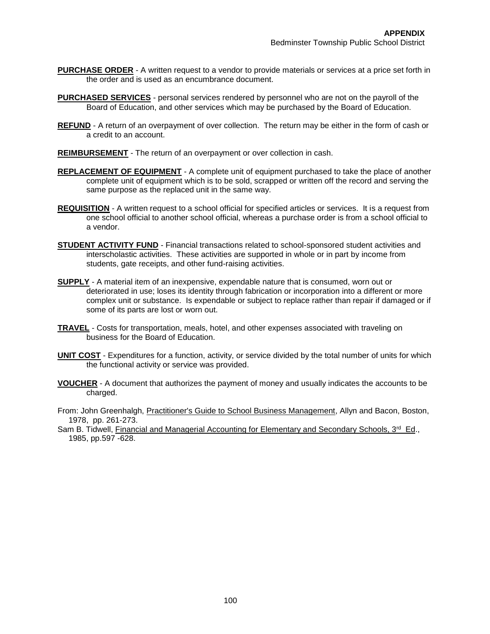- **PURCHASE ORDER** A written request to a vendor to provide materials or services at a price set forth in the order and is used as an encumbrance document.
- **PURCHASED SERVICES** personal services rendered by personnel who are not on the payroll of the Board of Education, and other services which may be purchased by the Board of Education.
- **REFUND** A return of an overpayment of over collection. The return may be either in the form of cash or a credit to an account.
- **REIMBURSEMENT** The return of an overpayment or over collection in cash.
- **REPLACEMENT OF EQUIPMENT** A complete unit of equipment purchased to take the place of another complete unit of equipment which is to be sold, scrapped or written off the record and serving the same purpose as the replaced unit in the same way.
- **REQUISITION** A written request to a school official for specified articles or services. It is a request from one school official to another school official, whereas a purchase order is from a school official to a vendor.
- **STUDENT ACTIVITY FUND** Financial transactions related to school-sponsored student activities and interscholastic activities. These activities are supported in whole or in part by income from students, gate receipts, and other fund-raising activities.
- **SUPPLY** A material item of an inexpensive, expendable nature that is consumed, worn out or deteriorated in use; loses its identity through fabrication or incorporation into a different or more complex unit or substance. Is expendable or subject to replace rather than repair if damaged or if some of its parts are lost or worn out.
- **TRAVEL** Costs for transportation, meals, hotel, and other expenses associated with traveling on business for the Board of Education.
- **UNIT COST** Expenditures for a function, activity, or service divided by the total number of units for which the functional activity or service was provided.
- **VOUCHER** A document that authorizes the payment of money and usually indicates the accounts to be charged.
- From: John Greenhalgh, Practitioner's Guide to School Business Management, Allyn and Bacon, Boston, 1978, pp. 261-273.
- Sam B. Tidwell, *Financial and Managerial Accounting for Elementary and Secondary Schools, 3<sup>rd</sup> Ed.,* 1985, pp.597 -628.